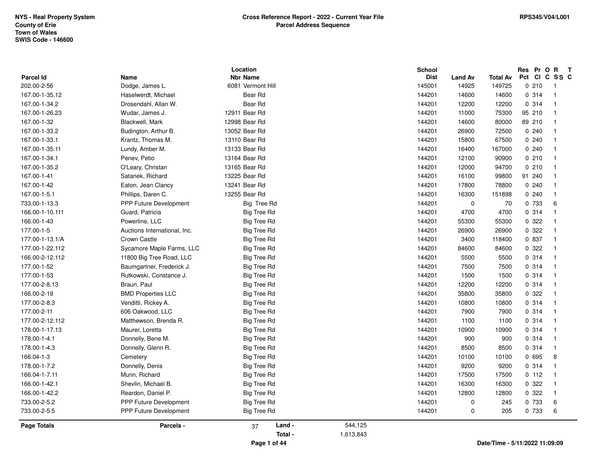|                  |                               | Location           |           | School      |             |                                |        | Res Pr O | $\mathbf{R}$            | $\mathbf{T}$ |
|------------------|-------------------------------|--------------------|-----------|-------------|-------------|--------------------------------|--------|----------|-------------------------|--------------|
| <b>Parcel Id</b> | Name                          | <b>Nbr Name</b>    |           | <b>Dist</b> | Land Av     | Total Av                       | Pct Cl |          | C SS C                  |              |
| 202.00-2-56      | Dodge, James L.               | 6081 Vermont Hill  |           | 145001      | 14925       | 149725                         |        | 0210     | $\overline{1}$          |              |
| 167.00-1-35.12   | Haselwerdt, Michael           | Bear Rd            |           | 144201      | 14600       | 14600                          |        | 0.314    | $\overline{1}$          |              |
| 167.00-1-34.2    | Drosendahl, Allan W.          | Bear Rd            |           | 144201      | 12200       | 12200                          |        | 0.314    | $\overline{1}$          |              |
| 167.00-1-26.23   | Wudar, James J.               | 12911 Bear Rd      |           | 144201      | 11000       | 75300                          |        | 95 210   | $\overline{\mathbf{1}}$ |              |
| 167.00-1-32      | Blackwell, Mark               | 12998 Bear Rd      |           | 144201      | 14600       | 80000                          | 89 210 |          | $\overline{\mathbf{1}}$ |              |
| 167.00-1-33.2    | Budington, Arthur B.          | 13052 Bear Rd      |           | 144201      | 26900       | 72500                          |        | 0240     | $\overline{1}$          |              |
| 167.00-1-33.1    | Krantz, Thomas M.             | 13110 Bear Rd      |           | 144201      | 15800       | 67500                          |        | 0.240    | $\overline{1}$          |              |
| 167.00-1-35.11   | Lundy, Amber M.               | 13133 Bear Rd      |           | 144201      | 16400       | 167000                         |        | 0.240    | $\overline{\mathbf{1}}$ |              |
| 167.00-1-34.1    | Penev, Petio                  | 13164 Bear Rd      |           | 144201      | 12100       | 90900                          |        | 0210     | $\overline{\mathbf{1}}$ |              |
| 167.00-1-35.2    | O'Leary, Christan             | 13165 Bear Rd      |           | 144201      | 12000       | 94700                          |        | 0210     | $\overline{1}$          |              |
| 167.00-1-41      | Satanek, Richard              | 13225 Bear Rd      |           | 144201      | 16100       | 99800                          |        | 91 240   | $\overline{\mathbf{1}}$ |              |
| 167.00-1-42      | Eaton, Jean Clancy            | 13241 Bear Rd      |           | 144201      | 17800       | 78800                          |        | 0.240    | $\overline{1}$          |              |
| 167.00-1-5.1     | Phillips, Daren C.            | 13255 Bear Rd      |           | 144201      | 16300       | 151898                         |        | 0.240    | $\overline{\mathbf{1}}$ |              |
| 733.00-1-13.3    | PPP Future Development        | Big Tree Rd        |           | 144201      | $\mathbf 0$ | 70                             |        | 0 733    | 6                       |              |
| 166.00-1-10.111  | Guard, Patricia               | <b>Big Tree Rd</b> |           | 144201      | 4700        | 4700                           |        | 0.314    | $\overline{1}$          |              |
| 166.00-1-43      | Powerline, LLC                | <b>Big Tree Rd</b> |           | 144201      | 55300       | 55300                          |        | 0.322    | $\overline{1}$          |              |
| 177.00-1-5       | Auctions International, Inc.  | Big Tree Rd        |           | 144201      | 26900       | 26900                          |        | 0.322    | -1                      |              |
| 177.00-1-13.1/A  | Crown Castle                  | <b>Big Tree Rd</b> |           | 144201      | 3400        | 118400                         |        | 0 837    | $\overline{\mathbf{1}}$ |              |
| 177.00-1-22.112  | Sycamore Maple Farms, LLC     | <b>Big Tree Rd</b> |           | 144201      | 84600       | 84600                          |        | 0.322    | $\overline{1}$          |              |
| 166.00-2-12.112  | 11800 Big Tree Road, LLC      | <b>Big Tree Rd</b> |           | 144201      | 5500        | 5500                           |        | 0.314    | $\overline{1}$          |              |
| 177.00-1-52      | Baumgartner, Frederick J.     | Big Tree Rd        |           | 144201      | 7500        | 7500                           |        | 0.314    | $\overline{1}$          |              |
| 177.00-1-53      | Rutkowski, Constance J.       | <b>Big Tree Rd</b> |           | 144201      | 1500        | 1500                           |        | 0.314    | $\overline{1}$          |              |
| 177.00-2-8.13    | Braun, Paul                   | <b>Big Tree Rd</b> |           | 144201      | 12200       | 12200                          |        | 0.314    | $\overline{1}$          |              |
| 166.00-2-19      | <b>BMD Properties LLC</b>     | Big Tree Rd        |           | 144201      | 35800       | 35800                          |        | 0.322    | $\overline{1}$          |              |
| 177.00-2-8.3     | Venditti, Rickey A.           | <b>Big Tree Rd</b> |           | 144201      | 10800       | 10800                          |        | 0 314    | $\overline{1}$          |              |
| 177.00-2-11      | 606 Oakwood, LLC              | Big Tree Rd        |           | 144201      | 7900        | 7900                           |        | 0.314    | $\overline{\mathbf{1}}$ |              |
| 177.00-2-12.112  | Matthewson, Brenda R.         | <b>Big Tree Rd</b> |           | 144201      | 1100        | 1100                           |        | 0.314    | $\overline{1}$          |              |
| 178.00-1-17.13   | Maurer, Loretta               | Big Tree Rd        |           | 144201      | 10900       | 10900                          |        | 0 314    | $\overline{1}$          |              |
| 178.00-1-4.1     | Donnelly, Bene M.             | <b>Big Tree Rd</b> |           | 144201      | 900         | 900                            |        | 0.314    | $\overline{1}$          |              |
| 178.00-1-4.3     | Donnelly, Glenn R.            | Big Tree Rd        |           | 144201      | 8500        | 8500                           |        | 0.314    | $\overline{\mathbf{1}}$ |              |
| 166.04-1-3       | Cemetery                      | Big Tree Rd        |           | 144201      | 10100       | 10100                          |        | 0 695    | 8                       |              |
| 178.00-1-7.2     | Donnelly, Denis               | <b>Big Tree Rd</b> |           | 144201      | 9200        | 9200                           |        | 0.314    | $\overline{\mathbf{1}}$ |              |
| 166.04-1-7.11    | Munn, Richard                 | Big Tree Rd        |           | 144201      | 17500       | 17500                          |        | 0 112    | $\overline{1}$          |              |
| 166.00-1-42.1    | Shevlin, Michael B.           | Big Tree Rd        |           | 144201      | 16300       | 16300                          |        | 0.322    | -1                      |              |
| 166.00-1-42.2    | Reardon, Daniel P.            | <b>Big Tree Rd</b> |           | 144201      | 12800       | 12800                          |        | 0.322    | $\overline{\mathbf{1}}$ |              |
| 733.00-2-5.2     | <b>PPP Future Development</b> | <b>Big Tree Rd</b> |           | 144201      | $\mathbf 0$ | 245                            |        | 0 733    | 6                       |              |
| 733.00-2-5.5     | <b>PPP Future Development</b> | Big Tree Rd        |           | 144201      | 0           | 205                            |        | 0 733    | 6                       |              |
| Page Totals      | Parcels -                     | Land -<br>37       | 544,125   |             |             |                                |        |          |                         |              |
|                  |                               | Total -            | 1,613,843 |             |             |                                |        |          |                         |              |
|                  |                               | Page 1 of 44       |           |             |             | Date/Time - 5/11/2022 11:09:09 |        |          |                         |              |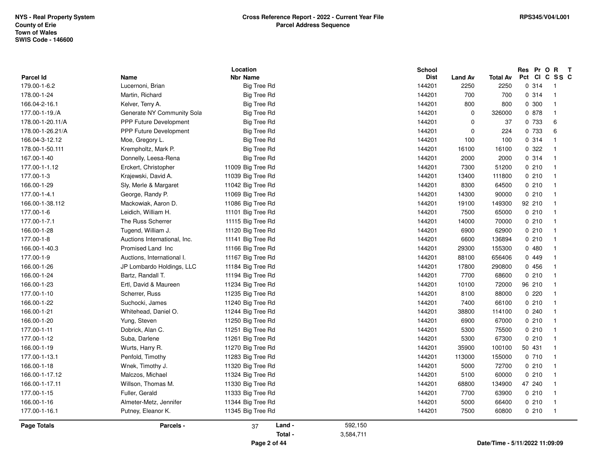|                    |                              | Location                |                      | School      |                |                 | Res Pr O R T  |                         |
|--------------------|------------------------------|-------------------------|----------------------|-------------|----------------|-----------------|---------------|-------------------------|
| <b>Parcel Id</b>   | Name                         | <b>Nbr Name</b>         |                      | <b>Dist</b> | <b>Land Av</b> | <b>Total Av</b> | Pct CI C SS C |                         |
| 179.00-1-6.2       | Lucernoni, Brian             | <b>Big Tree Rd</b>      |                      | 144201      | 2250           | 2250            | 0.314         | $\mathbf{1}$            |
| 178.00-1-24        | Martin, Richard              | <b>Big Tree Rd</b>      |                      | 144201      | 700            | 700             | 0.314         | $\overline{1}$          |
| 166.04-2-16.1      | Kelver, Terry A.             | <b>Big Tree Rd</b>      |                      | 144201      | 800            | 800             | 0 300         | $\overline{1}$          |
| 177.00-1-19./A     | Generate NY Community Sola   | <b>Big Tree Rd</b>      |                      | 144201      | $\mathbf 0$    | 326000          | 0 878         | $\mathbf{1}$            |
| 178.00-1-20.11/A   | PPP Future Development       | <b>Big Tree Rd</b>      |                      | 144201      | $\mathbf 0$    | 37              | 0 733         | 6                       |
| 178.00-1-26.21/A   | PPP Future Development       | Big Tree Rd             |                      | 144201      | 0              | 224             | 0 733         | 6                       |
| 166.04-3-12.12     | Moe, Gregory L.              | <b>Big Tree Rd</b>      |                      | 144201      | 100            | 100             | 0.314         | $\overline{1}$          |
| 178.00-1-50.111    | Krempholtz, Mark P.          | <b>Big Tree Rd</b>      |                      | 144201      | 16100          | 16100           | 0.322         | $\overline{1}$          |
| 167.00-1-40        | Donnelly, Leesa-Rena         | <b>Big Tree Rd</b>      |                      | 144201      | 2000           | 2000            | 0.314         | $\overline{1}$          |
| 177.00-1-1.12      | Erckert, Christopher         | 11009 Big Tree Rd       |                      | 144201      | 7300           | 51200           | 0210          |                         |
| 177.00-1-3         | Krajewski, David A.          | 11039 Big Tree Rd       |                      | 144201      | 13400          | 111800          | 0210          |                         |
| 166.00-1-29        | Sly, Merle & Margaret        | 11042 Big Tree Rd       |                      | 144201      | 8300           | 64500           | 0210          | $\overline{\mathbf{1}}$ |
| 177.00-1-4.1       | George, Randy P.             | 11069 Big Tree Rd       |                      | 144201      | 14300          | 90000           | 0210          | $\mathbf{1}$            |
| 166.00-1-38.112    | Mackowiak, Aaron D.          | 11086 Big Tree Rd       |                      | 144201      | 19100          | 149300          | 92 210        |                         |
| 177.00-1-6         | Leidich, William H.          | 11101 Big Tree Rd       |                      | 144201      | 7500           | 65000           | 0210          |                         |
| 177.00-1-7.1       | The Russ Scherrer            | 11115 Big Tree Rd       |                      | 144201      | 14000          | 70000           | 0210          |                         |
| 166.00-1-28        | Tugend, William J.           | 11120 Big Tree Rd       |                      | 144201      | 6900           | 62900           | 0210          | $\overline{1}$          |
| 177.00-1-8         | Auctions International, Inc. | 11141 Big Tree Rd       |                      | 144201      | 6600           | 136894          | 0210          | $\overline{1}$          |
| 166.00-1-40.3      | Promised Land Inc            | 11166 Big Tree Rd       |                      | 144201      | 29300          | 155300          | 0480          | -1                      |
| 177.00-1-9         | Auctions, International I.   | 11167 Big Tree Rd       |                      | 144201      | 88100          | 656406          | 0449          |                         |
| 166.00-1-26        | JP Lombardo Holdings, LLC    | 11184 Big Tree Rd       |                      | 144201      | 17800          | 290800          | 0 456         |                         |
| 166.00-1-24        | Bartz, Randall T.            | 11194 Big Tree Rd       |                      | 144201      | 7700           | 68600           | 0210          | $\overline{1}$          |
| 166.00-1-23        | Ertl, David & Maureen        | 11234 Big Tree Rd       |                      | 144201      | 10100          | 72000           | 96 210        | $\mathbf{1}$            |
| 177.00-1-10        | Scherrer, Russ               | 11235 Big Tree Rd       |                      | 144201      | 8100           | 88000           | 0220          | $\mathbf{1}$            |
| 166.00-1-22        | Suchocki, James              | 11240 Big Tree Rd       |                      | 144201      | 7400           | 66100           | 0210          |                         |
| 166.00-1-21        | Whitehead, Daniel O.         | 11244 Big Tree Rd       |                      | 144201      | 38800          | 114100          | 0.240         |                         |
| 166.00-1-20        | Yung, Steven                 | 11250 Big Tree Rd       |                      | 144201      | 6900           | 67000           | 0210          | $\overline{1}$          |
| 177.00-1-11        | Dobrick, Alan C.             | 11251 Big Tree Rd       |                      | 144201      | 5300           | 75500           | 0210          | $\mathbf{1}$            |
| 177.00-1-12        | Suba, Darlene                | 11261 Big Tree Rd       |                      | 144201      | 5300           | 67300           | 0210          | $\mathbf{1}$            |
| 166.00-1-19        | Wurts, Harry R.              | 11270 Big Tree Rd       |                      | 144201      | 35900          | 100100          | 50 431        | $\mathbf{1}$            |
| 177.00-1-13.1      | Penfold, Timothy             | 11283 Big Tree Rd       |                      | 144201      | 113000         | 155000          | 0710          |                         |
| 166.00-1-18        | Wnek, Timothy J.             | 11320 Big Tree Rd       |                      | 144201      | 5000           | 72700           | 0210          | $\overline{1}$          |
| 166.00-1-17.12     | Malczos, Michael             | 11324 Big Tree Rd       |                      | 144201      | 5100           | 60000           | 0210          | $\overline{1}$          |
| 166.00-1-17.11     | Willson, Thomas M.           | 11330 Big Tree Rd       |                      | 144201      | 68800          | 134900          | 47 240        | $\overline{1}$          |
| 177.00-1-15        | Fuller, Gerald               | 11333 Big Tree Rd       |                      | 144201      | 7700           | 63900           | 0210          | $\overline{1}$          |
| 166.00-1-16        | Almeter-Metz, Jennifer       | 11344 Big Tree Rd       |                      | 144201      | 5000           | 66400           | 0210          | $\overline{1}$          |
| 177.00-1-16.1      | Putney, Eleanor K.           | 11345 Big Tree Rd       |                      | 144201      | 7500           | 60800           | 0210          | $\overline{1}$          |
| <b>Page Totals</b> | Parcels -                    | Land -<br>37<br>Total - | 592,150<br>3,584,711 |             |                |                 |               |                         |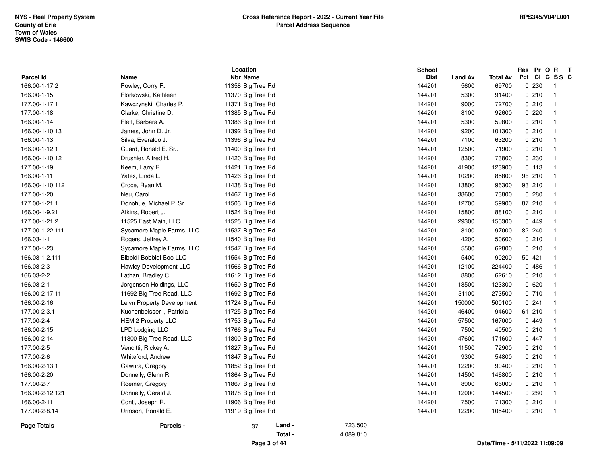| <b>Parcel Id</b><br>166.00-1-17.2<br>166.00-1-15<br>177.00-1-17.1<br>177.00-1-18<br>166.00-1-14<br>166.00-1-10.13<br>166.00-1-13<br>166.00-1-12.1<br>166.00-1-10.12<br>177.00-1-19<br>166.00-1-11<br>166.00-1-10.112<br>177.00-1-20<br>177.00-1-21.1<br>166.00-1-9.21<br>177.00-1-21.2<br>177.00-1-22.111<br>166.03-1-1<br>177.00-1-23<br>166.03-1-2.111<br>166.03-2-3<br>166.03-2-2 | Name<br>Powley, Corry R.<br>Florkowski, Kathleen<br>Kawczynski, Charles P.<br>Clarke, Christine D.<br>Flett, Barbara A.<br>James, John D. Jr. | <b>Nbr Name</b><br>11358 Big Tree Rd<br>11370 Big Tree Rd<br>11371 Big Tree Rd<br>11385 Big Tree Rd |         | <b>Dist</b><br>144201<br>144201 | <b>Land Av</b><br>5600<br>5300 | <b>Total Av</b><br>69700 | Pct CI C SS C<br>0 2 3 0 | $\overline{1}$          |
|--------------------------------------------------------------------------------------------------------------------------------------------------------------------------------------------------------------------------------------------------------------------------------------------------------------------------------------------------------------------------------------|-----------------------------------------------------------------------------------------------------------------------------------------------|-----------------------------------------------------------------------------------------------------|---------|---------------------------------|--------------------------------|--------------------------|--------------------------|-------------------------|
|                                                                                                                                                                                                                                                                                                                                                                                      |                                                                                                                                               |                                                                                                     |         |                                 |                                |                          |                          |                         |
|                                                                                                                                                                                                                                                                                                                                                                                      |                                                                                                                                               |                                                                                                     |         |                                 |                                |                          | 0210                     | $\overline{1}$          |
|                                                                                                                                                                                                                                                                                                                                                                                      |                                                                                                                                               |                                                                                                     |         | 144201                          |                                | 91400                    | 0210                     |                         |
|                                                                                                                                                                                                                                                                                                                                                                                      |                                                                                                                                               |                                                                                                     |         |                                 | 9000                           | 72700                    |                          | $\overline{1}$          |
|                                                                                                                                                                                                                                                                                                                                                                                      |                                                                                                                                               |                                                                                                     |         | 144201                          | 8100                           | 92600                    | 0220                     | $\overline{1}$          |
|                                                                                                                                                                                                                                                                                                                                                                                      |                                                                                                                                               | 11386 Big Tree Rd                                                                                   |         | 144201                          | 5300                           | 59800                    | 0210                     | -1                      |
|                                                                                                                                                                                                                                                                                                                                                                                      |                                                                                                                                               | 11392 Big Tree Rd                                                                                   |         | 144201                          | 9200                           | 101300                   | 0210                     | $\overline{\mathbf{1}}$ |
|                                                                                                                                                                                                                                                                                                                                                                                      | Silva, Everaldo J.                                                                                                                            | 11396 Big Tree Rd                                                                                   |         | 144201                          | 7100                           | 63200                    | 0210                     | $\overline{1}$          |
|                                                                                                                                                                                                                                                                                                                                                                                      | Guard, Ronald E. Sr                                                                                                                           | 11400 Big Tree Rd                                                                                   |         | 144201                          | 12500                          | 71900                    | 0210                     | $\overline{1}$          |
|                                                                                                                                                                                                                                                                                                                                                                                      | Drushler, Alfred H.                                                                                                                           | 11420 Big Tree Rd                                                                                   |         | 144201                          | 8300                           | 73800                    | 0 2 3 0                  | $\overline{\mathbf{1}}$ |
|                                                                                                                                                                                                                                                                                                                                                                                      | Keem, Larry R.                                                                                                                                | 11421 Big Tree Rd                                                                                   |         | 144201                          | 41900                          | 123900                   | 0, 113                   | -1                      |
|                                                                                                                                                                                                                                                                                                                                                                                      | Yates, Linda L.                                                                                                                               | 11426 Big Tree Rd                                                                                   |         | 144201                          | 10200                          | 85800                    | 96 210                   |                         |
|                                                                                                                                                                                                                                                                                                                                                                                      | Croce, Ryan M.                                                                                                                                | 11438 Big Tree Rd                                                                                   |         | 144201                          | 13800                          | 96300                    | 93 210                   | $\overline{\mathbf{1}}$ |
|                                                                                                                                                                                                                                                                                                                                                                                      | Neu, Carol                                                                                                                                    | 11467 Big Tree Rd                                                                                   |         | 144201                          | 38600                          | 73800                    | 0.280                    | $\overline{1}$          |
|                                                                                                                                                                                                                                                                                                                                                                                      | Donohue, Michael P. Sr.                                                                                                                       | 11503 Big Tree Rd                                                                                   |         | 144201                          | 12700                          | 59900                    | 87 210                   | $\overline{1}$          |
|                                                                                                                                                                                                                                                                                                                                                                                      | Atkins, Robert J.                                                                                                                             | 11524 Big Tree Rd                                                                                   |         | 144201                          | 15800                          | 88100                    | 0210                     | -1                      |
|                                                                                                                                                                                                                                                                                                                                                                                      | 11525 East Main, LLC                                                                                                                          | 11525 Big Tree Rd                                                                                   |         | 144201                          | 29300                          | 155300                   | 0 449                    |                         |
|                                                                                                                                                                                                                                                                                                                                                                                      | Sycamore Maple Farms, LLC                                                                                                                     | 11537 Big Tree Rd                                                                                   |         | 144201                          | 8100                           | 97000                    | 82 240                   | $\overline{1}$          |
|                                                                                                                                                                                                                                                                                                                                                                                      | Rogers, Jeffrey A.                                                                                                                            | 11540 Big Tree Rd                                                                                   |         | 144201                          | 4200                           | 50600                    | 0210                     | $\overline{1}$          |
|                                                                                                                                                                                                                                                                                                                                                                                      | Sycamore Maple Farms, LLC                                                                                                                     | 11547 Big Tree Rd                                                                                   |         | 144201                          | 5500                           | 62800                    | 0210                     | $\overline{\mathbf{1}}$ |
|                                                                                                                                                                                                                                                                                                                                                                                      | Bibbidi-Bobbidi-Boo LLC                                                                                                                       | 11554 Big Tree Rd                                                                                   |         | 144201                          | 5400                           | 90200                    | 50 421                   | $\mathbf{1}$            |
|                                                                                                                                                                                                                                                                                                                                                                                      | Hawley Development LLC                                                                                                                        | 11566 Big Tree Rd                                                                                   |         | 144201                          | 12100                          | 224400                   | 0486                     | -1                      |
|                                                                                                                                                                                                                                                                                                                                                                                      | Lathan, Bradley C.                                                                                                                            | 11612 Big Tree Rd                                                                                   |         | 144201                          | 8800                           | 62610                    | 0210                     | $\overline{\mathbf{1}}$ |
| 166.03-2-1                                                                                                                                                                                                                                                                                                                                                                           | Jorgensen Holdings, LLC                                                                                                                       | 11650 Big Tree Rd                                                                                   |         | 144201                          | 18500                          | 123300                   | 0620                     | - 1                     |
| 166.00-2-17.11                                                                                                                                                                                                                                                                                                                                                                       | 11692 Big Tree Road, LLC                                                                                                                      | 11692 Big Tree Rd                                                                                   |         | 144201                          | 31100                          | 273500                   | 0710                     | $\overline{1}$          |
| 166.00-2-16                                                                                                                                                                                                                                                                                                                                                                          | Lelyn Property Development                                                                                                                    | 11724 Big Tree Rd                                                                                   |         | 144201                          | 150000                         | 500100                   | 0.241                    | $\mathbf{1}$            |
| 177.00-2-3.1                                                                                                                                                                                                                                                                                                                                                                         | Kuchenbeisser, Patricia                                                                                                                       | 11725 Big Tree Rd                                                                                   |         | 144201                          | 46400                          | 94600                    | 61 210                   | $\overline{\mathbf{1}}$ |
| 177.00-2-4                                                                                                                                                                                                                                                                                                                                                                           | <b>HEM 2 Property LLC</b>                                                                                                                     | 11753 Big Tree Rd                                                                                   |         | 144201                          | 57500                          | 167000                   | 0 449                    |                         |
| 166.00-2-15                                                                                                                                                                                                                                                                                                                                                                          | LPD Lodging LLC                                                                                                                               | 11766 Big Tree Rd                                                                                   |         | 144201                          | 7500                           | 40500                    | 0210                     | $\overline{1}$          |
| 166.00-2-14                                                                                                                                                                                                                                                                                                                                                                          | 11800 Big Tree Road, LLC                                                                                                                      | 11800 Big Tree Rd                                                                                   |         | 144201                          | 47600                          | 171600                   | 0447                     | -1                      |
| 177.00-2-5                                                                                                                                                                                                                                                                                                                                                                           | Venditti, Rickey A.                                                                                                                           | 11827 Big Tree Rd                                                                                   |         | 144201                          | 11500                          | 72900                    | 0210                     | $\overline{1}$          |
| 177.00-2-6                                                                                                                                                                                                                                                                                                                                                                           | Whiteford, Andrew                                                                                                                             | 11847 Big Tree Rd                                                                                   |         | 144201                          | 9300                           | 54800                    | 0210                     | -1                      |
| 166.00-2-13.1                                                                                                                                                                                                                                                                                                                                                                        | Gawura, Gregory                                                                                                                               | 11852 Big Tree Rd                                                                                   |         | 144201                          | 12200                          | 90400                    | 0210                     |                         |
| 166.00-2-20                                                                                                                                                                                                                                                                                                                                                                          | Donnelly, Glenn R.                                                                                                                            | 11864 Big Tree Rd                                                                                   |         | 144201                          | 14500                          | 146800                   | 0210                     | $\overline{1}$          |
| 177.00-2-7                                                                                                                                                                                                                                                                                                                                                                           | Roemer, Gregory                                                                                                                               | 11867 Big Tree Rd                                                                                   |         | 144201                          | 8900                           | 66000                    | 0210                     | $\overline{1}$          |
| 166.00-2-12.121                                                                                                                                                                                                                                                                                                                                                                      | Donnelly, Gerald J.                                                                                                                           | 11878 Big Tree Rd                                                                                   |         | 144201                          | 12000                          | 144500                   | 0.280                    | $\overline{1}$          |
| 166.00-2-11                                                                                                                                                                                                                                                                                                                                                                          | Conti, Joseph R.                                                                                                                              | 11906 Big Tree Rd                                                                                   |         | 144201                          | 7500                           | 71300                    | 0210                     | -1                      |
| 177.00-2-8.14                                                                                                                                                                                                                                                                                                                                                                        | Urmson, Ronald E.                                                                                                                             | 11919 Big Tree Rd                                                                                   |         | 144201                          | 12200                          | 105400                   | 0210                     | $\overline{1}$          |
| <b>Page Totals</b>                                                                                                                                                                                                                                                                                                                                                                   | Parcels -                                                                                                                                     | Land -<br>37                                                                                        | 723,500 |                                 |                                |                          |                          |                         |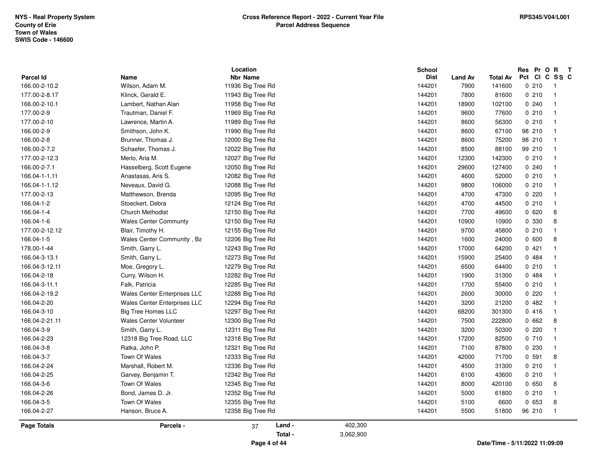|                                   |                              | Location                             |         | School<br><b>Dist</b> |                        |                    |        | Res Pr O R T<br>Pct CI C SS C |  |
|-----------------------------------|------------------------------|--------------------------------------|---------|-----------------------|------------------------|--------------------|--------|-------------------------------|--|
| <b>Parcel Id</b><br>166.00-2-10.2 | Name<br>Wilson, Adam M.      | <b>Nbr Name</b><br>11936 Big Tree Rd |         | 144201                | <b>Land Av</b><br>7900 | Total Av<br>141600 | 0210   | $\mathbf{1}$                  |  |
| 177.00-2-8.17                     | Klinck, Gerald E.            | 11943 Big Tree Rd                    |         | 144201                | 7800                   | 81600              | 0210   | $\overline{1}$                |  |
| 166.00-2-10.1                     | Lambert, Nathan Alan         | 11958 Big Tree Rd                    |         | 144201                | 18900                  | 102100             | 0240   | $\mathbf{1}$                  |  |
| 177.00-2-9                        | Trautman, Daniel F.          | 11969 Big Tree Rd                    |         | 144201                | 9600                   | 77600              | 0210   | $\overline{1}$                |  |
|                                   |                              |                                      |         |                       |                        |                    | 0210   | $\overline{1}$                |  |
| 177.00-2-10                       | Lawrence, Martin A.          | 11989 Big Tree Rd                    |         | 144201                | 8600                   | 56300              |        |                               |  |
| 166.00-2-9                        | Smithson, John K.            | 11990 Big Tree Rd                    |         | 144201                | 8600                   | 67100              | 98 210 |                               |  |
| 166.00-2-8                        | Brunner, Thomas J.           | 12000 Big Tree Rd                    |         | 144201                | 8600                   | 75200              | 98 210 | $\overline{1}$                |  |
| 166.00-2-7.2                      | Schaefer, Thomas J.          | 12022 Big Tree Rd                    |         | 144201                | 8500                   | 88100              | 99 210 | $\overline{1}$                |  |
| 177.00-2-12.3                     | Merlo, Aria M.               | 12027 Big Tree Rd                    |         | 144201                | 12300                  | 142300             | 0210   | $\overline{1}$                |  |
| 166.00-2-7.1                      | Hasselberg, Scott Eugene     | 12050 Big Tree Rd                    |         | 144201                | 29600                  | 127400             | 0240   |                               |  |
| 166.04-1-1.11                     | Anastasas, Aris S.           | 12082 Big Tree Rd                    |         | 144201                | 4600                   | 52000              | 0210   |                               |  |
| 166.04-1-1.12                     | Neveaux, David G.            | 12088 Big Tree Rd                    |         | 144201                | 9800                   | 106000             | 0210   | $\overline{1}$                |  |
| 177.00-2-13                       | Matthewson, Brenda           | 12095 Big Tree Rd                    |         | 144201                | 4700                   | 47300              | 0220   | $\overline{1}$                |  |
| 166.04-1-2                        | Stoeckert, Debra             | 12124 Big Tree Rd                    |         | 144201                | 4700                   | 44500              | 0210   | $\overline{1}$                |  |
| 166.04-1-4                        | <b>Church Methodist</b>      | 12150 Big Tree Rd                    |         | 144201                | 7700                   | 49600              | 0620   | 8                             |  |
| 166.04-1-6                        | <b>Wales Center Communty</b> | 12150 Big Tree Rd                    |         | 144201                | 10900                  | 10900              | 0 330  | 8                             |  |
| 177.00-2-12.12                    | Blair, Timothy H.            | 12155 Big Tree Rd                    |         | 144201                | 9700                   | 45800              | 0210   | $\overline{1}$                |  |
| 166.04-1-5                        | Wales Center Community, Ba   | 12206 Big Tree Rd                    |         | 144201                | 1600                   | 24000              | 0600   | 8                             |  |
| 178.00-1-44                       | Smith, Garry L.              | 12243 Big Tree Rd                    |         | 144201                | 17000                  | 64200              | 0421   | $\mathbf{1}$                  |  |
| 166.04-3-13.1                     | Smith, Garry L.              | 12273 Big Tree Rd                    |         | 144201                | 15900                  | 25400              | 0 484  | $\mathbf{1}$                  |  |
| 166.04-3-12.11                    | Moe, Gregory L.              | 12279 Big Tree Rd                    |         | 144201                | 6500                   | 64400              | 0210   |                               |  |
| 166.04-2-18                       | Curry, Wilson H.             | 12282 Big Tree Rd                    |         | 144201                | 1900                   | 31300              | 0484   |                               |  |
| 166.04-3-11.1                     | Falk, Patricia               | 12285 Big Tree Rd                    |         | 144201                | 1700                   | 55400              | 0210   | $\overline{1}$                |  |
| 166.04-2-19.2                     | Wales Center Enterprises LLC | 12288 Big Tree Rd                    |         | 144201                | 2600                   | 30000              | 0220   | $\mathbf{1}$                  |  |
| 166.04-2-20                       | Wales Center Enterprises LLC | 12294 Big Tree Rd                    |         | 144201                | 3200                   | 21200              | 0482   | $\overline{1}$                |  |
| 166.04-3-10                       | <b>Big Tree Homes LLC</b>    | 12297 Big Tree Rd                    |         | 144201                | 68200                  | 301300             | 0416   |                               |  |
| 166.04-2-21.11                    | Wales Center Volunteer       | 12300 Big Tree Rd                    |         | 144201                | 7500                   | 222800             | 0662   | 8                             |  |
| 166.04-3-9                        | Smith, Garry L.              | 12311 Big Tree Rd                    |         | 144201                | 3200                   | 50300              | 0220   | $\overline{1}$                |  |
| 166.04-2-23                       | 12318 Big Tree Road, LLC     | 12318 Big Tree Rd                    |         | 144201                | 17200                  | 82500              | 0710   | $\overline{1}$                |  |
| 166.04-3-8                        | Ratka, John P.               | 12321 Big Tree Rd                    |         | 144201                | 7100                   | 87800              | 0230   | $\overline{1}$                |  |
| 166.04-3-7                        | Town Of Wales                | 12333 Big Tree Rd                    |         | 144201                | 42000                  | 71700              | 0.591  | 8                             |  |
| 166.04-2-24                       | Marshall, Robert M.          | 12336 Big Tree Rd                    |         | 144201                | 4500                   | 31300              | 0210   | $\overline{1}$                |  |
| 166.04-2-25                       | Garvey, Benjamin T.          | 12342 Big Tree Rd                    |         | 144201                | 6100                   | 43600              | 0210   | $\overline{1}$                |  |
| 166.04-3-6                        | Town Of Wales                | 12345 Big Tree Rd                    |         | 144201                | 8000                   | 420100             | 0650   | 8                             |  |
| 166.04-2-26                       | Bond, James D. Jr.           | 12352 Big Tree Rd                    |         | 144201                | 5000                   | 61800              | 0210   | $\mathbf{1}$                  |  |
| 166.04-3-5                        | Town Of Wales                | 12355 Big Tree Rd                    |         | 144201                | 5100                   | 6600               | 0653   | 8                             |  |
| 166.04-2-27                       | Hanson, Bruce A.             | 12358 Big Tree Rd                    |         | 144201                | 5500                   | 51800              | 96 210 | $\overline{1}$                |  |
| <b>Page Totals</b>                | Parcels -                    | Land -<br>37                         | 402,300 |                       |                        |                    |        |                               |  |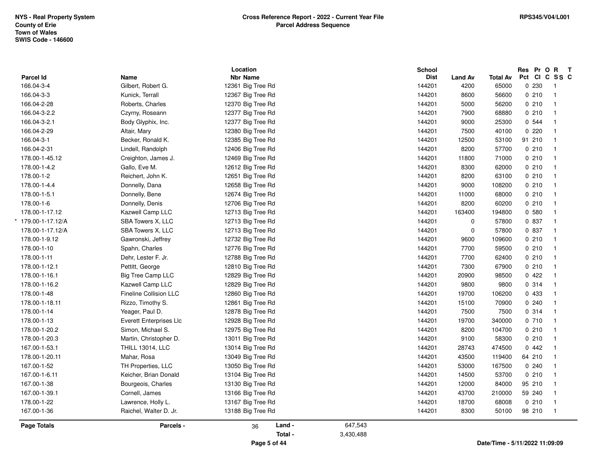|                    |                                | Location          |           | <b>School</b> |                |                 | Res Pr O R T |                         |  |
|--------------------|--------------------------------|-------------------|-----------|---------------|----------------|-----------------|--------------|-------------------------|--|
| <b>Parcel Id</b>   | Name                           | <b>Nbr Name</b>   |           | <b>Dist</b>   | <b>Land Av</b> | <b>Total Av</b> |              | Pct CI C SS C           |  |
| 166.04-3-4         | Gilbert, Robert G.             | 12361 Big Tree Rd |           | 144201        | 4200           | 65000           | 0 2 3 0      | $\overline{1}$          |  |
| 166.04-3-3         | Kunick, Terrall                | 12367 Big Tree Rd |           | 144201        | 8600           | 56600           | 0210         | $\mathbf{1}$            |  |
| 166.04-2-28        | Roberts, Charles               | 12370 Big Tree Rd |           | 144201        | 5000           | 56200           | 0210         | $\mathbf{1}$            |  |
| 166.04-3-2.2       | Czyrny, Roseann                | 12377 Big Tree Rd |           | 144201        | 7900           | 68880           | 0210         | $\mathbf{1}$            |  |
| 166.04-3-2.1       | Body Glyphix, Inc.             | 12377 Big Tree Rd |           | 144201        | 9000           | 25300           | 0 544        | $\overline{\mathbf{1}}$ |  |
| 166.04-2-29        | Altair, Mary                   | 12380 Big Tree Rd |           | 144201        | 7500           | 40100           | 0220         | $\overline{1}$          |  |
| 166.04-3-1         | Becker, Ronald K.              | 12385 Big Tree Rd |           | 144201        | 12500          | 53100           | 91 210       | $\mathbf{1}$            |  |
| 166.04-2-31        | Lindell, Randolph              | 12406 Big Tree Rd |           | 144201        | 8200           | 57700           | 0210         | $\mathbf{1}$            |  |
| 178.00-1-45.12     | Creighton, James J.            | 12469 Big Tree Rd |           | 144201        | 11800          | 71000           | 0210         | $\mathbf{1}$            |  |
| 178.00-1-4.2       | Gallo, Eve M.                  | 12612 Big Tree Rd |           | 144201        | 8300           | 62000           | 0210         | $\overline{\mathbf{1}}$ |  |
| 178.00-1-2         | Reichert, John K.              | 12651 Big Tree Rd |           | 144201        | 8200           | 63100           | 0210         | $\overline{\mathbf{1}}$ |  |
| 178.00-1-4.4       | Donnelly, Dana                 | 12658 Big Tree Rd |           | 144201        | 9000           | 108200          | 0210         | $\mathbf{1}$            |  |
| 178.00-1-5.1       | Donnelly, Bene                 | 12674 Big Tree Rd |           | 144201        | 11000          | 68000           | 0210         | $\mathbf{1}$            |  |
| 178.00-1-6         | Donnelly, Denis                | 12706 Big Tree Rd |           | 144201        | 8200           | 60200           | 0210         | $\overline{1}$          |  |
| 178.00-1-17.12     | Kazwell Camp LLC               | 12713 Big Tree Rd |           | 144201        | 163400         | 194800          | 0,580        | $\overline{1}$          |  |
| 179.00-1-17.12/A   | SBA Towers X, LLC              | 12713 Big Tree Rd |           | 144201        | $\mathbf 0$    | 57800           | 0 837        | $\overline{1}$          |  |
| 178.00-1-17.12/A   | SBA Towers X, LLC              | 12713 Big Tree Rd |           | 144201        | $\pmb{0}$      | 57800           | 0 837        | $\mathbf{1}$            |  |
| 178.00-1-9.12      | Gawronski, Jeffrey             | 12732 Big Tree Rd |           | 144201        | 9600           | 109600          | 0210         | $\mathbf{1}$            |  |
| 178.00-1-10        | Spahn, Charles                 | 12776 Big Tree Rd |           | 144201        | 7700           | 59500           | 0210         | $\mathbf{1}$            |  |
| 178.00-1-11        | Dehr, Lester F. Jr.            | 12788 Big Tree Rd |           | 144201        | 7700           | 62400           | 0210         | $\overline{1}$          |  |
| 178.00-1-12.1      | Pettitt, George                | 12810 Big Tree Rd |           | 144201        | 7300           | 67900           | 0210         | $\overline{1}$          |  |
| 178.00-1-16.1      | <b>Big Tree Camp LLC</b>       | 12829 Big Tree Rd |           | 144201        | 20900          | 98500           | 0422         | $\mathbf{1}$            |  |
| 178.00-1-16.2      | Kazwell Camp LLC               | 12829 Big Tree Rd |           | 144201        | 9800           | 9800            | 0.314        | $\mathbf{1}$            |  |
| 178.00-1-48        | Fineline Collision LLC         | 12860 Big Tree Rd |           | 144201        | 19700          | 106200          | 0 433        | $\mathbf{1}$            |  |
| 178.00-1-18.11     | Rizzo, Timothy S.              | 12861 Big Tree Rd |           | 144201        | 15100          | 70900           | 0.240        | $\overline{1}$          |  |
| 178.00-1-14        | Yeager, Paul D.                | 12878 Big Tree Rd |           | 144201        | 7500           | 7500            | 0 314        | $\overline{1}$          |  |
| 178.00-1-13        | <b>Everett Enterprises Llc</b> | 12928 Big Tree Rd |           | 144201        | 19700          | 340000          | 0 710        | $\mathbf{1}$            |  |
| 178.00-1-20.2      | Simon, Michael S.              | 12975 Big Tree Rd |           | 144201        | 8200           | 104700          | 0210         | $\mathbf{1}$            |  |
| 178.00-1-20.3      | Martin, Christopher D.         | 13011 Big Tree Rd |           | 144201        | 9100           | 58300           | 0210         | $\mathbf{1}$            |  |
| 167.00-1-53.1      | <b>THILL 13014, LLC</b>        | 13014 Big Tree Rd |           | 144201        | 28743          | 474500          | 0442         | $\overline{\mathbf{1}}$ |  |
| 178.00-1-20.11     | Mahar, Rosa                    | 13049 Big Tree Rd |           | 144201        | 43500          | 119400          | 64 210       | $\overline{1}$          |  |
| 167.00-1-52        | TH Properties, LLC             | 13050 Big Tree Rd |           | 144201        | 53000          | 167500          | 0.240        | $\mathbf{1}$            |  |
| 167.00-1-6.11      | Keicher, Brian Donald          | 13104 Big Tree Rd |           | 144201        | 14500          | 53700           | 0210         | $\mathbf{1}$            |  |
| 167.00-1-38        | Bourgeois, Charles             | 13130 Big Tree Rd |           | 144201        | 12000          | 84000           | 95 210       | $\mathbf{1}$            |  |
| 167.00-1-39.1      | Cornell, James                 | 13166 Big Tree Rd |           | 144201        | 43700          | 210000          | 59 240       | $\overline{1}$          |  |
| 178.00-1-22        | Lawrence, Holly L.             | 13167 Big Tree Rd |           | 144201        | 18700          | 68008           | 0210         | $\mathbf{1}$            |  |
| 167.00-1-36        | Raichel, Walter D. Jr.         | 13188 Big Tree Rd |           | 144201        | 8300           | 50100           | 98 210       | $\mathbf{1}$            |  |
|                    |                                |                   |           |               |                |                 |              |                         |  |
| <b>Page Totals</b> | Parcels -                      | Land -<br>36      | 647,543   |               |                |                 |              |                         |  |
|                    |                                | Total -           | 3,430,488 |               |                |                 |              |                         |  |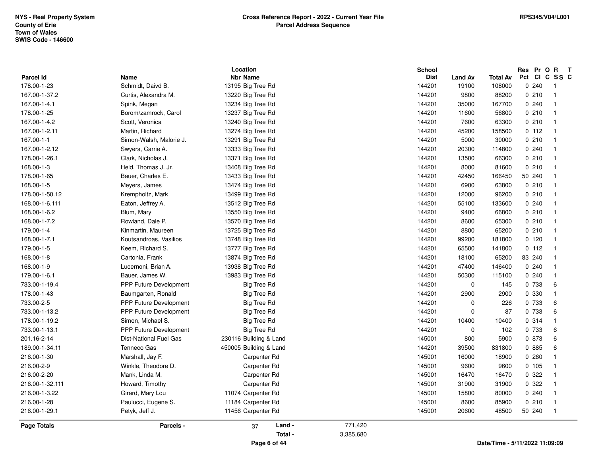|                    |                               | Location               |           | <b>School</b> |                |                 | Res Pr O R    | $\mathbf{T}$   |
|--------------------|-------------------------------|------------------------|-----------|---------------|----------------|-----------------|---------------|----------------|
| <b>Parcel Id</b>   | Name                          | <b>Nbr Name</b>        |           | <b>Dist</b>   | <b>Land Av</b> | <b>Total Av</b> | Pct CI C SS C |                |
| 178.00-1-23        | Schmidt, Daivd B.             | 13195 Big Tree Rd      |           | 144201        | 19100          | 108000          | 0.240         | -1             |
| 167.00-1-37.2      | Curtis, Alexandra M.          | 13220 Big Tree Rd      |           | 144201        | 9800           | 88200           | 0210          | $\mathbf{1}$   |
| 167.00-1-4.1       | Spink, Megan                  | 13234 Big Tree Rd      |           | 144201        | 35000          | 167700          | 0.240         | -1             |
| 178.00-1-25        | Borom/zamrock, Carol          | 13237 Big Tree Rd      |           | 144201        | 11600          | 56800           | 0210          | -1             |
| 167.00-1-4.2       | Scott, Veronica               | 13240 Big Tree Rd      |           | 144201        | 7600           | 63300           | 0210          |                |
| 167.00-1-2.11      | Martin, Richard               | 13274 Big Tree Rd      |           | 144201        | 45200          | 158500          | 0 112         | $\mathbf{1}$   |
| 167.00-1-1         | Simon-Walsh, Malorie J.       | 13291 Big Tree Rd      |           | 144201        | 5000           | 30000           | 0210          | $\mathbf{1}$   |
| 167.00-1-2.12      | Swyers, Carrie A.             | 13333 Big Tree Rd      |           | 144201        | 20300          | 114800          | 0.240         | -1             |
| 178.00-1-26.1      | Clark, Nicholas J.            | 13371 Big Tree Rd      |           | 144201        | 13500          | 66300           | 0210          |                |
| 168.00-1-3         | Held, Thomas J. Jr.           | 13408 Big Tree Rd      |           | 144201        | 8000           | 81600           | 0210          |                |
| 178.00-1-65        | Bauer, Charles E.             | 13433 Big Tree Rd      |           | 144201        | 42450          | 166450          | 50 240        |                |
| 168.00-1-5         | Meyers, James                 | 13474 Big Tree Rd      |           | 144201        | 6900           | 63800           | 0210          |                |
| 178.00-1-50.12     | Krempholtz, Mark              | 13499 Big Tree Rd      |           | 144201        | 12000          | 96200           | 0210          | -1             |
| 168.00-1-6.111     | Eaton, Jeffrey A.             | 13512 Big Tree Rd      |           | 144201        | 55100          | 133600          | 0240          |                |
| 168.00-1-6.2       | Blum, Mary                    | 13550 Big Tree Rd      |           | 144201        | 9400           | 66800           | 0210          |                |
| 168.00-1-7.2       | Rowland, Dale P.              | 13570 Big Tree Rd      |           | 144201        | 8600           | 65300           | 0210          | $\overline{1}$ |
| 179.00-1-4         | Kinmartin, Maureen            | 13725 Big Tree Rd      |           | 144201        | 8800           | 65200           | 0210          | $\mathbf{1}$   |
| 168.00-1-7.1       | Koutsandroas, Vasilios        | 13748 Big Tree Rd      |           | 144201        | 99200          | 181800          | 0120          | -1             |
| 179.00-1-5         | Keem, Richard S.              | 13777 Big Tree Rd      |           | 144201        | 65500          | 141800          | 0 112         |                |
| 168.00-1-8         | Cartonia, Frank               | 13874 Big Tree Rd      |           | 144201        | 18100          | 65200           | 83 240        |                |
| 168.00-1-9         | Lucernoni, Brian A.           | 13938 Big Tree Rd      |           | 144201        | 47400          | 146400          | 0.240         |                |
| 179.00-1-6.1       | Bauer, James W.               | 13983 Big Tree Rd      |           | 144201        | 50300          | 115100          | 0.240         |                |
| 733.00-1-19.4      | PPP Future Development        | <b>Big Tree Rd</b>     |           | 144201        | $\mathbf 0$    | 145             | 0 733         | 6              |
| 178.00-1-43        | Baumgarten, Ronald            | Big Tree Rd            |           | 144201        | 2900           | 2900            | 0 330         | -1             |
| 733.00-2-5         | <b>PPP Future Development</b> | Big Tree Rd            |           | 144201        | $\mathbf 0$    | 226             | 0 733         | 6              |
| 733.00-1-13.2      | PPP Future Development        | Big Tree Rd            |           | 144201        | $\mathbf 0$    | 87              | 0 733         | 6              |
| 178.00-1-19.2      | Simon, Michael S.             | <b>Big Tree Rd</b>     |           | 144201        | 10400          | 10400           | 0.314         | $\overline{1}$ |
| 733.00-1-13.1      | PPP Future Development        | <b>Big Tree Rd</b>     |           | 144201        | $\mathbf 0$    | 102             | 0 733         | 6              |
| 201.16-2-14        | <b>Dist-National Fuel Gas</b> | 230116 Building & Land |           | 145001        | 800            | 5900            | 0 873         | 6              |
| 189.00-1-34.11     | Tenneco Gas                   | 450005 Building & Land |           | 144201        | 39500          | 831800          | 0 885         | 6              |
| 216.00-1-30        | Marshall, Jay F.              | Carpenter Rd           |           | 145001        | 16000          | 18900           | 0.260         | -1             |
| 216.00-2-9         | Winkle, Theodore D.           | Carpenter Rd           |           | 145001        | 9600           | 9600            | 0.105         | -1             |
| 216.00-2-20        | Mank, Linda M.                | Carpenter Rd           |           | 145001        | 16470          | 16470           | 0 322         | 1              |
| 216.00-1-32.111    | Howard, Timothy               | Carpenter Rd           |           | 145001        | 31900          | 31900           | 0 322         |                |
| 216.00-1-3.22      | Girard, Mary Lou              | 11074 Carpenter Rd     |           | 145001        | 15800          | 80000           | 0.240         |                |
| 216.00-1-28        | Paulucci, Eugene S.           | 11184 Carpenter Rd     |           | 145001        | 8600           | 85900           | 0210          | $\mathbf 1$    |
| 216.00-1-29.1      | Petyk, Jeff J.                | 11456 Carpenter Rd     |           | 145001        | 20600          | 48500           | 50 240        | $\mathbf 1$    |
| <b>Page Totals</b> | Parcels -                     | Land -<br>37           | 771,420   |               |                |                 |               |                |
|                    |                               | Total -                | 3,385,680 |               |                |                 |               |                |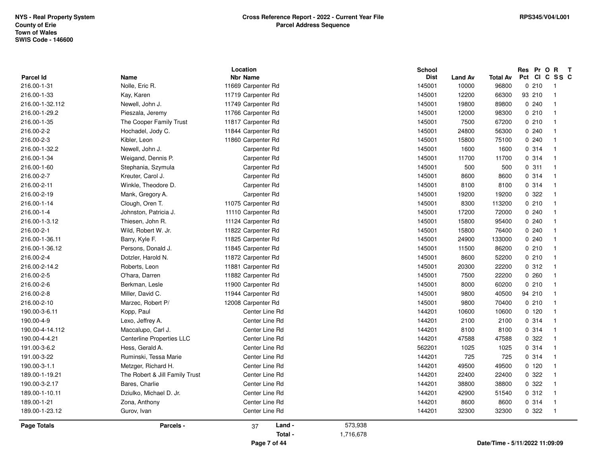| 190.00-3-6.11<br>190.00-4-9<br>190.00-4-14.112<br>190.00-4-4.21<br>191.00-3-6.2<br>191.00-3-22<br>190.00-3-1.1<br>189.00-1-19.21<br>190.00-3-2.17<br>189.00-1-10.11 | Marzec, Robert P/<br>Kopp, Paul<br>Lexo, Jeffrey A.<br>Maccalupo, Carl J.<br>Centerline Properties LLC<br>Hess, Gerald A.<br>Ruminski, Tessa Marie<br>Metzger, Richard H.<br>The Robert & Jill Family Trust<br>Bares, Charlie<br>Dziulko, Michael D. Jr. | 12008 Carpenter Rd<br>Center Line Rd<br>Center Line Rd<br>Center Line Rd<br>Center Line Rd<br>Center Line Rd<br>Center Line Rd<br>Center Line Rd<br>Center Line Rd<br>Center Line Rd<br>Center Line Rd | 144201<br>144201<br>144201<br>144201<br>562201<br>144201<br>144201<br>144201<br>144201<br>144201 | 10600<br>2100<br>8100<br>47588<br>1025<br>725<br>49500<br>22400<br>38800<br>42900 | 10600<br>2100<br>8100<br>47588<br>1025<br>725<br>49500<br>22400<br>38800<br>51540 | 0, 120<br>0.314<br>0.314<br>0.322<br>0.314<br>0.314<br>0120<br>0.322<br>0.322<br>0.312 | $\overline{1}$<br>$\overline{1}$<br>$\overline{1}$<br>$\overline{1}$<br>$\overline{\mathbf{1}}$<br>$\overline{\mathbf{1}}$<br>$\overline{1}$<br>$\overline{1}$<br>$\overline{1}$<br>$\overline{1}$ |
|---------------------------------------------------------------------------------------------------------------------------------------------------------------------|----------------------------------------------------------------------------------------------------------------------------------------------------------------------------------------------------------------------------------------------------------|--------------------------------------------------------------------------------------------------------------------------------------------------------------------------------------------------------|--------------------------------------------------------------------------------------------------|-----------------------------------------------------------------------------------|-----------------------------------------------------------------------------------|----------------------------------------------------------------------------------------|----------------------------------------------------------------------------------------------------------------------------------------------------------------------------------------------------|
|                                                                                                                                                                     |                                                                                                                                                                                                                                                          |                                                                                                                                                                                                        |                                                                                                  |                                                                                   |                                                                                   |                                                                                        |                                                                                                                                                                                                    |
|                                                                                                                                                                     |                                                                                                                                                                                                                                                          |                                                                                                                                                                                                        |                                                                                                  |                                                                                   |                                                                                   |                                                                                        |                                                                                                                                                                                                    |
|                                                                                                                                                                     |                                                                                                                                                                                                                                                          |                                                                                                                                                                                                        |                                                                                                  |                                                                                   |                                                                                   |                                                                                        |                                                                                                                                                                                                    |
|                                                                                                                                                                     |                                                                                                                                                                                                                                                          |                                                                                                                                                                                                        |                                                                                                  |                                                                                   |                                                                                   |                                                                                        |                                                                                                                                                                                                    |
|                                                                                                                                                                     |                                                                                                                                                                                                                                                          |                                                                                                                                                                                                        |                                                                                                  |                                                                                   |                                                                                   |                                                                                        |                                                                                                                                                                                                    |
|                                                                                                                                                                     |                                                                                                                                                                                                                                                          |                                                                                                                                                                                                        |                                                                                                  |                                                                                   |                                                                                   |                                                                                        |                                                                                                                                                                                                    |
|                                                                                                                                                                     |                                                                                                                                                                                                                                                          |                                                                                                                                                                                                        |                                                                                                  |                                                                                   |                                                                                   |                                                                                        |                                                                                                                                                                                                    |
|                                                                                                                                                                     |                                                                                                                                                                                                                                                          |                                                                                                                                                                                                        |                                                                                                  |                                                                                   |                                                                                   |                                                                                        |                                                                                                                                                                                                    |
|                                                                                                                                                                     |                                                                                                                                                                                                                                                          |                                                                                                                                                                                                        |                                                                                                  |                                                                                   |                                                                                   |                                                                                        |                                                                                                                                                                                                    |
| 216.00-2-10                                                                                                                                                         |                                                                                                                                                                                                                                                          |                                                                                                                                                                                                        | 145001                                                                                           | 9800                                                                              | 70400                                                                             | 0210                                                                                   | $\overline{1}$                                                                                                                                                                                     |
| 216.00-2-8                                                                                                                                                          | Miller, David C.                                                                                                                                                                                                                                         | 11944 Carpenter Rd                                                                                                                                                                                     | 145001                                                                                           | 9800                                                                              | 40500                                                                             | 94 210                                                                                 | $\overline{1}$                                                                                                                                                                                     |
| 216.00-2-6                                                                                                                                                          | Berkman, Lesle                                                                                                                                                                                                                                           | 11900 Carpenter Rd                                                                                                                                                                                     | 145001                                                                                           | 8000                                                                              | 60200                                                                             | 0210                                                                                   | $\overline{1}$                                                                                                                                                                                     |
| 216.00-2-5                                                                                                                                                          | O'hara, Darren                                                                                                                                                                                                                                           | 11882 Carpenter Rd                                                                                                                                                                                     | 145001                                                                                           | 7500                                                                              | 22200                                                                             | 0260                                                                                   | $\overline{\mathbf{1}}$                                                                                                                                                                            |
| 216.00-2-14.2                                                                                                                                                       | Roberts, Leon                                                                                                                                                                                                                                            | 11881 Carpenter Rd                                                                                                                                                                                     | 145001                                                                                           | 20300                                                                             | 22200                                                                             | 0.312                                                                                  | $\overline{1}$                                                                                                                                                                                     |
| 216.00-2-4                                                                                                                                                          | Dotzler, Harold N.                                                                                                                                                                                                                                       | 11872 Carpenter Rd                                                                                                                                                                                     | 145001                                                                                           | 8600                                                                              | 52200                                                                             | 0210                                                                                   | $\overline{1}$                                                                                                                                                                                     |
| 216.00-1-36.12                                                                                                                                                      | Persons, Donald J.                                                                                                                                                                                                                                       | 11845 Carpenter Rd                                                                                                                                                                                     | 145001                                                                                           | 11500                                                                             | 86200                                                                             | 0210                                                                                   | $\overline{\mathbf{1}}$                                                                                                                                                                            |
| 216.00-1-36.11                                                                                                                                                      | Barry, Kyle F.                                                                                                                                                                                                                                           | 11825 Carpenter Rd                                                                                                                                                                                     | 145001                                                                                           | 24900                                                                             | 133000                                                                            | 0.240                                                                                  | -1                                                                                                                                                                                                 |
| 216.00-2-1                                                                                                                                                          | Wild, Robert W. Jr.                                                                                                                                                                                                                                      | 11822 Carpenter Rd                                                                                                                                                                                     | 145001                                                                                           | 15800                                                                             | 76400                                                                             | 0.240                                                                                  | $\overline{\mathbf{1}}$                                                                                                                                                                            |
| 216.00-1-3.12                                                                                                                                                       | Thiesen, John R.                                                                                                                                                                                                                                         | 11124 Carpenter Rd                                                                                                                                                                                     | 145001                                                                                           | 15800                                                                             | 95400                                                                             | 0.240                                                                                  | $\overline{1}$                                                                                                                                                                                     |
| 216.00-1-4                                                                                                                                                          | Johnston, Patricia J.                                                                                                                                                                                                                                    | 11110 Carpenter Rd                                                                                                                                                                                     | 145001                                                                                           | 17200                                                                             | 72000                                                                             | 0.240                                                                                  | $\overline{1}$                                                                                                                                                                                     |
| 216.00-1-14                                                                                                                                                         | Clough, Oren T.                                                                                                                                                                                                                                          | 11075 Carpenter Rd                                                                                                                                                                                     | 145001                                                                                           | 8300                                                                              | 113200                                                                            | 0210                                                                                   | $\overline{1}$                                                                                                                                                                                     |
| 216.00-2-19                                                                                                                                                         | Mank, Gregory A.                                                                                                                                                                                                                                         | Carpenter Rd                                                                                                                                                                                           | 145001                                                                                           | 19200                                                                             | 19200                                                                             | 0 322                                                                                  | $\overline{\mathbf{1}}$                                                                                                                                                                            |
| 216.00-2-11                                                                                                                                                         | Winkle, Theodore D.                                                                                                                                                                                                                                      | Carpenter Rd                                                                                                                                                                                           | 145001                                                                                           | 8100                                                                              | 8100                                                                              | 0.314                                                                                  | $\mathbf{1}$                                                                                                                                                                                       |
| 216.00-2-7                                                                                                                                                          | Kreuter, Carol J.                                                                                                                                                                                                                                        | Carpenter Rd                                                                                                                                                                                           | 145001                                                                                           | 8600                                                                              | 8600                                                                              | 0.314                                                                                  | $\overline{1}$                                                                                                                                                                                     |
| 216.00-1-60                                                                                                                                                         | Stephania, Szymula                                                                                                                                                                                                                                       | Carpenter Rd                                                                                                                                                                                           | 145001                                                                                           | 500                                                                               | 500                                                                               | 0.311                                                                                  | $\overline{1}$                                                                                                                                                                                     |
| 216.00-1-34                                                                                                                                                         | Weigand, Dennis P.                                                                                                                                                                                                                                       | Carpenter Rd                                                                                                                                                                                           | 145001                                                                                           | 11700                                                                             | 11700                                                                             | 0.314                                                                                  | $\overline{\mathbf{1}}$                                                                                                                                                                            |
| 216.00-1-32.2                                                                                                                                                       | Newell, John J.                                                                                                                                                                                                                                          | Carpenter Rd                                                                                                                                                                                           | 145001                                                                                           | 1600                                                                              | 1600                                                                              | 0.314                                                                                  | $\overline{1}$                                                                                                                                                                                     |
| 216.00-2-3                                                                                                                                                          | Kibler, Leon                                                                                                                                                                                                                                             | 11860 Carpenter Rd                                                                                                                                                                                     | 145001                                                                                           | 15800                                                                             | 75100                                                                             | 0.240                                                                                  | $\overline{1}$                                                                                                                                                                                     |
| 216.00-2-2                                                                                                                                                          | Hochadel, Jody C.                                                                                                                                                                                                                                        | 11844 Carpenter Rd                                                                                                                                                                                     | 145001                                                                                           | 24800                                                                             | 56300                                                                             | 0.240                                                                                  | $\overline{1}$                                                                                                                                                                                     |
| 216.00-1-35                                                                                                                                                         | The Cooper Family Trust                                                                                                                                                                                                                                  | 11817 Carpenter Rd                                                                                                                                                                                     | 145001                                                                                           | 7500                                                                              | 67200                                                                             | 0210                                                                                   | $\overline{\mathbf{1}}$                                                                                                                                                                            |
| 216.00-1-29.2                                                                                                                                                       | Pieszala, Jeremy                                                                                                                                                                                                                                         | 11766 Carpenter Rd                                                                                                                                                                                     | 145001                                                                                           | 12000                                                                             | 98300                                                                             | 0.210                                                                                  | $\overline{1}$                                                                                                                                                                                     |
| 216.00-1-32.112                                                                                                                                                     | Newell, John J.                                                                                                                                                                                                                                          | 11749 Carpenter Rd                                                                                                                                                                                     | 145001                                                                                           | 19800                                                                             | 89800                                                                             | 0.240                                                                                  | $\overline{1}$                                                                                                                                                                                     |
| 216.00-1-33                                                                                                                                                         | Nolle, Eric R.<br>Kay, Karen                                                                                                                                                                                                                             | 11719 Carpenter Rd                                                                                                                                                                                     | 145001                                                                                           | 10000<br>12200                                                                    | 96800<br>66300                                                                    | 93 210                                                                                 | $\overline{1}$                                                                                                                                                                                     |
| <b>Parcel Id</b><br>216.00-1-31                                                                                                                                     | Name                                                                                                                                                                                                                                                     | <b>Nbr Name</b><br>11669 Carpenter Rd                                                                                                                                                                  | <b>Dist</b><br>145001                                                                            | <b>Land Av</b>                                                                    | Total Av                                                                          | Pct<br><b>CI</b><br>0210                                                               | C SS C<br>$\overline{\mathbf{1}}$                                                                                                                                                                  |
|                                                                                                                                                                     |                                                                                                                                                                                                                                                          | Location                                                                                                                                                                                               | <b>School</b>                                                                                    |                                                                                   |                                                                                   | Res Pr O                                                                               | $\mathbf{R}$<br>$\mathbf{T}$                                                                                                                                                                       |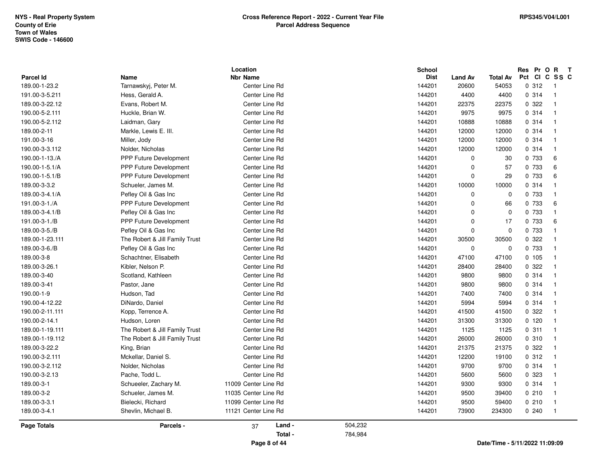| <b>Parcel Id</b> | Name                           | Location<br><b>Nbr Name</b> |         | <b>School</b><br><b>Dist</b> | <b>Land Av</b> | <b>Total Av</b> | Res Pr O R<br>$\mathbf{T}$<br>Pct CI C SS C |
|------------------|--------------------------------|-----------------------------|---------|------------------------------|----------------|-----------------|---------------------------------------------|
| 189.00-1-23.2    | Tarnawskyj, Peter M.           | Center Line Rd              |         | 144201                       | 20600          | 54053           | 0.312<br>$\overline{1}$                     |
| 191.00-3-5.211   | Hess, Gerald A.                | Center Line Rd              |         | 144201                       | 4400           | 4400            | 0.314<br>$\overline{1}$                     |
| 189.00-3-22.12   | Evans, Robert M.               | Center Line Rd              |         | 144201                       | 22375          | 22375           | 0.322<br>$\overline{1}$                     |
| 190.00-5-2.111   | Huckle, Brian W.               | Center Line Rd              |         | 144201                       | 9975           | 9975            | 0.314<br>$\overline{1}$                     |
| 190.00-5-2.112   | Laidman, Gary                  | Center Line Rd              |         | 144201                       | 10888          | 10888           | 0.314<br>$\overline{1}$                     |
| 189.00-2-11      | Markle, Lewis E. III.          | Center Line Rd              |         | 144201                       | 12000          | 12000           | 0.314<br>$\overline{1}$                     |
| 191.00-3-16      | Miller, Jody                   | Center Line Rd              |         | 144201                       | 12000          | 12000           | 0.314<br>$\overline{1}$                     |
| 190.00-3-3.112   | Nolder, Nicholas               | Center Line Rd              |         | 144201                       | 12000          | 12000           | 0.314<br>$\overline{1}$                     |
| 190.00-1-13./A   | <b>PPP Future Development</b>  | Center Line Rd              |         | 144201                       | $\Omega$       | 30              | 0 733<br>6                                  |
| 190.00-1-5.1/A   | <b>PPP Future Development</b>  | Center Line Rd              |         | 144201                       | $\Omega$       | 57              | 6<br>0 733                                  |
| 190.00-1-5.1/B   | PPP Future Development         | Center Line Rd              |         | 144201                       | $\Omega$       | 29              | 0 733<br>6                                  |
| 189.00-3-3.2     | Schueler, James M.             | Center Line Rd              |         | 144201                       | 10000          | 10000           | 0.314<br>$\mathbf 1$                        |
| 189.00-3-4.1/A   | Pefley Oil & Gas Inc           | Center Line Rd              |         | 144201                       | $\Omega$       | $\mathbf 0$     | 0 733<br>$\overline{1}$                     |
| 191.00-3-1./A    | PPP Future Development         | Center Line Rd              |         | 144201                       | $\Omega$       | 66              | 0 733<br>6                                  |
| 189.00-3-4.1/B   | Pefley Oil & Gas Inc           | Center Line Rd              |         | 144201                       | $\Omega$       | 0               | 0 733<br>$\overline{1}$                     |
| 191.00-3-1./B    | <b>PPP Future Development</b>  | Center Line Rd              |         | 144201                       | $\Omega$       | 17              | 0 733<br>6                                  |
| 189.00-3-5./B    | Pefley Oil & Gas Inc           | Center Line Rd              |         | 144201                       | $\Omega$       | $\mathbf 0$     | 0 733<br>$\overline{\mathbf{1}}$            |
| 189.00-1-23.111  | The Robert & Jill Family Trust | Center Line Rd              |         | 144201                       | 30500          | 30500           | 0.322<br>$\overline{1}$                     |
| 189.00-3-6./B    | Pefley Oil & Gas Inc           | Center Line Rd              |         | 144201                       | $\mathbf 0$    | $\mathbf 0$     | 0 733<br>$\overline{1}$                     |
| 189.00-3-8       | Schachtner, Elisabeth          | Center Line Rd              |         | 144201                       | 47100          | 47100           | 0.105<br>$\overline{1}$                     |
| 189.00-3-26.1    | Kibler, Nelson P.              | Center Line Rd              |         | 144201                       | 28400          | 28400           | 0.322<br>$\overline{1}$                     |
| 189.00-3-40      | Scotland, Kathleen             | Center Line Rd              |         | 144201                       | 9800           | 9800            | 0.314<br>$\overline{1}$                     |
| 189.00-3-41      | Pastor, Jane                   | Center Line Rd              |         | 144201                       | 9800           | 9800            | 0.314<br>$\overline{1}$                     |
| 190.00-1-9       | Hudson, Tad                    | Center Line Rd              |         | 144201                       | 7400           | 7400            | 0.314<br>$\overline{1}$                     |
| 190.00-4-12.22   | DiNardo, Daniel                | Center Line Rd              |         | 144201                       | 5994           | 5994            | 0.314<br>$\overline{1}$                     |
| 190.00-2-11.111  | Kopp, Terrence A.              | Center Line Rd              |         | 144201                       | 41500          | 41500           | 0.322<br>$\overline{1}$                     |
| 190.00-2-14.1    | Hudson, Loren                  | Center Line Rd              |         | 144201                       | 31300          | 31300           | 0, 120<br>$\overline{1}$                    |
| 189.00-1-19.111  | The Robert & Jill Family Trust | Center Line Rd              |         | 144201                       | 1125           | 1125            | 0.311<br>$\overline{1}$                     |
| 189.00-1-19.112  | The Robert & Jill Family Trust | Center Line Rd              |         | 144201                       | 26000          | 26000           | 0.310<br>$\overline{1}$                     |
| 189.00-3-22.2    | King, Brian                    | Center Line Rd              |         | 144201                       | 21375          | 21375           | 0.322<br>$\overline{1}$                     |
| 190.00-3-2.111   | Mckellar, Daniel S.            | Center Line Rd              |         | 144201                       | 12200          | 19100           | 0.312<br>$\overline{1}$                     |
| 190.00-3-2.112   | Nolder, Nicholas               | Center Line Rd              |         | 144201                       | 9700           | 9700            | 0.314<br>$\overline{1}$                     |
| 190.00-3-2.13    | Pache, Todd L.                 | Center Line Rd              |         | 144201                       | 5600           | 5600            | 0 323<br>$\overline{1}$                     |
| 189.00-3-1       | Schueeler, Zachary M.          | 11009 Center Line Rd        |         | 144201                       | 9300           | 9300            | 0.314<br>$\overline{1}$                     |
| 189.00-3-2       | Schueler, James M.             | 11035 Center Line Rd        |         | 144201                       | 9500           | 39400           | 0210<br>$\overline{1}$                      |
| 189.00-3-3.1     | Bielecki, Richard              | 11099 Center Line Rd        |         | 144201                       | 9500           | 59400           | 0210<br>$\overline{1}$                      |
| 189.00-3-4.1     | Shevlin, Michael B.            | 11121 Center Line Rd        |         | 144201                       | 73900          | 234300          | 0240<br>$\overline{1}$                      |
| Page Totals      | Parcels -                      | Land -<br>37                | 504,232 |                              |                |                 |                                             |
|                  |                                | Total -                     | 784,984 |                              |                |                 |                                             |
|                  |                                | Page 8 of 44                |         |                              |                |                 | Date/Time - 5/11/2022 11:09:09              |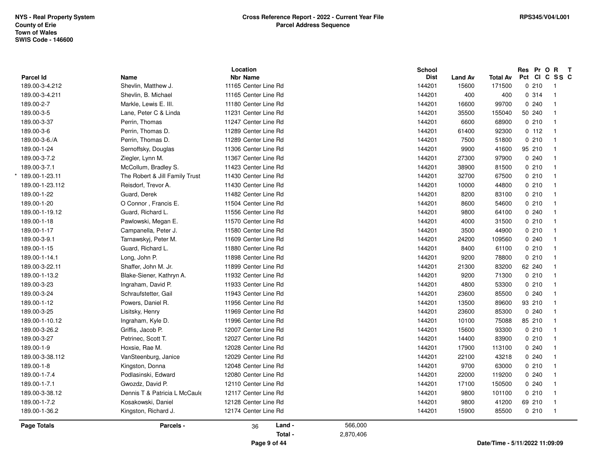|                             |                                | Location             |           | <b>School</b> |                |                 | Res Pr O R    | $\mathbf{T}$            |
|-----------------------------|--------------------------------|----------------------|-----------|---------------|----------------|-----------------|---------------|-------------------------|
| Parcel Id<br>189.00-3-4.212 | Name                           | <b>Nbr Name</b>      |           | <b>Dist</b>   | <b>Land Av</b> | <b>Total Av</b> | Pct CI C SS C |                         |
|                             | Shevlin, Matthew J.            | 11165 Center Line Rd |           | 144201        | 15600<br>400   | 171500          | 0210          | $\overline{1}$          |
| 189.00-3-4.211              | Shevlin, B. Michael            | 11165 Center Line Rd |           | 144201        |                | 400             | 0.314         | $\overline{1}$          |
| 189.00-2-7                  | Markle, Lewis E. III.          | 11180 Center Line Rd |           | 144201        | 16600          | 99700           | 0.240         | $\overline{1}$          |
| 189.00-3-5                  | Lane, Peter C & Linda          | 11231 Center Line Rd |           | 144201        | 35500          | 155040          | 50 240        | $\overline{\mathbf{1}}$ |
| 189.00-3-37                 | Perrin, Thomas                 | 11247 Center Line Rd |           | 144201        | 6600           | 68900           | 0210          | $\overline{1}$          |
| 189.00-3-6                  | Perrin, Thomas D.              | 11289 Center Line Rd |           | 144201        | 61400          | 92300           | 0 112         | $\overline{1}$          |
| 189.00-3-6./A               | Perrin, Thomas D.              | 11289 Center Line Rd |           | 144201        | 7500           | 51800           | 0210          | $\overline{1}$          |
| 189.00-1-24                 | Sernoffsky, Douglas            | 11306 Center Line Rd |           | 144201        | 9900           | 41600           | 95 210        | $\overline{1}$          |
| 189.00-3-7.2                | Ziegler, Lynn M.               | 11367 Center Line Rd |           | 144201        | 27300          | 97900           | 0.240         | $\overline{1}$          |
| 189.00-3-7.1                | McCollum, Bradley S.           | 11423 Center Line Rd |           | 144201        | 38900          | 81500           | 0210          | $\overline{1}$          |
| 189.00-1-23.11              | The Robert & Jill Family Trust | 11430 Center Line Rd |           | 144201        | 32700          | 67500           | 0210          | $\overline{1}$          |
| 189.00-1-23.112             | Reisdorf, Trevor A.            | 11430 Center Line Rd |           | 144201        | 10000          | 44800           | 0210          | $\overline{1}$          |
| 189.00-1-22                 | Guard, Derek                   | 11482 Center Line Rd |           | 144201        | 8200           | 83100           | 0210          | $\overline{1}$          |
| 189.00-1-20                 | O Connor, Francis E.           | 11504 Center Line Rd |           | 144201        | 8600           | 54600           | 0210          | $\overline{1}$          |
| 189.00-1-19.12              | Guard, Richard L.              | 11556 Center Line Rd |           | 144201        | 9800           | 64100           | 0.240         | $\overline{1}$          |
| 189.00-1-18                 | Pawlowski, Megan E.            | 11570 Center Line Rd |           | 144201        | 4000           | 31500           | 0210          | $\blacksquare$          |
| 189.00-1-17                 | Campanella, Peter J.           | 11580 Center Line Rd |           | 144201        | 3500           | 44900           | 0210          | $\overline{1}$          |
| 189.00-3-9.1                | Tarnawskyj, Peter M.           | 11609 Center Line Rd |           | 144201        | 24200          | 109560          | 0.240         | $\overline{1}$          |
| 189.00-1-15                 | Guard, Richard L.              | 11880 Center Line Rd |           | 144201        | 8400           | 61100           | 0210          | $\overline{1}$          |
| 189.00-1-14.1               | Long, John P.                  | 11898 Center Line Rd |           | 144201        | 9200           | 78800           | 0210          | $\overline{1}$          |
| 189.00-3-22.11              | Shaffer, John M. Jr.           | 11899 Center Line Rd |           | 144201        | 21300          | 83200           | 62 240        | $\overline{1}$          |
| 189.00-1-13.2               | Blake-Siener, Kathryn A.       | 11932 Center Line Rd |           | 144201        | 9200           | 71300           | 0210          | $\overline{1}$          |
| 189.00-3-23                 | Ingraham, David P.             | 11933 Center Line Rd |           | 144201        | 4800           | 53300           | 0210          | $\overline{1}$          |
| 189.00-3-24                 | Schraufstetter, Gail           | 11943 Center Line Rd |           | 144201        | 23600          | 85500           | 0.240         | $\overline{1}$          |
| 189.00-1-12                 | Powers, Daniel R.              | 11956 Center Line Rd |           | 144201        | 13500          | 89600           | 93 210        | $\overline{1}$          |
| 189.00-3-25                 | Lisitsky, Henry                | 11969 Center Line Rd |           | 144201        | 23600          | 85300           | 0.240         | $\overline{1}$          |
| 189.00-1-10.12              | Ingraham, Kyle D.              | 11996 Center Line Rd |           | 144201        | 10100          | 75088           | 85 210        | $\overline{1}$          |
| 189.00-3-26.2               | Griffis, Jacob P.              | 12007 Center Line Rd |           | 144201        | 15600          | 93300           | 0210          | $\overline{1}$          |
| 189.00-3-27                 | Petrinec, Scott T.             | 12027 Center Line Rd |           | 144201        | 14400          | 83900           | 0210          | $\overline{1}$          |
| 189.00-1-9                  | Hoxsie, Rae M.                 | 12028 Center Line Rd |           | 144201        | 17900          | 113100          | 0.240         | $\overline{\mathbf{1}}$ |
| 189.00-3-38.112             | VanSteenburg, Janice           | 12029 Center Line Rd |           | 144201        | 22100          | 43218           | 0.240         | $\overline{\mathbf{1}}$ |
| 189.00-1-8                  | Kingston, Donna                | 12048 Center Line Rd |           | 144201        | 9700           | 63000           | 0210          | $\overline{\mathbf{1}}$ |
| 189.00-1-7.4                | Podlasinski, Edward            | 12080 Center Line Rd |           | 144201        | 22000          | 119200          | 0.240         | $\overline{1}$          |
| 189.00-1-7.1                | Gwozdz, David P.               | 12110 Center Line Rd |           | 144201        | 17100          | 150500          | 0.240         | $\overline{1}$          |
| 189.00-3-38.12              | Dennis T & Patricia L McCaule  | 12117 Center Line Rd |           | 144201        | 9800           | 101100          | 0210          | $\overline{1}$          |
| 189.00-1-7.2                | Kosakowski, Daniel             | 12128 Center Line Rd |           | 144201        | 9800           | 41200           | 69 210        | $\overline{1}$          |
| 189.00-1-36.2               | Kingston, Richard J.           | 12174 Center Line Rd |           | 144201        | 15900          | 85500           | 0210          | $\overline{1}$          |
| Page Totals                 | Parcels -                      | Land -<br>36         | 566,000   |               |                |                 |               |                         |
|                             |                                | Total -              | 2,870,406 |               |                |                 |               |                         |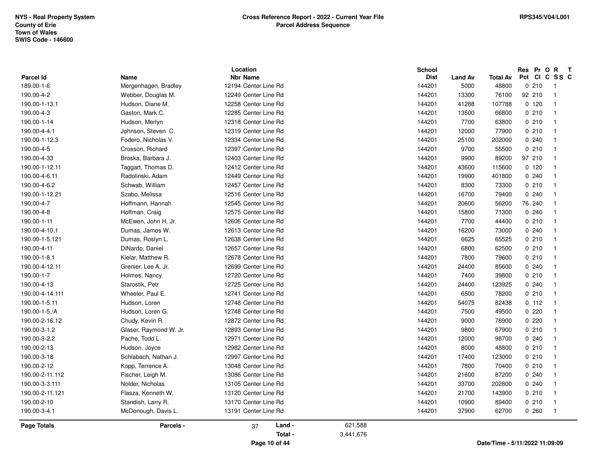|                    |                        | Location             |           | <b>School</b> |                |                 | Res Pr O R                     | $\mathbf{T}$            |
|--------------------|------------------------|----------------------|-----------|---------------|----------------|-----------------|--------------------------------|-------------------------|
| Parcel Id          | Name                   | <b>Nbr Name</b>      |           | <b>Dist</b>   | <b>Land Av</b> | <b>Total Av</b> | Pct                            | CICSSC                  |
| 189.00-1-6         | Mergenhagen, Bradley   | 12194 Center Line Rd |           | 144201        | 5000           | 48800           | 0210                           | $\overline{1}$          |
| 190.00-4-2         | Webber, Douglas M.     | 12249 Center Line Rd |           | 144201        | 13300          | 76100           | 92 210                         | $\overline{1}$          |
| 190.00-1-13.1      | Hudson, Diane M.       | 12258 Center Line Rd |           | 144201        | 41288          | 107788          | 0, 120                         | $\overline{1}$          |
| 190.00-4-3         | Gaston, Mark C.        | 12285 Center Line Rd |           | 144201        | 13500          | 66800           | 0210                           | $\overline{1}$          |
| 190.00-1-14        | Hudson, Merlyn         | 12318 Center Line Rd |           | 144201        | 7700           | 63800           | 0210                           | $\overline{1}$          |
| 190.00-4-4.1       | Johnson, Steven C.     | 12319 Center Line Rd |           | 144201        | 12000          | 77900           | 0.210                          | $\overline{1}$          |
| 190.00-1-12.3      | Fodero, Nicholas V.    | 12334 Center Line Rd |           | 144201        | 25100          | 202000          | 0.240                          | $\overline{1}$          |
| 190.00-4-5         | Crosson, Richard       | 12397 Center Line Rd |           | 144201        | 9700           | 55500           | 0210                           | $\overline{1}$          |
| 190.00-4-33        | Broska, Barbara J.     | 12403 Center Line Rd |           | 144201        | 9900           | 89200           | 97 210                         | -1                      |
| 190.00-1-12.11     | Taggart, Thomas D.     | 12412 Center Line Rd |           | 144201        | 43600          | 115600          | 0, 120                         | $\overline{1}$          |
| 190.00-4-6.11      | Radolinski, Adam       | 12449 Center Line Rd |           | 144201        | 19900          | 401800          | 0.240                          | $\overline{1}$          |
| 190.00-4-6.2       | Schwab, William        | 12457 Center Line Rd |           | 144201        | 8300           | 73300           | 0210                           | $\overline{\mathbf{1}}$ |
| 190.00-1-12.21     | Szabo, Melissa         | 12516 Center Line Rd |           | 144201        | 16700          | 79400           | 0.240                          | $\overline{\mathbf{1}}$ |
| 190.00-4-7         | Hoffmann, Hannah       | 12545 Center Line Rd |           | 144201        | 20600          | 56200           | 76 240                         | $\overline{\mathbf{1}}$ |
| 190.00-4-8         | Hoffman, Craig         | 12575 Center Line Rd |           | 144201        | 15800          | 71300           | 0.240                          | $\overline{1}$          |
| 190.00-1-11        | McEwen, John H. Jr.    | 12606 Center Line Rd |           | 144201        | 7700           | 44400           | 0210                           | $\overline{1}$          |
| 190.00-4-10.1      | Dumas, James W.        | 12613 Center Line Rd |           | 144201        | 16200          | 73000           | 0.240                          | $\overline{\mathbf{1}}$ |
| 190.00-1-5.121     | Dumas, Roslyn L.       | 12638 Center Line Rd |           | 144201        | 6625           | 65525           | 0210                           | $\overline{1}$          |
| 190.00-4-11        | DiNardo, Daniel        | 12657 Center Line Rd |           | 144201        | 6800           | 62500           | 0210                           | $\overline{1}$          |
| 190.00-1-8.1       | Kielar, Matthew R.     | 12678 Center Line Rd |           | 144201        | 7800           | 79600           | 0210                           | $\overline{1}$          |
| 190.00-4-12.11     | Grenier, Lee A. Jr.    | 12699 Center Line Rd |           | 144201        | 24400          | 85600           | 0.240                          | $\overline{1}$          |
| 190.00-1-7         | Holmes, Nancy          | 12720 Center Line Rd |           | 144201        | 7400           | 39800           | 0210                           | $\overline{\mathbf{1}}$ |
| 190.00-4-13        | Starostik, Petr        | 12725 Center Line Rd |           | 144201        | 24400          | 123925          | 0240                           | $\overline{1}$          |
| 190.00-4-14.111    | Wheeler, Paul E.       | 12741 Center Line Rd |           | 144201        | 6500           | 78200           | 0210                           | $\overline{1}$          |
| 190.00-1-5.11      | Hudson, Loren          | 12748 Center Line Rd |           | 144201        | 54075          | 82438           | 0 112                          | $\overline{1}$          |
| 190.00-1-5./A      | Hudson, Loren G.       | 12748 Center Line Rd |           | 144201        | 7500           | 49500           | 0220                           | $\overline{\mathbf{1}}$ |
| 190.00-2-16.12     | Chudy, Kevin R.        | 12872 Center Line Rd |           | 144201        | 9000           | 76900           | 0220                           | $\overline{1}$          |
| 190.00-3-1.2       | Glaser, Raymond W. Jr. | 12893 Center Line Rd |           | 144201        | 9800           | 67900           | 0210                           | $\overline{1}$          |
| 190.00-3-2.2       | Pache, Todd L.         | 12971 Center Line Rd |           | 144201        | 12000          | 98700           | 0.240                          | $\overline{\mathbf{1}}$ |
| 190.00-2-13        | Hudson, Joyce          | 12982 Center Line Rd |           | 144201        | 8000           | 48800           | 0210                           | -1                      |
| 190.00-3-18        | Schlabach, Nathan J.   | 12997 Center Line Rd |           | 144201        | 17400          | 123000          | 0210                           | $\overline{\mathbf{1}}$ |
| 190.00-2-12        | Kopp, Terrence A.      | 13048 Center Line Rd |           | 144201        | 7800           | 70400           | 0210                           | $\overline{1}$          |
| 190.00-2-11.112    | Fischer, Leigh M.      | 13086 Center Line Rd |           | 144201        | 21600          | 87200           | 0.240                          | $\overline{1}$          |
| 190.00-3-3.111     | Nolder, Nicholas       | 13105 Center Line Rd |           | 144201        | 33700          | 202800          | 0.240                          | -1                      |
| 190.00-2-11.121    | Flasza, Kenneth W.     | 13120 Center Line Rd |           | 144201        | 21700          | 143900          | 0210                           | $\overline{\mathbf{1}}$ |
| 190.00-2-10        | Standish, Larry R.     | 13170 Center Line Rd |           | 144201        | 10900          | 89400           | 0210                           | $\overline{1}$          |
| 190.00-3-4.1       | McDonough, Davis L.    | 13191 Center Line Rd |           | 144201        | 37900          | 62700           | 0260                           | $\overline{1}$          |
| <b>Page Totals</b> | Parcels -              | Land -<br>37         | 621,588   |               |                |                 |                                |                         |
|                    |                        | Total -              | 3,441,676 |               |                |                 |                                |                         |
|                    |                        | Page 10 of 44        |           |               |                |                 | Date/Time - 5/11/2022 11:09:09 |                         |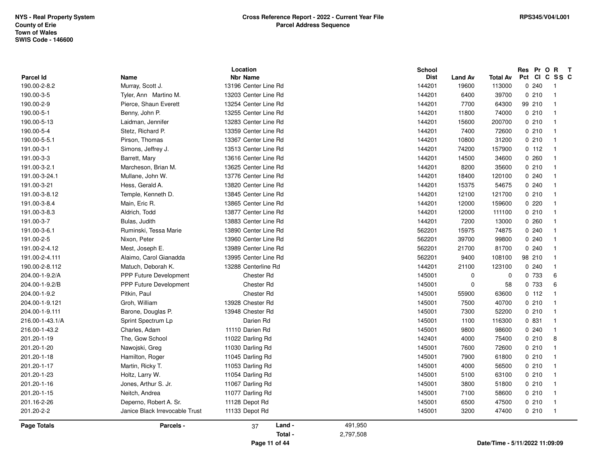|                    |                                | Location             |         | <b>School</b> |                |                 | Res Pr O | $\mathbf{R}$<br>$\mathbf{T}$ |
|--------------------|--------------------------------|----------------------|---------|---------------|----------------|-----------------|----------|------------------------------|
| Parcel Id          | Name                           | <b>Nbr Name</b>      |         | <b>Dist</b>   | <b>Land Av</b> | <b>Total Av</b> | Pct      | CICSSC                       |
| 190.00-2-8.2       | Murray, Scott J.               | 13196 Center Line Rd |         | 144201        | 19600          | 113000          | 0.240    | - 1                          |
| 190.00-3-5         | Tyler, Ann Martino M.          | 13203 Center Line Rd |         | 144201        | 6400           | 39700           | 0210     | $\overline{1}$               |
| 190.00-2-9         | Pierce, Shaun Everett          | 13254 Center Line Rd |         | 144201        | 7700           | 64300           | 99 210   | $\overline{1}$               |
| 190.00-5-1         | Benny, John P.                 | 13255 Center Line Rd |         | 144201        | 11800          | 74000           | 0210     | $\overline{1}$               |
| 190.00-5-13        | Laidman, Jennifer              | 13283 Center Line Rd |         | 144201        | 15600          | 200700          | 0210     | $\overline{1}$               |
| 190.00-5-4         | Stetz, Richard P.              | 13359 Center Line Rd |         | 144201        | 7400           | 72600           | 0210     | $\overline{1}$               |
| 190.00-5-5.1       | Pirson, Thomas                 | 13367 Center Line Rd |         | 144201        | 10800          | 31200           | 0210     | $\overline{1}$               |
| 191.00-3-1         | Simons, Jeffrey J.             | 13513 Center Line Rd |         | 144201        | 74200          | 157900          | 0.112    | $\overline{1}$               |
| 191.00-3-3         | Barrett, Mary                  | 13616 Center Line Rd |         | 144201        | 14500          | 34600           | 0.260    | $\overline{1}$               |
| 191.00-3-2.1       | Marcheson, Brian M.            | 13625 Center Line Rd |         | 144201        | 8200           | 35600           | 0210     | $\overline{\mathbf{1}}$      |
| 191.00-3-24.1      | Mullane, John W.               | 13776 Center Line Rd |         | 144201        | 18400          | 120100          | 0.240    | $\overline{\mathbf{1}}$      |
| 191.00-3-21        | Hess, Gerald A.                | 13820 Center Line Rd |         | 144201        | 15375          | 54675           | 0.240    | $\overline{1}$               |
| 191.00-3-8.12      | Temple, Kenneth D.             | 13845 Center Line Rd |         | 144201        | 12100          | 121700          | 0210     | $\overline{1}$               |
| 191.00-3-8.4       | Main, Eric R.                  | 13865 Center Line Rd |         | 144201        | 12000          | 159600          | 0.220    | $\overline{1}$               |
| 191.00-3-8.3       | Aldrich, Todd                  | 13877 Center Line Rd |         | 144201        | 12000          | 111100          | 0210     | $\overline{1}$               |
| 191.00-3-7         | Bulas, Judith                  | 13883 Center Line Rd |         | 144201        | 7200           | 13000           | 0260     | $\overline{\mathbf{1}}$      |
| 191.00-3-6.1       | Ruminski, Tessa Marie          | 13890 Center Line Rd |         | 562201        | 15975          | 74875           | 0.240    | $\overline{1}$               |
| 191.00-2-5         | Nixon, Peter                   | 13960 Center Line Rd |         | 562201        | 39700          | 99800           | 0.240    | $\overline{1}$               |
| 191.00-2-4.12      | Mest, Joseph E.                | 13989 Center Line Rd |         | 562201        | 21700          | 81700           | 0.240    | $\overline{1}$               |
| 191.00-2-4.111     | Alaimo, Carol Gianadda         | 13995 Center Line Rd |         | 562201        | 9400           | 108100          | 98 210   | -1                           |
| 190.00-2-8.112     | Matuch, Deborah K.             | 13288 Centerline Rd  |         | 144201        | 21100          | 123100          | 0240     | $\mathbf{1}$                 |
| 204.00-1-9.2/A     | <b>PPP Future Development</b>  | Chester Rd           |         | 145001        | $\mathbf 0$    | 0               | 0 733    | 6                            |
| 204.00-1-9.2/B     | <b>PPP Future Development</b>  | Chester Rd           |         | 145001        | $\mathbf 0$    | 58              | 0 733    | 6                            |
| 204.00-1-9.2       | Pitkin, Paul                   | Chester Rd           |         | 145001        | 55900          | 63600           | 0 112    | $\overline{1}$               |
| 204.00-1-9.121     | Groh, William                  | 13928 Chester Rd     |         | 145001        | 7500           | 40700           | 0210     | $\overline{\mathbf{1}}$      |
| 204.00-1-9.111     | Barone, Douglas P.             | 13948 Chester Rd     |         | 145001        | 7300           | 52200           | 0210     | $\mathbf{1}$                 |
| 216.00-1-43.1/A    | Sprint Spectrum Lp             | Darien Rd            |         | 145001        | 1100           | 116300          | 0 831    | $\overline{1}$               |
| 216.00-1-43.2      | Charles, Adam                  | 11110 Darien Rd      |         | 145001        | 9800           | 98600           | 0.240    | $\overline{1}$               |
| 201.20-1-19        | The, Gow School                | 11022 Darling Rd     |         | 142401        | 4000           | 75400           | 0210     | 8                            |
| 201.20-1-20        | Nawojski, Greg                 | 11030 Darling Rd     |         | 145001        | 7600           | 72600           | 0210     | $\overline{\mathbf{1}}$      |
| 201.20-1-18        | Hamilton, Roger                | 11045 Darling Rd     |         | 145001        | 7900           | 61800           | 0210     | $\overline{\mathbf{1}}$      |
| 201.20-1-17        | Martin, Ricky T.               | 11053 Darling Rd     |         | 145001        | 4000           | 56500           | 0210     | $\overline{1}$               |
| 201.20-1-23        | Holtz, Larry W.                | 11054 Darling Rd     |         | 145001        | 5100           | 63100           | 0.210    | $\overline{1}$               |
| 201.20-1-16        | Jones, Arthur S. Jr.           | 11067 Darling Rd     |         | 145001        | 3800           | 51800           | 0210     | $\overline{1}$               |
| 201.20-1-15        | Neitch, Andrea                 | 11077 Darling Rd     |         | 145001        | 7100           | 58600           | 0210     | $\overline{1}$               |
| 201.16-2-26        | Deperno, Robert A. Sr.         | 11128 Depot Rd       |         | 145001        | 6500           | 47500           | 0210     | $\overline{1}$               |
| 201.20-2-2         | Janice Black Irrevocable Trust | 11133 Depot Rd       |         | 145001        | 3200           | 47400           | 0210     | $\overline{1}$               |
| <b>Page Totals</b> | Parcels -                      | Land -<br>37         | 491,950 |               |                |                 |          |                              |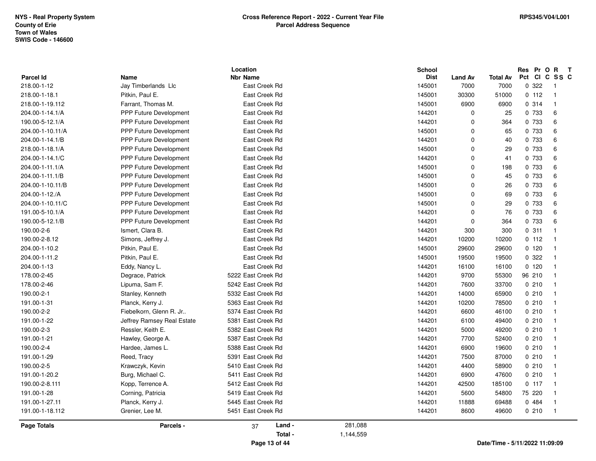|                    |                               | Location           |           | <b>School</b> |                |                 | Res Pr O R<br>$\mathbf{T}$     |
|--------------------|-------------------------------|--------------------|-----------|---------------|----------------|-----------------|--------------------------------|
| Parcel Id          | Name                          | <b>Nbr Name</b>    |           | <b>Dist</b>   | <b>Land Av</b> | <b>Total Av</b> | Pct<br>CI C SS C               |
| 218.00-1-12        | Jay Timberlands Llc           | East Creek Rd      |           | 145001        | 7000           | 7000            | 0 322<br>$\overline{1}$        |
| 218.00-1-18.1      | Pitkin, Paul E.               | East Creek Rd      |           | 145001        | 30300          | 51000           | 0 112<br>$\overline{1}$        |
| 218.00-1-19.112    | Farrant, Thomas M.            | East Creek Rd      |           | 145001        | 6900           | 6900            | 0.314<br>$\overline{1}$        |
| 204.00-1-14.1/A    | PPP Future Development        | East Creek Rd      |           | 144201        | $\Omega$       | 25              | 0 733<br>6                     |
| 190.00-5-12.1/A    | <b>PPP Future Development</b> | East Creek Rd      |           | 144201        | $\Omega$       | 364             | 0 733<br>6                     |
| 204.00-1-10.11/A   | PPP Future Development        | East Creek Rd      |           | 145001        | $\Omega$       | 65              | $\,6\,$<br>0 733               |
| 204.00-1-14.1/B    | PPP Future Development        | East Creek Rd      |           | 144201        | $\Omega$       | 40              | 0 733<br>6                     |
| 218.00-1-18.1/A    | <b>PPP Future Development</b> | East Creek Rd      |           | 145001        | $\Omega$       | 29              | 6<br>0 733                     |
| 204.00-1-14.1/C    | <b>PPP Future Development</b> | East Creek Rd      |           | 144201        | $\Omega$       | 41              | $\,6\,$<br>0 733               |
| 204.00-1-11.1/A    | <b>PPP Future Development</b> | East Creek Rd      |           | 145001        | $\Omega$       | 198             | 0 733<br>6                     |
| 204.00-1-11.1/B    | <b>PPP Future Development</b> | East Creek Rd      |           | 145001        | $\Omega$       | 45              | 0 733<br>$\,6\,$               |
| 204.00-1-10.11/B   | <b>PPP Future Development</b> | East Creek Rd      |           | 145001        | $\Omega$       | 26              | 0 733<br>6                     |
| 204.00-1-12./A     | PPP Future Development        | East Creek Rd      |           | 145001        | $\Omega$       | 69              | $\,6\,$<br>0 733               |
| 204.00-1-10.11/C   | <b>PPP Future Development</b> | East Creek Rd      |           | 145001        | $\Omega$       | 29              | 0 733<br>6                     |
| 191.00-5-10.1/A    | <b>PPP Future Development</b> | East Creek Rd      |           | 144201        | 0              | 76              | $\,6\,$<br>0 733               |
| 190.00-5-12.1/B    | PPP Future Development        | East Creek Rd      |           | 144201        | $\mathbf 0$    | 364             | 0 733<br>6                     |
| 190.00-2-6         | Ismert, Clara B.              | East Creek Rd      |           | 144201        | 300            | 300             | 0.311<br>$\overline{1}$        |
| 190.00-2-8.12      | Simons, Jeffrey J.            | East Creek Rd      |           | 144201        | 10200          | 10200           | 0 112<br>$\overline{1}$        |
| 204.00-1-10.2      | Pitkin, Paul E.               | East Creek Rd      |           | 145001        | 29600          | 29600           | 0, 120<br>$\overline{1}$       |
| 204.00-1-11.2      | Pitkin, Paul E.               | East Creek Rd      |           | 145001        | 19500          | 19500           | 0.322<br>$\overline{1}$        |
| 204.00-1-13        | Eddy, Nancy L.                | East Creek Rd      |           | 144201        | 16100          | 16100           | 0120<br>$\overline{1}$         |
| 178.00-2-45        | Degrace, Patrick              | 5222 East Creek Rd |           | 144201        | 9700           | 55300           | 96 210<br>$\overline{1}$       |
| 178.00-2-46        | Lipuma, Sam F.                | 5242 East Creek Rd |           | 144201        | 7600           | 33700           | 0210<br>$\overline{1}$         |
| 190.00-2-1         | Stanley, Kenneth              | 5332 East Creek Rd |           | 144201        | 14000          | 65900           | 0210<br>$\overline{1}$         |
| 191.00-1-31        | Planck, Kerry J.              | 5363 East Creek Rd |           | 144201        | 10200          | 78500           | 0210<br>$\overline{1}$         |
| 190.00-2-2         | Fiebelkorn, Glenn R. Jr       | 5374 East Creek Rd |           | 144201        | 6600           | 46100           | 0210<br>$\overline{1}$         |
| 191.00-1-22        | Jeffrey Ramsey Real Estate    | 5381 East Creek Rd |           | 144201        | 6100           | 49400           | 0210<br>$\overline{1}$         |
| 190.00-2-3         | Ressler, Keith E.             | 5382 East Creek Rd |           | 144201        | 5000           | 49200           | 0210<br>$\overline{1}$         |
| 191.00-1-21        | Hawley, George A.             | 5387 East Creek Rd |           | 144201        | 7700           | 52400           | 0210<br>$\overline{1}$         |
| 190.00-2-4         | Hardee, James L.              | 5388 East Creek Rd |           | 144201        | 6900           | 19600           | 0210<br>$\overline{1}$         |
| 191.00-1-29        | Reed, Tracy                   | 5391 East Creek Rd |           | 144201        | 7500           | 87000           | 0210<br>$\overline{1}$         |
| 190.00-2-5         | Krawczyk, Kevin               | 5410 East Creek Rd |           | 144201        | 4400           | 58900           | 0210<br>$\overline{1}$         |
| 191.00-1-20.2      | Burg, Michael C.              | 5411 East Creek Rd |           | 144201        | 6900           | 47600           | 0210<br>$\overline{1}$         |
| 190.00-2-8.111     | Kopp, Terrence A.             | 5412 East Creek Rd |           | 144201        | 42500          | 185100          | 0.117<br>$\overline{1}$        |
| 191.00-1-28        | Corning, Patricia             | 5419 East Creek Rd |           | 144201        | 5600           | 54800           | 75 220<br>$\overline{1}$       |
| 191.00-1-27.11     | Planck, Kerry J.              | 5445 East Creek Rd |           | 144201        | 11888          | 69488           | 0484<br>$\overline{1}$         |
| 191.00-1-18.112    | Grenier, Lee M.               | 5451 East Creek Rd |           | 144201        | 8600           | 49600           | 0210<br>$\overline{1}$         |
| <b>Page Totals</b> | Parcels -                     | Land -<br>37       | 281,088   |               |                |                 |                                |
|                    |                               | Total -            | 1,144,559 |               |                |                 |                                |
|                    |                               | Page 13 of 44      |           |               |                |                 | Date/Time - 5/11/2022 11:09:09 |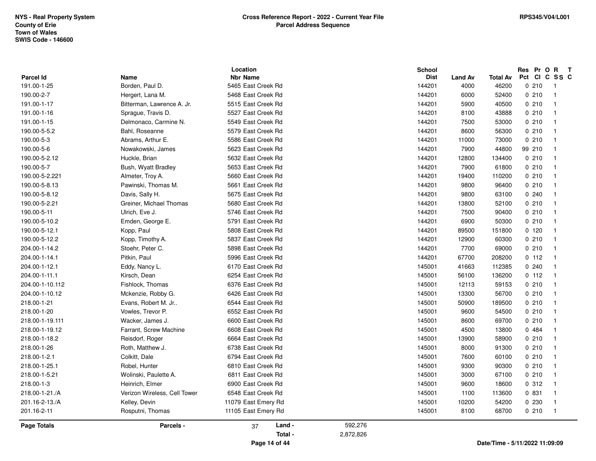|                                 |                                                | Location                                 |           | School                |                        |                          | Res Pr O R<br>Pct CI C SS C    | $\mathbf{T}$                              |
|---------------------------------|------------------------------------------------|------------------------------------------|-----------|-----------------------|------------------------|--------------------------|--------------------------------|-------------------------------------------|
| <b>Parcel Id</b><br>191.00-1-25 | Name<br>Borden, Paul D.                        | <b>Nbr Name</b><br>5465 East Creek Rd    |           | <b>Dist</b><br>144201 | <b>Land Av</b><br>4000 | <b>Total Av</b><br>46200 | 0210                           | $\overline{1}$                            |
| 190.00-2-7                      |                                                | 5468 East Creek Rd                       |           | 144201                | 6000                   | 52400                    | 0210                           | $\overline{1}$                            |
| 191.00-1-17                     | Hergert, Lana M.<br>Bitterman, Lawrence A. Jr. | 5515 East Creek Rd                       |           | 144201                | 5900                   | 40500                    | 0210                           | $\overline{1}$                            |
| 191.00-1-16                     |                                                | 5527 East Creek Rd                       |           | 144201                | 8100                   | 43888                    | 0210                           | $\overline{1}$                            |
|                                 | Sprague, Travis D.                             | 5549 East Creek Rd                       |           |                       | 7500                   |                          | 0.210                          | $\overline{1}$                            |
| 191.00-1-15<br>190.00-5-5.2     | Delmonaco, Carmine N.<br>Bahl, Roseanne        | 5579 East Creek Rd                       |           | 144201<br>144201      | 8600                   | 53000                    | 0210                           | $\overline{1}$                            |
|                                 |                                                |                                          |           |                       |                        | 56300                    |                                |                                           |
| 190.00-5-3                      | Abrams, Arthur E.                              | 5586 East Creek Rd<br>5623 East Creek Rd |           | 144201                | 11000                  | 73000                    | 0210                           | $\overline{1}$<br>$\overline{\mathbf{1}}$ |
| 190.00-5-6                      | Nowakowski, James                              |                                          |           | 144201                | 7900                   | 44800                    | 99 210                         | $\overline{\mathbf{1}}$                   |
| 190.00-5-2.12                   | Huckle, Brian                                  | 5632 East Creek Rd                       |           | 144201                | 12800                  | 134400                   | 0210                           |                                           |
| 190.00-5-7                      | Bush, Wyatt Bradley                            | 5653 East Creek Rd                       |           | 144201                | 7900                   | 61800                    | 0210                           | $\overline{1}$                            |
| 190.00-5-2.221                  | Almeter, Troy A.                               | 5660 East Creek Rd                       |           | 144201                | 19400                  | 110200                   | 0210                           | $\overline{1}$                            |
| 190.00-5-8.13                   | Pawinski, Thomas M.                            | 5661 East Creek Rd                       |           | 144201                | 9800                   | 96400                    | 0210                           | $\overline{1}$                            |
| 190.00-5-8.12                   | Davis, Sally H.                                | 5675 East Creek Rd                       |           | 144201                | 9800                   | 63100                    | 0.240                          | $\overline{1}$<br>$\overline{1}$          |
| 190.00-5-2.21                   | Greiner, Michael Thomas                        | 5680 East Creek Rd                       |           | 144201                | 13800                  | 52100                    | 0210                           |                                           |
| 190.00-5-11                     | Ulrich, Eve J.                                 | 5746 East Creek Rd                       |           | 144201                | 7500                   | 90400                    | 0210                           | $\overline{1}$                            |
| 190.00-5-10.2                   | Emden, George E.                               | 5791 East Creek Rd                       |           | 144201                | 6900                   | 50300                    | 0210                           | $\overline{\mathbf{1}}$                   |
| 190.00-5-12.1                   | Kopp, Paul                                     | 5808 East Creek Rd                       |           | 144201                | 89500                  | 151800                   | 0, 120                         | $\overline{\mathbf{1}}$<br>$\overline{1}$ |
| 190.00-5-12.2                   | Kopp, Timothy A.                               | 5837 East Creek Rd                       |           | 144201                | 12900                  | 60300                    | 0210                           |                                           |
| 204.00-1-14.2                   | Stoehr, Peter C.                               | 5898 East Creek Rd                       |           | 144201                | 7700                   | 69000                    | 0210                           | $\overline{\mathbf{1}}$                   |
| 204.00-1-14.1                   | Pitkin, Paul                                   | 5996 East Creek Rd                       |           | 144201                | 67700                  | 208200                   | 0 112                          | $\overline{1}$                            |
| 204.00-1-12.1                   | Eddy, Nancy L.                                 | 6170 East Creek Rd                       |           | 145001                | 41663                  | 112385                   | 0.240                          | $\mathbf{1}$                              |
| 204.00-1-11.1                   | Kirsch, Dean                                   | 6254 East Creek Rd                       |           | 145001                | 56100                  | 136200                   | 0 112                          | $\overline{1}$                            |
| 204.00-1-10.112                 | Fishlock, Thomas                               | 6376 East Creek Rd                       |           | 145001                | 12113                  | 59153                    | 0210                           | $\overline{1}$                            |
| 204.00-1-10.12                  | Mckenzie, Robby G.                             | 6426 East Creek Rd                       |           | 145001                | 13300                  | 56700                    | 0210                           | $\overline{1}$                            |
| 218.00-1-21                     | Evans, Robert M. Jr                            | 6544 East Creek Rd                       |           | 145001                | 50900                  | 189500                   | 0210                           | $\overline{1}$                            |
| 218.00-1-20                     | Vowles, Trevor P.                              | 6552 East Creek Rd                       |           | 145001                | 9600                   | 54500                    | 0210                           | $\overline{\mathbf{1}}$                   |
| 218.00-1-19.111                 | Wacker, James J.                               | 6600 East Creek Rd                       |           | 145001                | 8600                   | 69700                    | 0210                           | $\overline{\mathbf{1}}$                   |
| 218.00-1-19.12                  | Farrant, Screw Machine                         | 6608 East Creek Rd                       |           | 145001                | 4500                   | 13800                    | 0.484                          | $\overline{1}$                            |
| 218.00-1-18.2                   | Reisdorf, Roger                                | 6664 East Creek Rd                       |           | 145001                | 13900                  | 58900                    | 0210                           | $\overline{1}$                            |
| 218.00-1-26                     | Roth, Matthew J.                               | 6738 East Creek Rd                       |           | 145001                | 8000                   | 91300                    | 0210                           | $\overline{\mathbf{1}}$                   |
| 218.00-1-2.1                    | Colkitt, Dale                                  | 6794 East Creek Rd                       |           | 145001                | 7600                   | 60100                    | 0210                           | $\overline{\mathbf{1}}$                   |
| 218.00-1-25.1                   | Robel, Hunter                                  | 6810 East Creek Rd                       |           | 145001                | 9300                   | 90300                    | 0210                           | $\overline{1}$                            |
| 218.00-1-5.21                   | Wolinski, Paulette A.                          | 6811 East Creek Rd                       |           | 145001                | 3000                   | 67100                    | 0.210                          | $\overline{1}$                            |
| 218.00-1-3                      | Heinrich, Elmer                                | 6900 East Creek Rd                       |           | 145001                | 9600                   | 18600                    | 0.312                          | $\overline{1}$                            |
| 218.00-1-21./A                  | Verizon Wireless, Cell Tower                   | 6548 East Creek Rd                       |           | 145001                | 1100                   | 113600                   | 0 831                          | $\overline{1}$                            |
| 201.16-2-13./A                  | Kelley, Devin                                  | 11079 East Emery Rd                      |           | 145001                | 10200                  | 54200                    | 0230                           | $\overline{1}$                            |
| 201.16-2-11                     | Rosputni, Thomas                               | 11105 East Emery Rd                      |           | 145001                | 8100                   | 68700                    | 0210                           | $\overline{1}$                            |
| <b>Page Totals</b>              | Parcels -                                      | Land -<br>37                             | 592,276   |                       |                        |                          |                                |                                           |
|                                 |                                                | Total -                                  | 2,872,826 |                       |                        |                          |                                |                                           |
|                                 |                                                | Page 14 of 44                            |           |                       |                        |                          | Date/Time - 5/11/2022 11:09:09 |                                           |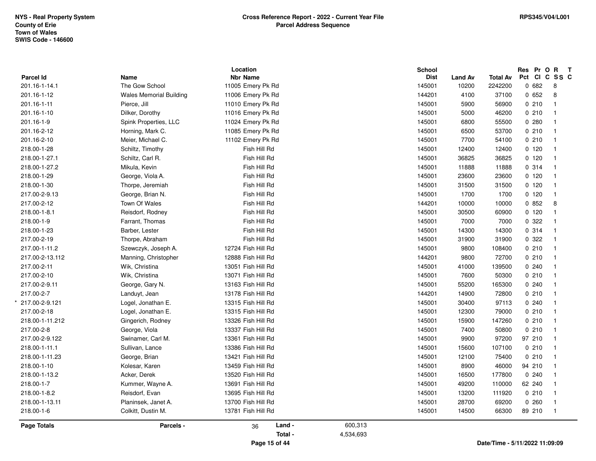|                  |                                | Location           |           | School                        |                                |        | Res Pr O R<br>$\mathsf{T}$ |
|------------------|--------------------------------|--------------------|-----------|-------------------------------|--------------------------------|--------|----------------------------|
| <b>Parcel Id</b> | Name                           | <b>Nbr Name</b>    |           | <b>Dist</b><br><b>Land Av</b> | <b>Total Av</b>                |        | Pct CI C SS C              |
| 201.16-1-14.1    | The Gow School                 | 11005 Emery Pk Rd  |           | 145001<br>10200               | 2242200                        | 0682   | 8                          |
| 201.16-1-12      | <b>Wales Memorial Building</b> | 11006 Emery Pk Rd  |           | 144201<br>4100                | 37100                          | 0652   | 8                          |
| 201.16-1-11      | Pierce, Jill                   | 11010 Emery Pk Rd  |           | 145001<br>5900                | 56900                          | 0210   | $\mathbf{1}$               |
| 201.16-1-10      | Dilker, Dorothy                | 11016 Emery Pk Rd  |           | 145001<br>5000                | 46200                          | 0210   | $\overline{1}$             |
| 201.16-1-9       | Spink Properties, LLC          | 11024 Emery Pk Rd  |           | 145001<br>6800                | 55500                          | 0.280  | $\mathbf{1}$               |
| 201.16-2-12      | Horning, Mark C.               | 11085 Emery Pk Rd  |           | 145001<br>6500                | 53700                          | 0210   | $\overline{1}$             |
| 201.16-2-10      | Meier, Michael C.              | 11102 Emery Pk Rd  |           | 145001<br>7700                | 54100                          | 0210   | $\overline{1}$             |
| 218.00-1-28      | Schiltz, Timothy               | Fish Hill Rd       |           | 145001<br>12400               | 12400                          | 0, 120 | $\overline{1}$             |
| 218.00-1-27.1    | Schiltz, Carl R.               | Fish Hill Rd       |           | 145001<br>36825               | 36825                          | 0 120  | $\overline{1}$             |
| 218.00-1-27.2    | Mikula, Kevin                  | Fish Hill Rd       |           | 145001<br>11888               | 11888                          | 0.314  | $\overline{1}$             |
| 218.00-1-29      | George, Viola A.               | Fish Hill Rd       |           | 145001<br>23600               | 23600                          | 0, 120 | $\overline{1}$             |
| 218.00-1-30      | Thorpe, Jeremiah               | Fish Hill Rd       |           | 145001<br>31500               | 31500                          | 0, 120 | $\mathbf{1}$               |
| 217.00-2-9.13    | George, Brian N.               | Fish Hill Rd       |           | 145001<br>1700                | 1700                           | 0,120  | $\mathbf{1}$               |
| 217.00-2-12      | Town Of Wales                  | Fish Hill Rd       |           | 144201<br>10000               | 10000                          | 0852   | 8                          |
| 218.00-1-8.1     | Reisdorf, Rodney               | Fish Hill Rd       |           | 145001<br>30500               | 60900                          | 0, 120 | $\mathbf{1}$               |
| 218.00-1-9       | Farrant, Thomas                | Fish Hill Rd       |           | 145001<br>7000                | 7000                           | 0.322  | $\overline{1}$             |
| 218.00-1-23      | Barber, Lester                 | Fish Hill Rd       |           | 14300<br>145001               | 14300                          | 0.314  | $\mathbf{1}$               |
| 217.00-2-19      | Thorpe, Abraham                | Fish Hill Rd       |           | 145001<br>31900               | 31900                          | 0.322  | $\mathbf{1}$               |
| 217.00-1-11.2    | Szewczyk, Joseph A.            | 12724 Fish Hill Rd |           | 145001<br>9800                | 108400                         | 0210   | $\overline{1}$             |
| 217.00-2-13.112  | Manning, Christopher           | 12888 Fish Hill Rd |           | 144201<br>9800                | 72700                          | 0210   | $\overline{1}$             |
| 217.00-2-11      | Wik, Christina                 | 13051 Fish Hill Rd |           | 145001<br>41000               | 139500                         | 0.240  | $\overline{1}$             |
| 217.00-2-10      | Wik, Christina                 | 13071 Fish Hill Rd |           | 145001<br>7600                | 50300                          | 0210   | $\overline{1}$             |
| 217.00-2-9.11    | George, Gary N.                | 13163 Fish Hill Rd |           | 145001<br>55200               | 165300                         | 0.240  | $\mathbf{1}$               |
| 217.00-2-7       | Landuyt, Jean                  | 13178 Fish Hill Rd |           | 144201<br>14900               | 72800                          | 0210   | $\mathbf{1}$               |
| 217.00-2-9.121   | Logel, Jonathan E.             | 13315 Fish Hill Rd |           | 145001<br>30400               | 97113                          | 0.240  | $\mathbf{1}$               |
| 217.00-2-18      | Logel, Jonathan E.             | 13315 Fish Hill Rd |           | 145001<br>12300               | 79000                          | 0210   | $\mathbf{1}$               |
| 218.00-1-11.212  | Gingerich, Rodney              | 13326 Fish Hill Rd |           | 15900<br>145001               | 147260                         | 0210   | $\mathbf{1}$               |
| 217.00-2-8       | George, Viola                  | 13337 Fish Hill Rd |           | 145001<br>7400                | 50800                          | 0210   | $\overline{1}$             |
| 217.00-2-9.122   | Swinamer, Carl M.              | 13361 Fish Hill Rd |           | 145001<br>9900                | 97200                          | 97 210 | $\mathbf{1}$               |
| 218.00-1-11.1    | Sullivan, Lance                | 13386 Fish Hill Rd |           | 145001<br>15600               | 107100                         | 0210   | $\overline{1}$             |
| 218.00-1-11.23   | George, Brian                  | 13421 Fish Hill Rd |           | 145001<br>12100               | 75400                          | 0210   | $\mathbf{1}$               |
| 218.00-1-10      | Kolesar, Karen                 | 13459 Fish Hill Rd |           | 145001<br>8900                | 46000                          | 94 210 | $\mathbf{1}$               |
| 218.00-1-13.2    | Acker, Derek                   | 13520 Fish Hill Rd |           | 145001<br>16500               | 177800                         | 0.240  | $\overline{1}$             |
| 218.00-1-7       | Kummer, Wayne A.               | 13691 Fish Hill Rd |           | 49200<br>145001               | 110000                         | 62 240 | $\mathbf{1}$               |
| 218.00-1-8.2     | Reisdorf, Evan                 | 13695 Fish Hill Rd |           | 145001<br>13200               | 111920                         | 0210   | $\mathbf{1}$               |
| 218.00-1-13.11   | Planinsek, Janet A.            | 13700 Fish Hill Rd |           | 145001<br>28700               | 69200                          | 0.260  | $\mathbf{1}$               |
| 218.00-1-6       | Colkitt, Dustin M.             | 13781 Fish Hill Rd |           | 145001<br>14500               | 66300                          | 89 210 | $\overline{\mathbf{1}}$    |
| Page Totals      | Parcels -                      | Land -<br>36       | 600,313   |                               |                                |        |                            |
|                  |                                | Total -            | 4,534,693 |                               |                                |        |                            |
|                  |                                | Page 15 of 44      |           |                               | Date/Time - 5/11/2022 11:09:09 |        |                            |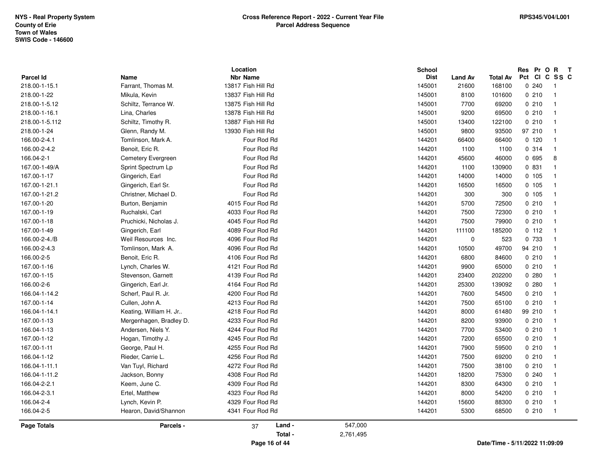|                  |                         | Location           |           | <b>School</b> |                |                                |        | Res Pr O R              | $\mathbf{T}$ |
|------------------|-------------------------|--------------------|-----------|---------------|----------------|--------------------------------|--------|-------------------------|--------------|
| <b>Parcel Id</b> | Name                    | <b>Nbr Name</b>    |           | <b>Dist</b>   | <b>Land Av</b> | Total Av                       |        | Pct CI C SS C           |              |
| 218.00-1-15.1    | Farrant, Thomas M.      | 13817 Fish Hill Rd |           | 145001        | 21600          | 168100                         | 0240   |                         |              |
| 218.00-1-22      | Mikula, Kevin           | 13837 Fish Hill Rd |           | 145001        | 8100           | 101600                         | 0210   | $\overline{1}$          |              |
| 218.00-1-5.12    | Schiltz, Terrance W.    | 13875 Fish Hill Rd |           | 145001        | 7700           | 69200                          | 0210   | -1                      |              |
| 218.00-1-16.1    | Lina, Charles           | 13878 Fish Hill Rd |           | 145001        | 9200           | 69500                          | 0210   | $\overline{\mathbf{1}}$ |              |
| 218.00-1-5.112   | Schiltz, Timothy R.     | 13887 Fish Hill Rd |           | 145001        | 13400          | 122100                         | 0210   |                         |              |
| 218.00-1-24      | Glenn, Randy M.         | 13930 Fish Hill Rd |           | 145001        | 9800           | 93500                          | 97 210 | $\overline{1}$          |              |
| 166.00-2-4.1     | Tomlinson, Mark A.      | Four Rod Rd        |           | 144201        | 66400          | 66400                          | 0,120  | $\overline{1}$          |              |
| 166.00-2-4.2     | Benoit, Eric R.         | Four Rod Rd        |           | 144201        | 1100           | 1100                           | 0 314  | $\overline{\mathbf{1}}$ |              |
| 166.04-2-1       | Cemetery Evergreen      | Four Rod Rd        |           | 144201        | 45600          | 46000                          | 0 695  |                         | 8            |
| 167.00-1-49/A    | Sprint Spectrum Lp      | Four Rod Rd        |           | 144201        | 1100           | 130900                         | 0 831  | $\overline{1}$          |              |
| 167.00-1-17      | Gingerich, Earl         | Four Rod Rd        |           | 144201        | 14000          | 14000                          | 0.105  | $\mathbf{1}$            |              |
| 167.00-1-21.1    | Gingerich, Earl Sr.     | Four Rod Rd        |           | 144201        | 16500          | 16500                          | 0, 105 | $\overline{1}$          |              |
| 167.00-1-21.2    | Christner, Michael D.   | Four Rod Rd        |           | 144201        | 300            | 300                            | 0, 105 | $\overline{1}$          |              |
| 167.00-1-20      | Burton, Benjamin        | 4015 Four Rod Rd   |           | 144201        | 5700           | 72500                          | 0210   | $\overline{1}$          |              |
| 167.00-1-19      | Ruchalski, Carl         | 4033 Four Rod Rd   |           | 144201        | 7500           | 72300                          | 0210   | $\overline{1}$          |              |
| 167.00-1-18      | Pruchicki, Nicholas J.  | 4045 Four Rod Rd   |           | 144201        | 7500           | 79900                          | 0210   | $\overline{1}$          |              |
| 167.00-1-49      | Gingerich, Earl         | 4089 Four Rod Rd   |           | 144201        | 111100         | 185200                         | 0 112  | $\mathbf{1}$            |              |
| 166.00-2-4./B    | Weil Resources Inc.     | 4096 Four Rod Rd   |           | 144201        | 0              | 523                            | 0 733  |                         |              |
| 166.00-2-4.3     | Tomlinson, Mark A.      | 4096 Four Rod Rd   |           | 144201        | 10500          | 49700                          | 94 210 | -1                      |              |
| 166.00-2-5       | Benoit, Eric R.         | 4106 Four Rod Rd   |           | 144201        | 6800           | 84600                          | 0210   | $\overline{1}$          |              |
| 167.00-1-16      | Lynch, Charles W.       | 4121 Four Rod Rd   |           | 144201        | 9900           | 65000                          | 0210   | $\overline{1}$          |              |
| 167.00-1-15      | Stevenson, Garnett      | 4139 Four Rod Rd   |           | 144201        | 23400          | 202200                         | 0.280  |                         |              |
| 166.00-2-6       | Gingerich, Earl Jr.     | 4164 Four Rod Rd   |           | 144201        | 25300          | 139092                         | 0.280  | $\overline{1}$          |              |
| 166.04-1-14.2    | Scherf, Paul R. Jr.     | 4200 Four Rod Rd   |           | 144201        | 7600           | 54500                          | 0210   | $\overline{1}$          |              |
| 167.00-1-14      | Cullen, John A.         | 4213 Four Rod Rd   |           | 144201        | 7500           | 65100                          | 0210   | $\overline{1}$          |              |
| 166.04-1-14.1    | Keating, William H. Jr  | 4218 Four Rod Rd   |           | 144201        | 8000           | 61480                          | 99 210 | $\overline{1}$          |              |
| 167.00-1-13      | Mergenhagen, Bradley D. | 4233 Four Rod Rd   |           | 144201        | 8200           | 93900                          | 0210   | $\overline{1}$          |              |
| 166.04-1-13      | Andersen, Niels Y.      | 4244 Four Rod Rd   |           | 144201        | 7700           | 53400                          | 0210   | $\overline{1}$          |              |
| 167.00-1-12      | Hogan, Timothy J.       | 4245 Four Rod Rd   |           | 144201        | 7200           | 65500                          | 0210   | $\overline{1}$          |              |
| 167.00-1-11      | George, Paul H.         | 4255 Four Rod Rd   |           | 144201        | 7900           | 59500                          | 0210   | $\overline{1}$          |              |
| 166.04-1-12      | Rieder, Carrie L.       | 4256 Four Rod Rd   |           | 144201        | 7500           | 69200                          | 0210   | $\overline{1}$          |              |
| 166.04-1-11.1    | Van Tuyl, Richard       | 4272 Four Rod Rd   |           | 144201        | 7500           | 38100                          | 0210   | $\overline{1}$          |              |
| 166.04-1-11.2    | Jackson, Bonny          | 4308 Four Rod Rd   |           | 144201        | 18200          | 75300                          | 0240   | -1                      |              |
| 166.04-2-2.1     | Keem, June C.           | 4309 Four Rod Rd   |           | 144201        | 8300           | 64300                          | 0210   | $\overline{1}$          |              |
| 166.04-2-3.1     | Ertel, Matthew          | 4323 Four Rod Rd   |           | 144201        | 8000           | 54200                          | 0210   | $\overline{1}$          |              |
| 166.04-2-4       | Lynch, Kevin P.         | 4329 Four Rod Rd   |           | 144201        | 15600          | 88300                          | 0210   | $\mathbf{1}$            |              |
| 166.04-2-5       | Hearon, David/Shannon   | 4341 Four Rod Rd   |           | 144201        | 5300           | 68500                          | 0210   | $\overline{1}$          |              |
| Page Totals      | Parcels -               | Land -<br>37       | 547,000   |               |                |                                |        |                         |              |
|                  |                         | Total -            | 2,761,495 |               |                |                                |        |                         |              |
|                  |                         | Page 16 of 44      |           |               |                | Date/Time - 5/11/2022 11:09:09 |        |                         |              |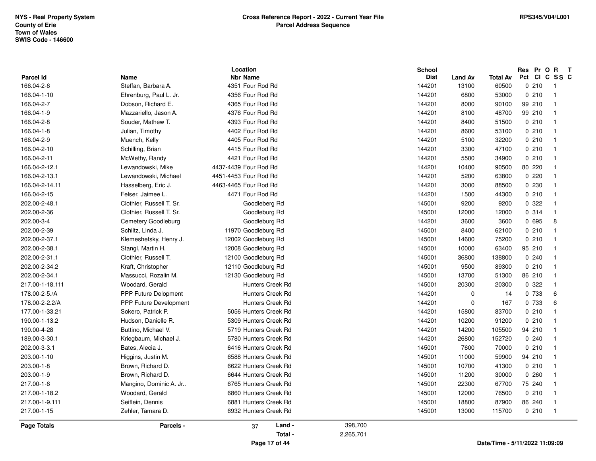|                           |                               | Location                             |           | <b>School</b>    |                |                                | Res Pr O R T  |                                  |
|---------------------------|-------------------------------|--------------------------------------|-----------|------------------|----------------|--------------------------------|---------------|----------------------------------|
| <b>Parcel Id</b>          | Name<br>Steffan, Barbara A.   | <b>Nbr Name</b>                      |           | <b>Dist</b>      | <b>Land Av</b> | <b>Total Av</b>                | Pct CI C SS C |                                  |
| 166.04-2-6<br>166.04-1-10 | Ehrenburg, Paul L. Jr.        | 4351 Four Rod Rd<br>4356 Four Rod Rd |           | 144201<br>144201 | 13100<br>6800  | 60500<br>53000                 | 0210<br>0210  | $\overline{1}$<br>$\overline{1}$ |
| 166.04-2-7                |                               | 4365 Four Rod Rd                     |           | 144201           |                |                                |               | $\overline{1}$                   |
|                           | Dobson, Richard E.            |                                      |           |                  | 8000           | 90100                          | 99 210        | $\overline{1}$                   |
| 166.04-1-9                | Mazzariello, Jason A.         | 4376 Four Rod Rd                     |           | 144201           | 8100           | 48700                          | 99 210        |                                  |
| 166.04-2-8                | Souder, Mathew T.             | 4393 Four Rod Rd                     |           | 144201           | 8400           | 51500                          | 0210          | $\overline{1}$                   |
| 166.04-1-8                | Julian, Timothy               | 4402 Four Rod Rd                     |           | 144201           | 8600           | 53100                          | 0210          | $\overline{1}$                   |
| 166.04-2-9                | Muench, Kelly                 | 4405 Four Rod Rd                     |           | 144201           | 5100           | 32200                          | 0210          | $\overline{1}$                   |
| 166.04-2-10               | Schilling, Brian              | 4415 Four Rod Rd                     |           | 144201           | 3300           | 47100                          | 0210          | $\overline{1}$                   |
| 166.04-2-11               | McWethy, Randy                | 4421 Four Rod Rd                     |           | 144201           | 5500           | 34900                          | 0210          | $\overline{1}$                   |
| 166.04-2-12.1             | Lewandowski, Mike             | 4437-4439 Four Rod Rd                |           | 144201           | 10400          | 90500                          | 80 220        | $\overline{1}$                   |
| 166.04-2-13.1             | Lewandowski, Michael          | 4451-4453 Four Rod Rd                |           | 144201           | 5200           | 63800                          | 0220          | $\overline{\phantom{0}}$         |
| 166.04-2-14.11            | Hasselberg, Eric J.           | 4463-4465 Four Rod Rd                |           | 144201           | 3000           | 88500                          | 0 2 3 0       | $\overline{\phantom{0}}$         |
| 166.04-2-15               | Felser, Jaimee L.             | 4471 Four Rod Rd                     |           | 144201           | 1500           | 44300                          | 0210          | $\overline{1}$                   |
| 202.00-2-48.1             | Clothier, Russell T. Sr.      | Goodleberg Rd                        |           | 145001           | 9200           | 9200                           | 0.322         | $\overline{1}$                   |
| 202.00-2-36               | Clothier, Russell T. Sr.      | Goodleburg Rd                        |           | 145001           | 12000          | 12000                          | 0.314         | $\overline{1}$                   |
| 202.00-3-4                | Cemetery Goodleburg           | Goodleburg Rd                        |           | 144201           | 3600           | 3600                           | 0 695         | 8                                |
| 202.00-2-39               | Schiltz, Linda J.             | 11970 Goodleburg Rd                  |           | 145001           | 8400           | 62100                          | 0210          | $\overline{1}$                   |
| 202.00-2-37.1             | Klemeshefsky, Henry J.        | 12002 Goodleburg Rd                  |           | 145001           | 14600          | 75200                          | 0210          | $\overline{1}$                   |
| 202.00-2-38.1             | Stangl, Martin H.             | 12008 Goodleburg Rd                  |           | 145001           | 10000          | 63400                          | 95 210        | $\overline{\phantom{0}}$         |
| 202.00-2-31.1             | Clothier, Russell T.          | 12100 Goodleburg Rd                  |           | 145001           | 36800          | 138800                         | 0.240         | $\overline{1}$                   |
| 202.00-2-34.2             | Kraft, Christopher            | 12110 Goodleburg Rd                  |           | 145001           | 9500           | 89300                          | 0210          | - 1                              |
| 202.00-2-34.1             | Massucci, Rozalin M.          | 12130 Goodleburg Rd                  |           | 145001           | 13700          | 51300                          | 86 210        | $\overline{\phantom{0}}$         |
| 217.00-1-18.111           | Woodard, Gerald               | <b>Hunters Creek Rd</b>              |           | 145001           | 20300          | 20300                          | 0.322         | $\overline{1}$                   |
| 178.00-2-5./A             | <b>PPP Future Delopment</b>   | <b>Hunters Creek Rd</b>              |           | 144201           | $\mathbf 0$    | 14                             | 0 733         | 6                                |
| 178.00-2-2.2/A            | <b>PPP Future Development</b> | Hunters Creek Rd                     |           | 144201           | $\mathbf 0$    | 167                            | 0 733         | 6                                |
| 177.00-1-33.21            | Sokero, Patrick P.            | 5056 Hunters Creek Rd                |           | 144201           | 15800          | 83700                          | 0210          | $\overline{\phantom{0}}$         |
| 190.00-1-13.2             | Hudson, Danielle R.           | 5309 Hunters Creek Rd                |           | 144201           | 10200          | 91200                          | 0210          | $\overline{\phantom{0}}$         |
| 190.00-4-28               | Buttino, Michael V.           | 5719 Hunters Creek Rd                |           | 144201           | 14200          | 105500                         | 94 210        | - 1                              |
| 189.00-3-30.1             | Kriegbaum, Michael J.         | 5780 Hunters Creek Rd                |           | 144201           | 26800          | 152720                         | 0.240         | $\overline{\phantom{0}}$         |
| 202.00-3-3.1              | Bates, Alecia J.              | 6416 Hunters Creek Rd                |           | 145001           | 7600           | 70000                          | 0210          | $\overline{1}$                   |
| 203.00-1-10               | Higgins, Justin M.            | 6588 Hunters Creek Rd                |           | 145001           | 11000          | 59900                          | 94 210        | - 1                              |
| 203.00-1-8                | Brown, Richard D.             | 6622 Hunters Creek Rd                |           | 145001           | 10700          | 41300                          | 0210          | $\overline{1}$                   |
| 203.00-1-9                | Brown, Richard D.             | 6644 Hunters Creek Rd                |           | 145001           | 11200          | 30000                          | 0260          | - 1                              |
| 217.00-1-6                | Mangino, Dominic A. Jr        | 6765 Hunters Creek Rd                |           | 145001           | 22300          | 67700                          | 75 240        | $\overline{1}$                   |
| 217.00-1-18.2             | Woodard, Gerald               | 6860 Hunters Creek Rd                |           | 145001           | 12000          | 76500                          | 0210          | $\overline{1}$                   |
| 217.00-1-9.111            | Seiflein, Dennis              | 6881 Hunters Creek Rd                |           | 145001           | 18800          | 87900                          | 86 240        | $\overline{\phantom{1}}$         |
| 217.00-1-15               | Zehler, Tamara D.             | 6932 Hunters Creek Rd                |           | 145001           | 13000          | 115700                         | 0210          | $\overline{1}$                   |
| <b>Page Totals</b>        | Parcels -                     | Land -<br>37                         | 398,700   |                  |                |                                |               |                                  |
|                           |                               | Total -                              | 2,265,701 |                  |                |                                |               |                                  |
|                           |                               | Page 17 of 44                        |           |                  |                | Date/Time - 5/11/2022 11:09:09 |               |                                  |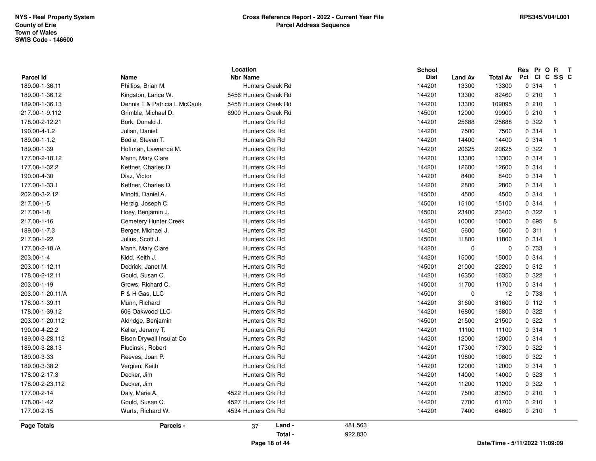| Parcel Id<br>189.00-1-36.11 | Name<br>Phillips, Brian M.    | <b>Nbr Name</b><br>Hunters Creek Rd |         | <b>Dist</b><br>144201 | <b>Land Av</b><br>13300 | <b>Total Av</b><br>13300 | CICSSC<br>Pct<br>0.314         | $\overline{1}$ |
|-----------------------------|-------------------------------|-------------------------------------|---------|-----------------------|-------------------------|--------------------------|--------------------------------|----------------|
| 189.00-1-36.12              | Kingston, Lance W.            | 5456 Hunters Creek Rd               |         | 144201                | 13300                   | 82460                    | 0210                           | $\overline{1}$ |
| 189.00-1-36.13              | Dennis T & Patricia L McCaule | 5458 Hunters Creek Rd               |         | 144201                | 13300                   | 109095                   | 0210                           | $\overline{1}$ |
| 217.00-1-9.112              | Grimble, Michael D.           | 6900 Hunters Creek Rd               |         | 145001                | 12000                   | 99900                    | 0210                           | $\overline{1}$ |
| 178.00-2-12.21              | Bork, Donald J.               | Hunters Crk Rd                      |         | 144201                | 25688                   | 25688                    | 0 322                          | $\overline{1}$ |
| 190.00-4-1.2                | Julian, Daniel                | Hunters Crk Rd                      |         | 144201                | 7500                    | 7500                     | 0.314                          | $\overline{1}$ |
| 189.00-1-1.2                | Bodie, Steven T.              | Hunters Crk Rd                      |         | 144201                | 14400                   | 14400                    | 0.314                          | $\overline{1}$ |
| 189.00-1-39                 | Hoffman, Lawrence M.          | Hunters Crk Rd                      |         | 144201                | 20625                   | 20625                    | 0.322                          | $\overline{1}$ |
| 177.00-2-18.12              | Mann, Mary Clare              | Hunters Crk Rd                      |         | 144201                | 13300                   | 13300                    | 0.314                          | $\overline{1}$ |
| 177.00-1-32.2               | Kettner, Charles D.           | Hunters Crk Rd                      |         | 144201                | 12600                   | 12600                    | 0.314                          | $\overline{1}$ |
| 190.00-4-30                 | Diaz, Victor                  | Hunters Crk Rd                      |         | 144201                | 8400                    | 8400                     | 0.314                          | $\overline{1}$ |
| 177.00-1-33.1               | Kettner, Charles D.           | Hunters Crk Rd                      |         | 144201                | 2800                    | 2800                     | 0.314                          | $\overline{1}$ |
| 202.00-3-2.12               | Minotti, Daniel A.            | Hunters Crk Rd                      |         | 145001                | 4500                    | 4500                     | 0.314                          | $\overline{1}$ |
| 217.00-1-5                  | Herzig, Joseph C.             | Hunters Crk Rd                      |         | 145001                | 15100                   | 15100                    | 0 314                          | $\overline{1}$ |
| 217.00-1-8                  | Hoey, Benjamin J.             | Hunters Crk Rd                      |         | 145001                | 23400                   | 23400                    | 0 322                          | $\overline{1}$ |
| 217.00-1-16                 | <b>Cemetery Hunter Creek</b>  | Hunters Crk Rd                      |         | 144201                | 10000                   | 10000                    | 0 695                          | 8              |
| 189.00-1-7.3                | Berger, Michael J.            | Hunters Crk Rd                      |         | 144201                | 5600                    | 5600                     | 0.311                          | $\overline{1}$ |
| 217.00-1-22                 | Julius, Scott J.              | Hunters Crk Rd                      |         | 145001                | 11800                   | 11800                    | 0 314                          | $\overline{1}$ |
| 177.00-2-18./A              | Mann, Mary Clare              | Hunters Crk Rd                      |         | 144201                | $\pmb{0}$               | $\mathbf 0$              | 0 733                          | $\overline{1}$ |
| 203.00-1-4                  | Kidd, Keith J.                | Hunters Crk Rd                      |         | 144201                | 15000                   | 15000                    | 0.314                          | $\overline{1}$ |
| 203.00-1-12.11              | Dedrick, Janet M.             | Hunters Crk Rd                      |         | 145001                | 21000                   | 22200                    | 0.312                          | $\overline{1}$ |
| 178.00-2-12.11              | Gould, Susan C.               | Hunters Crk Rd                      |         | 144201                | 16350                   | 16350                    | 0.322                          | $\overline{1}$ |
| 203.00-1-19                 | Grows, Richard C.             | Hunters Crk Rd                      |         | 145001                | 11700                   | 11700                    | 0 314                          | $\overline{1}$ |
| 203.00-1-20.11/A            | P & H Gas, LLC                | Hunters Crk Rd                      |         | 145001                | $\mathbf 0$             | 12                       | 0 733                          | $\overline{1}$ |
| 178.00-1-39.11              | Munn, Richard                 | Hunters Crk Rd                      |         | 144201                | 31600                   | 31600                    | 0 112                          | $\overline{1}$ |
| 178.00-1-39.12              | 606 Oakwood LLC               | Hunters Crk Rd                      |         | 144201                | 16800                   | 16800                    | 0.322                          | $\overline{1}$ |
| 203.00-1-20.112             | Aldridge, Benjamin            | Hunters Crk Rd                      |         | 145001                | 21500                   | 21500                    | 0 322                          | $\overline{1}$ |
| 190.00-4-22.2               | Keller, Jeremy T.             | Hunters Crk Rd                      |         | 144201                | 11100                   | 11100                    | 0.314                          | $\overline{1}$ |
| 189.00-3-28.112             | Bison Drywall Insulat Co      | Hunters Crk Rd                      |         | 144201                | 12000                   | 12000                    | 0.314                          | $\overline{1}$ |
| 189.00-3-28.13              | Plucinski, Robert             | Hunters Crk Rd                      |         | 144201                | 17300                   | 17300                    | 0.322                          | $\overline{1}$ |
| 189.00-3-33                 | Reeves, Joan P.               | Hunters Crk Rd                      |         | 144201                | 19800                   | 19800                    | 0.322                          | $\overline{1}$ |
| 189.00-3-38.2               | Vergien, Keith                | Hunters Crk Rd                      |         | 144201                | 12000                   | 12000                    | 0.314                          | $\overline{1}$ |
| 178.00-2-17.3               | Decker, Jim                   | Hunters Crk Rd                      |         | 144201                | 14000                   | 14000                    | 0 323                          | $\overline{1}$ |
| 178.00-2-23.112             | Decker, Jim                   | Hunters Crk Rd                      |         | 144201                | 11200                   | 11200                    | 0.322                          | $\overline{1}$ |
| 177.00-2-14                 | Daly, Marie A.                | 4522 Hunters Crk Rd                 |         | 144201                | 7500                    | 83500                    | 0210                           | $\overline{1}$ |
| 178.00-1-42                 | Gould, Susan C.               | 4527 Hunters Crk Rd                 |         | 144201                | 7700                    | 61700                    | 0210                           | $\overline{1}$ |
| 177.00-2-15                 | Wurts, Richard W.             | 4534 Hunters Crk Rd                 |         | 144201                | 7400                    | 64600                    | 0210                           | $\overline{1}$ |
| <b>Page Totals</b>          | Parcels -                     | Land -<br>37                        | 481,563 |                       |                         |                          |                                |                |
|                             |                               | Total -                             | 922,830 |                       |                         |                          |                                |                |
|                             |                               | Page 18 of 44                       |         |                       |                         |                          | Date/Time - 5/11/2022 11:09:09 |                |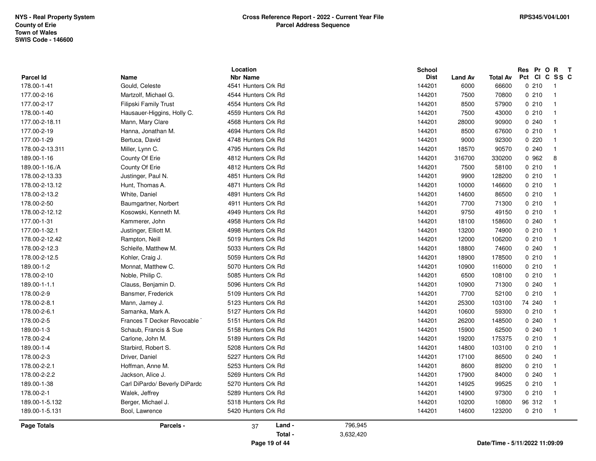| Parcel Id<br>178.00-1-41<br>177.00-2-16<br>177.00-2-17<br>178.00-1-40<br>177.00-2-18.11<br>177.00-2-19<br>177.00-1-29<br>178.00-2-13.311<br>189.00-1-16<br>189.00-1-16./A<br>178.00-2-13.33<br>178.00-2-13.12<br>178.00-2-13.2<br>178.00-2-50<br>178.00-2-12.12<br>177.00-1-31<br>177.00-1-32.1<br>178.00-2-12.42<br>178.00-2-12.3<br>178.00-2-12.5<br>189.00-1-2<br>178.00-2-10<br>189.00-1-1.1<br>178.00-2-9<br>178.00-2-8.1<br>178.00-2-6.1<br>178.00-2-5 | <b>Name</b><br>Gould, Celeste<br>Martzolf, Michael G.<br>Filipski Family Trust<br>Hausauer-Higgins, Holly C.<br>Mann, Mary Clare<br>Hanna, Jonathan M.<br>Bertuca, David<br>Miller, Lynn C.<br>County Of Erie<br>County Of Erie<br>Justinger, Paul N.<br>Hunt, Thomas A.<br>White, Daniel<br>Baumgartner, Norbert<br>Kosowski, Kenneth M.<br>Kammerer, John<br>Justinger, Elliott M.<br>Rampton, Neill<br>Schleife, Matthew M.<br>Kohler, Craig J.<br>Monnat, Matthew C. | <b>Nbr Name</b><br>4541 Hunters Crk Rd<br>4544 Hunters Crk Rd<br>4554 Hunters Crk Rd<br>4559 Hunters Crk Rd<br>4568 Hunters Crk Rd<br>4694 Hunters Crk Rd<br>4748 Hunters Crk Rd<br>4795 Hunters Crk Rd<br>4812 Hunters Crk Rd<br>4812 Hunters Crk Rd<br>4851 Hunters Crk Rd<br>4871 Hunters Crk Rd<br>4891 Hunters Crk Rd<br>4911 Hunters Crk Rd<br>4949 Hunters Crk Rd<br>4958 Hunters Crk Rd<br>4998 Hunters Crk Rd<br>5019 Hunters Crk Rd<br>5033 Hunters Crk Rd<br>5059 Hunters Crk Rd<br>5070 Hunters Crk Rd |         | <b>Dist</b><br>144201<br>144201<br>144201<br>144201<br>144201<br>144201<br>144201<br>144201<br>144201<br>144201<br>144201<br>144201<br>144201<br>144201<br>144201<br>144201<br>144201<br>144201<br>144201<br>144201 | <b>Land Av</b><br>6000<br>7500<br>8500<br>7500<br>28000<br>8500<br>9000<br>18570<br>316700<br>7500<br>9900<br>10000<br>14600<br>7700<br>9750<br>18100<br>13200<br>12000<br>18800<br>18900 | <b>Total Av</b><br>66600<br>70800<br>57900<br>43000<br>90900<br>67600<br>92300<br>90570<br>330200<br>58100<br>128200<br>146600<br>86500<br>71300<br>49150<br>158600<br>74900<br>106200<br>74600 | Pct CI C SS C<br>0210<br>0210<br>0210<br>0210<br>0.240<br>0210<br>0.220<br>0.240<br>0 962<br>0210<br>0210<br>0210<br>0210<br>0210<br>0210<br>0.240<br>0210<br>0210<br>0.240 | $\overline{1}$<br>$\overline{\mathbf{1}}$<br>$\overline{\mathbf{1}}$<br>$\overline{1}$<br>$\overline{1}$<br>$\overline{1}$<br>$\overline{1}$<br>$\overline{1}$<br>8<br>$\overline{1}$<br>$\overline{1}$<br>$\overline{\mathbf{1}}$<br>$\overline{1}$<br>$\overline{1}$<br>$\overline{1}$<br>$\overline{1}$<br>$\overline{1}$<br>$\overline{1}$<br>$\overline{1}$ |
|--------------------------------------------------------------------------------------------------------------------------------------------------------------------------------------------------------------------------------------------------------------------------------------------------------------------------------------------------------------------------------------------------------------------------------------------------------------|--------------------------------------------------------------------------------------------------------------------------------------------------------------------------------------------------------------------------------------------------------------------------------------------------------------------------------------------------------------------------------------------------------------------------------------------------------------------------|--------------------------------------------------------------------------------------------------------------------------------------------------------------------------------------------------------------------------------------------------------------------------------------------------------------------------------------------------------------------------------------------------------------------------------------------------------------------------------------------------------------------|---------|---------------------------------------------------------------------------------------------------------------------------------------------------------------------------------------------------------------------|-------------------------------------------------------------------------------------------------------------------------------------------------------------------------------------------|-------------------------------------------------------------------------------------------------------------------------------------------------------------------------------------------------|-----------------------------------------------------------------------------------------------------------------------------------------------------------------------------|------------------------------------------------------------------------------------------------------------------------------------------------------------------------------------------------------------------------------------------------------------------------------------------------------------------------------------------------------------------|
|                                                                                                                                                                                                                                                                                                                                                                                                                                                              |                                                                                                                                                                                                                                                                                                                                                                                                                                                                          |                                                                                                                                                                                                                                                                                                                                                                                                                                                                                                                    |         |                                                                                                                                                                                                                     |                                                                                                                                                                                           |                                                                                                                                                                                                 |                                                                                                                                                                             |                                                                                                                                                                                                                                                                                                                                                                  |
|                                                                                                                                                                                                                                                                                                                                                                                                                                                              |                                                                                                                                                                                                                                                                                                                                                                                                                                                                          |                                                                                                                                                                                                                                                                                                                                                                                                                                                                                                                    |         |                                                                                                                                                                                                                     |                                                                                                                                                                                           |                                                                                                                                                                                                 |                                                                                                                                                                             |                                                                                                                                                                                                                                                                                                                                                                  |
|                                                                                                                                                                                                                                                                                                                                                                                                                                                              |                                                                                                                                                                                                                                                                                                                                                                                                                                                                          |                                                                                                                                                                                                                                                                                                                                                                                                                                                                                                                    |         |                                                                                                                                                                                                                     |                                                                                                                                                                                           |                                                                                                                                                                                                 |                                                                                                                                                                             |                                                                                                                                                                                                                                                                                                                                                                  |
|                                                                                                                                                                                                                                                                                                                                                                                                                                                              |                                                                                                                                                                                                                                                                                                                                                                                                                                                                          |                                                                                                                                                                                                                                                                                                                                                                                                                                                                                                                    |         |                                                                                                                                                                                                                     |                                                                                                                                                                                           |                                                                                                                                                                                                 |                                                                                                                                                                             |                                                                                                                                                                                                                                                                                                                                                                  |
|                                                                                                                                                                                                                                                                                                                                                                                                                                                              |                                                                                                                                                                                                                                                                                                                                                                                                                                                                          |                                                                                                                                                                                                                                                                                                                                                                                                                                                                                                                    |         |                                                                                                                                                                                                                     |                                                                                                                                                                                           |                                                                                                                                                                                                 |                                                                                                                                                                             |                                                                                                                                                                                                                                                                                                                                                                  |
|                                                                                                                                                                                                                                                                                                                                                                                                                                                              |                                                                                                                                                                                                                                                                                                                                                                                                                                                                          |                                                                                                                                                                                                                                                                                                                                                                                                                                                                                                                    |         |                                                                                                                                                                                                                     |                                                                                                                                                                                           |                                                                                                                                                                                                 |                                                                                                                                                                             |                                                                                                                                                                                                                                                                                                                                                                  |
|                                                                                                                                                                                                                                                                                                                                                                                                                                                              |                                                                                                                                                                                                                                                                                                                                                                                                                                                                          |                                                                                                                                                                                                                                                                                                                                                                                                                                                                                                                    |         |                                                                                                                                                                                                                     |                                                                                                                                                                                           |                                                                                                                                                                                                 |                                                                                                                                                                             |                                                                                                                                                                                                                                                                                                                                                                  |
|                                                                                                                                                                                                                                                                                                                                                                                                                                                              |                                                                                                                                                                                                                                                                                                                                                                                                                                                                          |                                                                                                                                                                                                                                                                                                                                                                                                                                                                                                                    |         |                                                                                                                                                                                                                     |                                                                                                                                                                                           |                                                                                                                                                                                                 |                                                                                                                                                                             |                                                                                                                                                                                                                                                                                                                                                                  |
|                                                                                                                                                                                                                                                                                                                                                                                                                                                              |                                                                                                                                                                                                                                                                                                                                                                                                                                                                          |                                                                                                                                                                                                                                                                                                                                                                                                                                                                                                                    |         |                                                                                                                                                                                                                     |                                                                                                                                                                                           |                                                                                                                                                                                                 |                                                                                                                                                                             |                                                                                                                                                                                                                                                                                                                                                                  |
|                                                                                                                                                                                                                                                                                                                                                                                                                                                              |                                                                                                                                                                                                                                                                                                                                                                                                                                                                          |                                                                                                                                                                                                                                                                                                                                                                                                                                                                                                                    |         |                                                                                                                                                                                                                     |                                                                                                                                                                                           |                                                                                                                                                                                                 |                                                                                                                                                                             |                                                                                                                                                                                                                                                                                                                                                                  |
|                                                                                                                                                                                                                                                                                                                                                                                                                                                              |                                                                                                                                                                                                                                                                                                                                                                                                                                                                          |                                                                                                                                                                                                                                                                                                                                                                                                                                                                                                                    |         |                                                                                                                                                                                                                     |                                                                                                                                                                                           |                                                                                                                                                                                                 |                                                                                                                                                                             |                                                                                                                                                                                                                                                                                                                                                                  |
|                                                                                                                                                                                                                                                                                                                                                                                                                                                              |                                                                                                                                                                                                                                                                                                                                                                                                                                                                          |                                                                                                                                                                                                                                                                                                                                                                                                                                                                                                                    |         |                                                                                                                                                                                                                     |                                                                                                                                                                                           |                                                                                                                                                                                                 |                                                                                                                                                                             |                                                                                                                                                                                                                                                                                                                                                                  |
|                                                                                                                                                                                                                                                                                                                                                                                                                                                              |                                                                                                                                                                                                                                                                                                                                                                                                                                                                          |                                                                                                                                                                                                                                                                                                                                                                                                                                                                                                                    |         |                                                                                                                                                                                                                     |                                                                                                                                                                                           |                                                                                                                                                                                                 |                                                                                                                                                                             |                                                                                                                                                                                                                                                                                                                                                                  |
|                                                                                                                                                                                                                                                                                                                                                                                                                                                              |                                                                                                                                                                                                                                                                                                                                                                                                                                                                          |                                                                                                                                                                                                                                                                                                                                                                                                                                                                                                                    |         |                                                                                                                                                                                                                     |                                                                                                                                                                                           |                                                                                                                                                                                                 |                                                                                                                                                                             |                                                                                                                                                                                                                                                                                                                                                                  |
|                                                                                                                                                                                                                                                                                                                                                                                                                                                              |                                                                                                                                                                                                                                                                                                                                                                                                                                                                          |                                                                                                                                                                                                                                                                                                                                                                                                                                                                                                                    |         |                                                                                                                                                                                                                     |                                                                                                                                                                                           |                                                                                                                                                                                                 |                                                                                                                                                                             |                                                                                                                                                                                                                                                                                                                                                                  |
|                                                                                                                                                                                                                                                                                                                                                                                                                                                              |                                                                                                                                                                                                                                                                                                                                                                                                                                                                          |                                                                                                                                                                                                                                                                                                                                                                                                                                                                                                                    |         |                                                                                                                                                                                                                     |                                                                                                                                                                                           |                                                                                                                                                                                                 |                                                                                                                                                                             |                                                                                                                                                                                                                                                                                                                                                                  |
|                                                                                                                                                                                                                                                                                                                                                                                                                                                              |                                                                                                                                                                                                                                                                                                                                                                                                                                                                          |                                                                                                                                                                                                                                                                                                                                                                                                                                                                                                                    |         |                                                                                                                                                                                                                     |                                                                                                                                                                                           |                                                                                                                                                                                                 |                                                                                                                                                                             |                                                                                                                                                                                                                                                                                                                                                                  |
|                                                                                                                                                                                                                                                                                                                                                                                                                                                              |                                                                                                                                                                                                                                                                                                                                                                                                                                                                          |                                                                                                                                                                                                                                                                                                                                                                                                                                                                                                                    |         |                                                                                                                                                                                                                     |                                                                                                                                                                                           |                                                                                                                                                                                                 |                                                                                                                                                                             |                                                                                                                                                                                                                                                                                                                                                                  |
|                                                                                                                                                                                                                                                                                                                                                                                                                                                              |                                                                                                                                                                                                                                                                                                                                                                                                                                                                          |                                                                                                                                                                                                                                                                                                                                                                                                                                                                                                                    |         |                                                                                                                                                                                                                     |                                                                                                                                                                                           |                                                                                                                                                                                                 |                                                                                                                                                                             |                                                                                                                                                                                                                                                                                                                                                                  |
|                                                                                                                                                                                                                                                                                                                                                                                                                                                              |                                                                                                                                                                                                                                                                                                                                                                                                                                                                          |                                                                                                                                                                                                                                                                                                                                                                                                                                                                                                                    |         |                                                                                                                                                                                                                     |                                                                                                                                                                                           |                                                                                                                                                                                                 |                                                                                                                                                                             |                                                                                                                                                                                                                                                                                                                                                                  |
|                                                                                                                                                                                                                                                                                                                                                                                                                                                              |                                                                                                                                                                                                                                                                                                                                                                                                                                                                          |                                                                                                                                                                                                                                                                                                                                                                                                                                                                                                                    |         |                                                                                                                                                                                                                     |                                                                                                                                                                                           | 178500                                                                                                                                                                                          | 0210                                                                                                                                                                        | $\overline{1}$                                                                                                                                                                                                                                                                                                                                                   |
|                                                                                                                                                                                                                                                                                                                                                                                                                                                              |                                                                                                                                                                                                                                                                                                                                                                                                                                                                          |                                                                                                                                                                                                                                                                                                                                                                                                                                                                                                                    |         | 144201                                                                                                                                                                                                              | 10900                                                                                                                                                                                     | 116000                                                                                                                                                                                          | 0210                                                                                                                                                                        | $\overline{\mathbf{1}}$                                                                                                                                                                                                                                                                                                                                          |
|                                                                                                                                                                                                                                                                                                                                                                                                                                                              | Noble, Philip C.                                                                                                                                                                                                                                                                                                                                                                                                                                                         | 5085 Hunters Crk Rd                                                                                                                                                                                                                                                                                                                                                                                                                                                                                                |         | 144201                                                                                                                                                                                                              | 6500                                                                                                                                                                                      | 108100                                                                                                                                                                                          | 0210                                                                                                                                                                        | $\overline{\mathbf{1}}$                                                                                                                                                                                                                                                                                                                                          |
|                                                                                                                                                                                                                                                                                                                                                                                                                                                              | Clauss, Benjamin D.                                                                                                                                                                                                                                                                                                                                                                                                                                                      | 5096 Hunters Crk Rd                                                                                                                                                                                                                                                                                                                                                                                                                                                                                                |         | 144201                                                                                                                                                                                                              | 10900                                                                                                                                                                                     | 71300                                                                                                                                                                                           | 0.240                                                                                                                                                                       | $\overline{1}$                                                                                                                                                                                                                                                                                                                                                   |
|                                                                                                                                                                                                                                                                                                                                                                                                                                                              | Bansmer, Frederick                                                                                                                                                                                                                                                                                                                                                                                                                                                       | 5109 Hunters Crk Rd                                                                                                                                                                                                                                                                                                                                                                                                                                                                                                |         | 144201                                                                                                                                                                                                              | 7700                                                                                                                                                                                      | 52100                                                                                                                                                                                           | 0210                                                                                                                                                                        | $\overline{1}$                                                                                                                                                                                                                                                                                                                                                   |
|                                                                                                                                                                                                                                                                                                                                                                                                                                                              | Mann, Jamey J.                                                                                                                                                                                                                                                                                                                                                                                                                                                           | 5123 Hunters Crk Rd                                                                                                                                                                                                                                                                                                                                                                                                                                                                                                |         | 144201                                                                                                                                                                                                              | 25300                                                                                                                                                                                     | 103100                                                                                                                                                                                          | 74 240                                                                                                                                                                      | $\overline{1}$                                                                                                                                                                                                                                                                                                                                                   |
|                                                                                                                                                                                                                                                                                                                                                                                                                                                              | Samanka, Mark A.                                                                                                                                                                                                                                                                                                                                                                                                                                                         | 5127 Hunters Crk Rd                                                                                                                                                                                                                                                                                                                                                                                                                                                                                                |         | 144201                                                                                                                                                                                                              | 10600                                                                                                                                                                                     | 59300                                                                                                                                                                                           | 0210                                                                                                                                                                        | $\overline{1}$                                                                                                                                                                                                                                                                                                                                                   |
|                                                                                                                                                                                                                                                                                                                                                                                                                                                              | Frances T Decker Revocable                                                                                                                                                                                                                                                                                                                                                                                                                                               | 5151 Hunters Crk Rd                                                                                                                                                                                                                                                                                                                                                                                                                                                                                                |         | 144201                                                                                                                                                                                                              | 26200                                                                                                                                                                                     | 148500                                                                                                                                                                                          | 0.240                                                                                                                                                                       | $\overline{\mathbf{1}}$                                                                                                                                                                                                                                                                                                                                          |
| 189.00-1-3                                                                                                                                                                                                                                                                                                                                                                                                                                                   | Schaub, Francis & Sue                                                                                                                                                                                                                                                                                                                                                                                                                                                    | 5158 Hunters Crk Rd                                                                                                                                                                                                                                                                                                                                                                                                                                                                                                |         | 144201                                                                                                                                                                                                              | 15900                                                                                                                                                                                     | 62500                                                                                                                                                                                           | 0.240                                                                                                                                                                       | $\overline{1}$                                                                                                                                                                                                                                                                                                                                                   |
| 178.00-2-4                                                                                                                                                                                                                                                                                                                                                                                                                                                   | Carlone, John M.                                                                                                                                                                                                                                                                                                                                                                                                                                                         | 5189 Hunters Crk Rd                                                                                                                                                                                                                                                                                                                                                                                                                                                                                                |         | 144201                                                                                                                                                                                                              | 19200                                                                                                                                                                                     | 175375                                                                                                                                                                                          | 0210                                                                                                                                                                        | $\overline{1}$                                                                                                                                                                                                                                                                                                                                                   |
| 189.00-1-4                                                                                                                                                                                                                                                                                                                                                                                                                                                   | Starbird, Robert S.                                                                                                                                                                                                                                                                                                                                                                                                                                                      | 5208 Hunters Crk Rd                                                                                                                                                                                                                                                                                                                                                                                                                                                                                                |         | 144201                                                                                                                                                                                                              | 14800                                                                                                                                                                                     | 103100                                                                                                                                                                                          | 0210                                                                                                                                                                        | $\overline{\mathbf{1}}$                                                                                                                                                                                                                                                                                                                                          |
| 178.00-2-3                                                                                                                                                                                                                                                                                                                                                                                                                                                   | Driver, Daniel                                                                                                                                                                                                                                                                                                                                                                                                                                                           | 5227 Hunters Crk Rd                                                                                                                                                                                                                                                                                                                                                                                                                                                                                                |         | 144201                                                                                                                                                                                                              | 17100                                                                                                                                                                                     | 86500                                                                                                                                                                                           | 0.240                                                                                                                                                                       | $\overline{1}$                                                                                                                                                                                                                                                                                                                                                   |
| 178.00-2-2.1                                                                                                                                                                                                                                                                                                                                                                                                                                                 | Hoffman, Anne M.                                                                                                                                                                                                                                                                                                                                                                                                                                                         | 5253 Hunters Crk Rd                                                                                                                                                                                                                                                                                                                                                                                                                                                                                                |         | 144201                                                                                                                                                                                                              | 8600                                                                                                                                                                                      | 89200                                                                                                                                                                                           | 0210                                                                                                                                                                        | $\overline{\mathbf{1}}$                                                                                                                                                                                                                                                                                                                                          |
| 178.00-2-2.2                                                                                                                                                                                                                                                                                                                                                                                                                                                 | Jackson, Alice J.                                                                                                                                                                                                                                                                                                                                                                                                                                                        | 5269 Hunters Crk Rd                                                                                                                                                                                                                                                                                                                                                                                                                                                                                                |         | 144201                                                                                                                                                                                                              | 17900                                                                                                                                                                                     | 84000                                                                                                                                                                                           | 0.240                                                                                                                                                                       | $\overline{1}$                                                                                                                                                                                                                                                                                                                                                   |
| 189.00-1-38                                                                                                                                                                                                                                                                                                                                                                                                                                                  | Carl DiPardo/ Beverly DiPardo                                                                                                                                                                                                                                                                                                                                                                                                                                            | 5270 Hunters Crk Rd                                                                                                                                                                                                                                                                                                                                                                                                                                                                                                |         | 144201                                                                                                                                                                                                              | 14925                                                                                                                                                                                     | 99525                                                                                                                                                                                           | 0210                                                                                                                                                                        | $\overline{1}$                                                                                                                                                                                                                                                                                                                                                   |
| 178.00-2-1                                                                                                                                                                                                                                                                                                                                                                                                                                                   | Walek, Jeffrey                                                                                                                                                                                                                                                                                                                                                                                                                                                           | 5289 Hunters Crk Rd                                                                                                                                                                                                                                                                                                                                                                                                                                                                                                |         | 144201                                                                                                                                                                                                              | 14900                                                                                                                                                                                     | 97300                                                                                                                                                                                           | 0.210                                                                                                                                                                       | $\overline{\mathbf{1}}$                                                                                                                                                                                                                                                                                                                                          |
| 189.00-1-5.132                                                                                                                                                                                                                                                                                                                                                                                                                                               | Berger, Michael J.                                                                                                                                                                                                                                                                                                                                                                                                                                                       | 5318 Hunters Crk Rd                                                                                                                                                                                                                                                                                                                                                                                                                                                                                                |         | 144201                                                                                                                                                                                                              | 10200                                                                                                                                                                                     | 10800                                                                                                                                                                                           | 96 312                                                                                                                                                                      | $\overline{\mathbf{1}}$                                                                                                                                                                                                                                                                                                                                          |
| 189.00-1-5.131                                                                                                                                                                                                                                                                                                                                                                                                                                               | Bool, Lawrence                                                                                                                                                                                                                                                                                                                                                                                                                                                           | 5420 Hunters Crk Rd                                                                                                                                                                                                                                                                                                                                                                                                                                                                                                |         | 144201                                                                                                                                                                                                              | 14600                                                                                                                                                                                     | 123200                                                                                                                                                                                          | 0210                                                                                                                                                                        | $\overline{1}$                                                                                                                                                                                                                                                                                                                                                   |
| <b>Page Totals</b>                                                                                                                                                                                                                                                                                                                                                                                                                                           | Parcels -                                                                                                                                                                                                                                                                                                                                                                                                                                                                | Land -<br>37                                                                                                                                                                                                                                                                                                                                                                                                                                                                                                       | 796,945 |                                                                                                                                                                                                                     |                                                                                                                                                                                           |                                                                                                                                                                                                 |                                                                                                                                                                             |                                                                                                                                                                                                                                                                                                                                                                  |

**Page 19 of 44**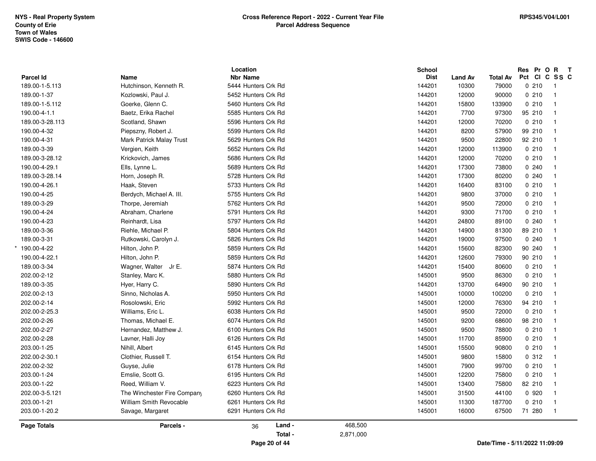|                  |                                | Location            |           | <b>School</b> |                |                 | Res Pr O R T  |                         |
|------------------|--------------------------------|---------------------|-----------|---------------|----------------|-----------------|---------------|-------------------------|
| <b>Parcel Id</b> | Name                           | <b>Nbr Name</b>     |           | <b>Dist</b>   | <b>Land Av</b> | <b>Total Av</b> | Pct CI C SS C |                         |
| 189.00-1-5.113   | Hutchinson, Kenneth R.         | 5444 Hunters Crk Rd |           | 144201        | 10300          | 79000           | 0210          | $\overline{1}$          |
| 189.00-1-37      | Kozlowski, Paul J.             | 5452 Hunters Crk Rd |           | 144201        | 12000          | 90000           | 0210          | $\overline{\mathbf{1}}$ |
| 189.00-1-5.112   | Goerke, Glenn C.               | 5460 Hunters Crk Rd |           | 144201        | 15800          | 133900          | 0210          | $\overline{\mathbf{1}}$ |
| 190.00-4-1.1     | Baetz, Erika Rachel            | 5585 Hunters Crk Rd |           | 144201        | 7700           | 97300           | 95 210        | $\overline{\mathbf{1}}$ |
| 189.00-3-28.113  | Scotland, Shawn                | 5596 Hunters Crk Rd |           | 144201        | 12000          | 70200           | 0210          | $\overline{1}$          |
| 190.00-4-32      | Piepszny, Robert J.            | 5599 Hunters Crk Rd |           | 144201        | 8200           | 57900           | 99 210        | $\overline{1}$          |
| 190.00-4-31      | Mark Patrick Malay Trust       | 5629 Hunters Crk Rd |           | 144201        | 9500           | 22800           | 92 210        | $\overline{1}$          |
| 189.00-3-39      | Vergien, Keith                 | 5652 Hunters Crk Rd |           | 144201        | 12000          | 113900          | 0210          | $\overline{1}$          |
| 189.00-3-28.12   | Krickovich, James              | 5686 Hunters Crk Rd |           | 144201        | 12000          | 70200           | 0210          | $\overline{\mathbf{1}}$ |
| 190.00-4-29.1    | Ells, Lynne L.                 | 5689 Hunters Crk Rd |           | 144201        | 17300          | 73800           | 0.240         | $\overline{\mathbf{1}}$ |
| 189.00-3-28.14   | Horn, Joseph R.                | 5728 Hunters Crk Rd |           | 144201        | 17300          | 80200           | 0240          | $\overline{\mathbf{1}}$ |
| 190.00-4-26.1    | Haak, Steven                   | 5733 Hunters Crk Rd |           | 144201        | 16400          | 83100           | 0210          | $\overline{\mathbf{1}}$ |
| 190.00-4-25      | Berdych, Michael A. III.       | 5755 Hunters Crk Rd |           | 144201        | 9800           | 37000           | 0210          | $\overline{1}$          |
| 189.00-3-29      | Thorpe, Jeremiah               | 5762 Hunters Crk Rd |           | 144201        | 9500           | 72000           | 0210          | $\overline{\mathbf{1}}$ |
| 190.00-4-24      | Abraham, Charlene              | 5791 Hunters Crk Rd |           | 144201        | 9300           | 71700           | 0210          | $\overline{1}$          |
| 190.00-4-23      | Reinhardt, Lisa                | 5797 Hunters Crk Rd |           | 144201        | 24800          | 89100           | 0.240         | $\overline{1}$          |
| 189.00-3-36      | Riehle, Michael P.             | 5804 Hunters Crk Rd |           | 144201        | 14900          | 81300           | 89 210        | $\overline{1}$          |
| 189.00-3-31      | Rutkowski, Carolyn J.          | 5826 Hunters Crk Rd |           | 144201        | 19000          | 97500           | 0.240         | $\overline{\mathbf{1}}$ |
| 190.00-4-22      | Hilton, John P.                | 5859 Hunters Crk Rd |           | 144201        | 15600          | 82300           | 90 240        | -1                      |
| 190.00-4-22.1    | Hilton, John P.                | 5859 Hunters Crk Rd |           | 144201        | 12600          | 79300           | 90 210        | $\overline{1}$          |
| 189.00-3-34      | Wagner, Walter Jr E.           | 5874 Hunters Crk Rd |           | 144201        | 15400          | 80600           | 0210          | $\overline{\mathbf{1}}$ |
| 202.00-2-12      | Stanley, Marc K.               | 5880 Hunters Crk Rd |           | 145001        | 9500           | 86300           | 0210          | $\overline{\mathbf{1}}$ |
| 189.00-3-35      | Hyer, Harry C.                 | 5890 Hunters Crk Rd |           | 144201        | 13700          | 64900           | 90 210        | $\overline{\mathbf{1}}$ |
| 202.00-2-13      | Sinno, Nicholas A.             | 5950 Hunters Crk Rd |           | 145001        | 10000          | 100200          | 0210          | $\overline{\mathbf{1}}$ |
| 202.00-2-14      | Rosolowski, Eric               | 5992 Hunters Crk Rd |           | 145001        | 12000          | 76300           | 94 210        | $\overline{1}$          |
| 202.00-2-25.3    | Williams, Eric L.              | 6038 Hunters Crk Rd |           | 145001        | 9500           | 72000           | 0210          | $\overline{1}$          |
| 202.00-2-26      | Thomas, Michael E.             | 6074 Hunters Crk Rd |           | 145001        | 9200           | 68600           | 98 210        | $\overline{1}$          |
| 202.00-2-27      | Hernandez, Matthew J.          | 6100 Hunters Crk Rd |           | 145001        | 9500           | 78800           | 0210          | $\overline{\mathbf{1}}$ |
| 202.00-2-28      | Lavner, Halli Joy              | 6126 Hunters Crk Rd |           | 145001        | 11700          | 85900           | 0210          | $\overline{\mathbf{1}}$ |
| 203.00-1-25      | Nihill, Albert                 | 6145 Hunters Crk Rd |           | 145001        | 15500          | 90800           | 0210          | $\overline{\mathbf{1}}$ |
| 202.00-2-30.1    | Clothier, Russell T.           | 6154 Hunters Crk Rd |           | 145001        | 9800           | 15800           | 0.312         | $\overline{\mathbf{1}}$ |
| 202.00-2-32      | Guyse, Julie                   | 6178 Hunters Crk Rd |           | 145001        | 7900           | 99700           | 0210          | $\overline{\mathbf{1}}$ |
| 203.00-1-24      | Emslie, Scott G.               | 6195 Hunters Crk Rd |           | 145001        | 12200          | 75800           | 0210          | $\overline{1}$          |
| 203.00-1-22      | Reed, William V.               | 6223 Hunters Crk Rd |           | 145001        | 13400          | 75800           | 82 210        | $\overline{1}$          |
| 202.00-3-5.121   | The Winchester Fire Company    | 6260 Hunters Crk Rd |           | 145001        | 31500          | 44100           | 0 9 2 0       | $\overline{\mathbf{1}}$ |
| 203.00-1-21      | <b>William Smith Revocable</b> | 6261 Hunters Crk Rd |           | 145001        | 11300          | 187700          | 0210          | $\overline{1}$          |
| 203.00-1-20.2    | Savage, Margaret               | 6291 Hunters Crk Rd |           | 145001        | 16000          | 67500           | 71 280        | -1                      |
| Page Totals      | Parcels -                      | Land -<br>36        | 468,500   |               |                |                 |               |                         |
|                  |                                | Total -             | 2,871,000 |               |                |                 |               |                         |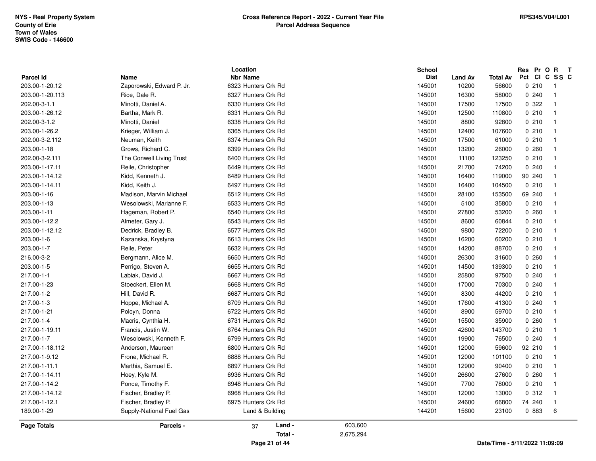|                             |                                   | Location                               |           | <b>School</b><br><b>Dist</b> |                  |                          | Res Pr O R T<br>Pct CI C SS C  |                         |
|-----------------------------|-----------------------------------|----------------------------------------|-----------|------------------------------|------------------|--------------------------|--------------------------------|-------------------------|
| Parcel Id<br>203.00-1-20.12 | Name<br>Zaporowski, Edward P. Jr. | <b>Nbr Name</b><br>6323 Hunters Crk Rd |           | 145001                       | Land Av<br>10200 | <b>Total Av</b><br>56600 | 0210                           | $\overline{1}$          |
| 203.00-1-20.113             | Rice, Dale R.                     | 6327 Hunters Crk Rd                    |           | 145001                       | 16300            | 58000                    | 0.240                          | $\overline{1}$          |
| 202.00-3-1.1                | Minotti, Daniel A.                | 6330 Hunters Crk Rd                    |           | 145001                       | 17500            | 17500                    | 0.322                          | $\overline{\mathbf{1}}$ |
| 203.00-1-26.12              | Bartha, Mark R.                   | 6331 Hunters Crk Rd                    |           | 145001                       | 12500            | 110800                   | 0210                           | $\overline{\mathbf{1}}$ |
| 202.00-3-1.2                | Minotti, Daniel                   | 6338 Hunters Crk Rd                    |           | 145001                       | 8800             | 92800                    | 0210                           | $\overline{1}$          |
| 203.00-1-26.2               | Krieger, William J.               | 6365 Hunters Crk Rd                    |           | 145001                       |                  | 107600                   | 0210                           | $\overline{\mathbf{1}}$ |
|                             |                                   |                                        |           |                              | 12400            |                          |                                | $\overline{1}$          |
| 202.00-3-2.112              | Neuman, Keith                     | 6374 Hunters Crk Rd                    |           | 145001                       | 17500            | 61000                    | 0210                           |                         |
| 203.00-1-18                 | Grows, Richard C.                 | 6399 Hunters Crk Rd                    |           | 145001                       | 13200            | 26000                    | 0.260                          | $\overline{1}$          |
| 202.00-3-2.111              | The Conwell Living Trust          | 6400 Hunters Crk Rd                    |           | 145001                       | 11100            | 123250                   | 0210                           | $\overline{1}$          |
| 203.00-1-17.11              | Reile, Christopher                | 6449 Hunters Crk Rd                    |           | 145001                       | 21700            | 74200                    | 0240                           | $\overline{\mathbf{1}}$ |
| 203.00-1-14.12              | Kidd, Kenneth J.                  | 6489 Hunters Crk Rd                    |           | 145001                       | 16400            | 119000                   | 90 240                         | $\overline{1}$          |
| 203.00-1-14.11              | Kidd, Keith J.                    | 6497 Hunters Crk Rd                    |           | 145001                       | 16400            | 104500                   | 0210                           | $\overline{\mathbf{1}}$ |
| 203.00-1-16                 | Madison, Marvin Michael           | 6512 Hunters Crk Rd                    |           | 145001                       | 28100            | 153500                   | 69 240                         | $\overline{1}$          |
| 203.00-1-13                 | Wesolowski, Marianne F.           | 6533 Hunters Crk Rd                    |           | 145001                       | 5100             | 35800                    | 0210                           | $\overline{\mathbf{1}}$ |
| 203.00-1-11                 | Hageman, Robert P.                | 6540 Hunters Crk Rd                    |           | 145001                       | 27800            | 53200                    | 0.260                          | $\overline{1}$          |
| 203.00-1-12.2               | Almeter, Gary J.                  | 6543 Hunters Crk Rd                    |           | 145001                       | 8600             | 60844                    | 0210                           | $\overline{1}$          |
| 203.00-1-12.12              | Dedrick, Bradley B.               | 6577 Hunters Crk Rd                    |           | 145001                       | 9800             | 72200                    | 0210                           | $\overline{1}$          |
| 203.00-1-6                  | Kazanska, Krystyna                | 6613 Hunters Crk Rd                    |           | 145001                       | 16200            | 60200                    | 0210                           | $\overline{\mathbf{1}}$ |
| 203.00-1-7                  | Reile, Peter                      | 6632 Hunters Crk Rd                    |           | 145001                       | 14200            | 88700                    | 0210                           | $\overline{1}$          |
| 216.00-3-2                  | Bergmann, Alice M.                | 6650 Hunters Crk Rd                    |           | 145001                       | 26300            | 31600                    | 0.260                          | $\overline{\mathbf{1}}$ |
| 203.00-1-5                  | Perrigo, Steven A.                | 6655 Hunters Crk Rd                    |           | 145001                       | 14500            | 139300                   | 0210                           | $\overline{\mathbf{1}}$ |
| 217.00-1-1                  | Labiak, David J.                  | 6667 Hunters Crk Rd                    |           | 145001                       | 25800            | 97500                    | 0.240                          | $\overline{1}$          |
| 217.00-1-23                 | Stoeckert, Ellen M.               | 6668 Hunters Crk Rd                    |           | 145001                       | 17000            | 70300                    | 0240                           | $\overline{\mathbf{1}}$ |
| 217.00-1-2                  | Hill, David R.                    | 6687 Hunters Crk Rd                    |           | 145001                       | 8300             | 44200                    | 0210                           | $\overline{1}$          |
| 217.00-1-3                  | Hoppe, Michael A.                 | 6709 Hunters Crk Rd                    |           | 145001                       | 17600            | 41300                    | 0.240                          | $\overline{1}$          |
| 217.00-1-21                 | Polcyn, Donna                     | 6722 Hunters Crk Rd                    |           | 145001                       | 8900             | 59700                    | 0210                           | $\overline{1}$          |
| 217.00-1-4                  | Macris, Cynthia H.                | 6731 Hunters Crk Rd                    |           | 145001                       | 15500            | 35900                    | 0.260                          | $\overline{\mathbf{1}}$ |
| 217.00-1-19.11              | Francis, Justin W.                | 6764 Hunters Crk Rd                    |           | 145001                       | 42600            | 143700                   | 0210                           | $\overline{1}$          |
| 217.00-1-7                  | Wesolowski, Kenneth F.            | 6799 Hunters Crk Rd                    |           | 145001                       | 19900            | 76500                    | 0.240                          | $\overline{\mathbf{1}}$ |
| 217.00-1-18.112             | Anderson, Maureen                 | 6800 Hunters Crk Rd                    |           | 145001                       | 12000            | 59600                    | 92 210                         | $\overline{1}$          |
| 217.00-1-9.12               | Frone, Michael R.                 | 6888 Hunters Crk Rd                    |           | 145001                       | 12000            | 101100                   | 0210                           | $\overline{1}$          |
| 217.00-1-11.1               | Marthia, Samuel E.                | 6897 Hunters Crk Rd                    |           | 145001                       | 12900            | 90400                    | 0210                           | $\overline{1}$          |
| 217.00-1-14.11              | Hoey, Kyle M.                     | 6936 Hunters Crk Rd                    |           | 145001                       | 26600            | 27600                    | 0.260                          | $\overline{\mathbf{1}}$ |
| 217.00-1-14.2               | Ponce, Timothy F.                 | 6948 Hunters Crk Rd                    |           | 145001                       | 7700             | 78000                    | 0210                           | $\overline{1}$          |
| 217.00-1-14.12              | Fischer, Bradley P.               | 6968 Hunters Crk Rd                    |           | 145001                       | 12000            | 13000                    | 0.312                          | $\overline{1}$          |
| 217.00-1-12.1               | Fischer, Bradley P.               | 6975 Hunters Crk Rd                    |           | 145001                       | 24600            | 66800                    | 74 240                         | $\overline{\mathbf{1}}$ |
| 189.00-1-29                 | Supply-National Fuel Gas          | Land & Building                        |           | 144201                       | 15600            | 23100                    | 0 883                          | 6                       |
| <b>Page Totals</b>          | Parcels -                         | Land -<br>37                           | 603,600   |                              |                  |                          |                                |                         |
|                             |                                   | Total -                                | 2,675,294 |                              |                  |                          |                                |                         |
|                             |                                   | Page 21 of 44                          |           |                              |                  |                          | Date/Time - 5/11/2022 11:09:09 |                         |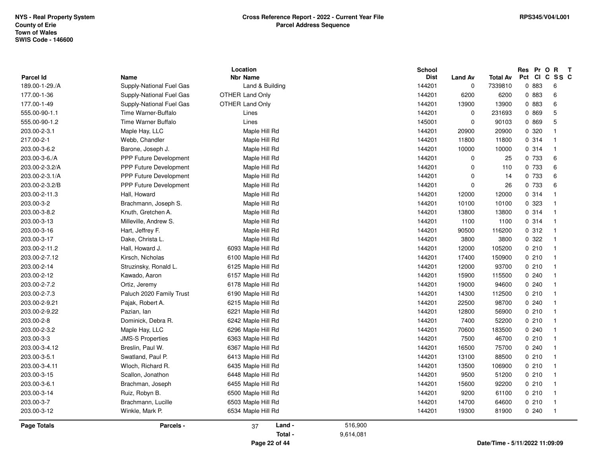| <b>Parcel Id</b>   | Name                          | Location<br><b>Nbr Name</b> |           | <b>School</b><br><b>Dist</b> | <b>Land Av</b> | <b>Total Av</b> | Pr O R<br>Res<br>Pct CI C SS C | $\mathbf{T}$            |
|--------------------|-------------------------------|-----------------------------|-----------|------------------------------|----------------|-----------------|--------------------------------|-------------------------|
| 189.00-1-29./A     | Supply-National Fuel Gas      | Land & Building             |           | 144201                       | $\mathbf 0$    | 7339810         | 0 883                          | 6                       |
| 177.00-1-36        | Supply-National Fuel Gas      | <b>OTHER Land Only</b>      |           | 144201                       | 6200           | 6200            | 0 883                          | $\,6\,$                 |
| 177.00-1-49        | Supply-National Fuel Gas      | OTHER Land Only             |           | 144201                       | 13900          | 13900           | 0 883                          | 6                       |
| 555.00-90-1.1      | Time Warner-Buffalo           | Lines                       |           | 144201                       | $\mathbf 0$    | 231693          | 0 869                          | 5                       |
| 555.00-90-1.2      | Time Warner Buffalo           | Lines                       |           | 145001                       | $\pmb{0}$      | 90103           | 0 869                          | $\mathbf 5$             |
| 203.00-2-3.1       | Maple Hay, LLC                | Maple Hill Rd               |           | 144201                       | 20900          | 20900           | 0 320                          | $\overline{1}$          |
| 217.00-2-1         | Webb, Chandler                | Maple Hill Rd               |           | 144201                       | 11800          | 11800           | 0.314                          | $\overline{1}$          |
| 203.00-3-6.2       | Barone, Joseph J.             | Maple Hill Rd               |           | 144201                       | 10000          | 10000           | 0 314                          | $\overline{\mathbf{1}}$ |
| 203.00-3-6./A      | PPP Future Development        | Maple Hill Rd               |           | 144201                       | 0              | 25              | 0 733                          | 6                       |
| 203.00-2-3.2/A     | PPP Future Development        | Maple Hill Rd               |           | 144201                       | 0              | 110             | 0 733                          | 6                       |
| 203.00-2-3.1/A     | <b>PPP Future Development</b> | Maple Hill Rd               |           | 144201                       | $\mathbf 0$    | 14              | 0 733                          | 6                       |
| 203.00-2-3.2/B     | PPP Future Development        | Maple Hill Rd               |           | 144201                       | $\mathbf 0$    | 26              | 0 733                          | 6                       |
| 203.00-2-11.3      | Hall, Howard                  | Maple Hill Rd               |           | 144201                       | 12000          | 12000           | 0.314                          | $\overline{\mathbf{1}}$ |
| 203.00-3-2         | Brachmann, Joseph S.          | Maple Hill Rd               |           | 144201                       | 10100          | 10100           | 0 323                          | $\overline{1}$          |
| 203.00-3-8.2       | Knuth, Gretchen A.            | Maple Hill Rd               |           | 144201                       | 13800          | 13800           | 0.314                          | $\overline{1}$          |
| 203.00-3-13        | Milleville, Andrew S.         | Maple Hill Rd               |           | 144201                       | 1100           | 1100            | 0.314                          | $\overline{\mathbf{1}}$ |
| 203.00-3-16        | Hart, Jeffrey F.              | Maple Hill Rd               |           | 144201                       | 90500          | 116200          | 0.312                          | $\overline{\mathbf{1}}$ |
| 203.00-3-17        | Dake, Christa L.              | Maple Hill Rd               |           | 144201                       | 3800           | 3800            | 0.322                          | $\mathbf{1}$            |
| 203.00-2-11.2      | Hall, Howard J.               | 6093 Maple Hill Rd          |           | 144201                       | 12000          | 105200          | 0210                           | $\overline{\mathbf{1}}$ |
| 203.00-2-7.12      | Kirsch, Nicholas              | 6100 Maple Hill Rd          |           | 144201                       | 17400          | 150900          | 0210                           | $\overline{1}$          |
| 203.00-2-14        | Struzinsky, Ronald L.         | 6125 Maple Hill Rd          |           | 144201                       | 12000          | 93700           | 0210                           | $\overline{1}$          |
| 203.00-2-12        | Kawado, Aaron                 | 6157 Maple Hill Rd          |           | 144201                       | 15900          | 115500          | 0240                           | $\overline{\mathbf{1}}$ |
| 203.00-2-7.2       | Ortiz, Jeremy                 | 6178 Maple Hill Rd          |           | 144201                       | 19000          | 94600           | 0.240                          | $\overline{\mathbf{1}}$ |
| 203.00-2-7.3       | Paluch 2020 Family Trust      | 6190 Maple Hill Rd          |           | 144201                       | 14300          | 112500          | 0210                           | $\overline{1}$          |
| 203.00-2-9.21      | Pajak, Robert A.              | 6215 Maple Hill Rd          |           | 144201                       | 22500          | 98700           | 0.240                          | $\overline{1}$          |
| 203.00-2-9.22      | Pazian, Ian                   | 6221 Maple Hill Rd          |           | 144201                       | 12800          | 56900           | 0210                           | $\overline{1}$          |
| 203.00-2-8         | Dominick, Debra R.            | 6242 Maple Hill Rd          |           | 144201                       | 7400           | 52200           | 0210                           | $\overline{\mathbf{1}}$ |
| 203.00-2-3.2       | Maple Hay, LLC                | 6296 Maple Hill Rd          |           | 144201                       | 70600          | 183500          | 0.240                          | $\overline{\mathbf{1}}$ |
| 203.00-3-3         | <b>JMS-S Properties</b>       | 6363 Maple Hill Rd          |           | 144201                       | 7500           | 46700           | 0210                           | $\overline{\mathbf{1}}$ |
| 203.00-3-4.12      | Breslin, Paul W.              | 6367 Maple Hill Rd          |           | 144201                       | 16500          | 75700           | 0.240                          | $\overline{\mathbf{1}}$ |
| 203.00-3-5.1       | Swatland, Paul P.             | 6413 Maple Hill Rd          |           | 144201                       | 13100          | 88500           | 0210                           | $\overline{1}$          |
| 203.00-3-4.11      | Wloch, Richard R.             | 6435 Maple Hill Rd          |           | 144201                       | 13500          | 106900          | 0210                           | $\overline{1}$          |
| 203.00-3-15        | Scallon, Jonathon             | 6448 Maple Hill Rd          |           | 144201                       | 9500           | 51200           | 0210                           | $\overline{1}$          |
| 203.00-3-6.1       | Brachman, Joseph              | 6455 Maple Hill Rd          |           | 144201                       | 15600          | 92200           | 0210                           | $\overline{1}$          |
| 203.00-3-14        | Ruiz, Robyn B.                | 6500 Maple Hill Rd          |           | 144201                       | 9200           | 61100           | 0210                           | $\overline{\mathbf{1}}$ |
| 203.00-3-7         | Brachmann, Lucille            | 6503 Maple Hill Rd          |           | 144201                       | 14700          | 64600           | 0210                           | $\overline{\mathbf{1}}$ |
| 203.00-3-12        | Winkle, Mark P.               | 6534 Maple Hill Rd          |           | 144201                       | 19300          | 81900           | 0.240                          | $\overline{\mathbf{1}}$ |
| <b>Page Totals</b> | Parcels -                     | Land -<br>37                | 516,900   |                              |                |                 |                                |                         |
|                    |                               | Total -                     | 9,614,081 |                              |                |                 |                                |                         |
|                    |                               | Page 22 of 44               |           |                              |                |                 | Date/Time - 5/11/2022 11:09:09 |                         |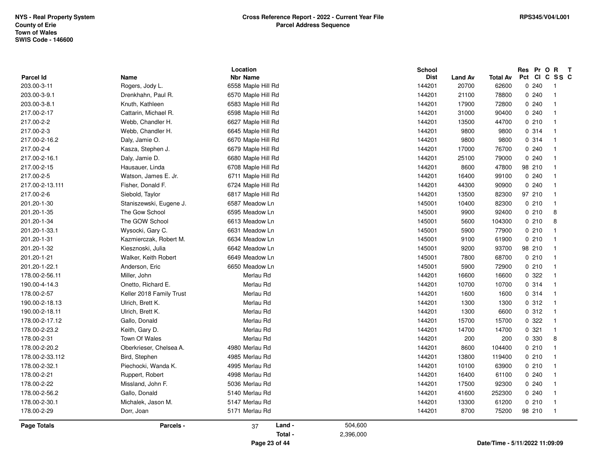| <b>Parcel Id</b><br>203.00-3-11<br>203.00-3-9.1<br>203.00-3-8.1<br>217.00-2-17<br>217.00-2-2 | Name<br>Rogers, Jody L.<br>Drenkhahn, Paul R.<br>Knuth, Kathleen<br>Cattarin, Michael R.<br>Webb, Chandler H. | <b>Nbr Name</b><br>6558 Maple Hill Rd<br>6570 Maple Hill Rd<br>6583 Maple Hill Rd |         | <b>Dist</b><br>144201<br>144201 | <b>Land Av</b><br>20700 | <b>Total Av</b><br>62600 | 0.240  | Pct CI C SS C<br>- 1    |
|----------------------------------------------------------------------------------------------|---------------------------------------------------------------------------------------------------------------|-----------------------------------------------------------------------------------|---------|---------------------------------|-------------------------|--------------------------|--------|-------------------------|
|                                                                                              |                                                                                                               |                                                                                   |         |                                 |                         |                          |        |                         |
|                                                                                              |                                                                                                               |                                                                                   |         |                                 |                         |                          |        | -1                      |
|                                                                                              |                                                                                                               |                                                                                   |         |                                 | 21100                   | 78800                    | 0.240  |                         |
|                                                                                              |                                                                                                               |                                                                                   |         | 144201                          | 17900                   | 72800                    | 0.240  | $\overline{1}$          |
|                                                                                              |                                                                                                               | 6598 Maple Hill Rd                                                                |         | 144201                          | 31000                   | 90400                    | 0.240  | $\overline{1}$          |
|                                                                                              |                                                                                                               | 6627 Maple Hill Rd                                                                |         | 144201                          | 13500                   | 44700                    | 0210   | -1                      |
| 217.00-2-3                                                                                   | Webb, Chandler H.                                                                                             | 6645 Maple Hill Rd                                                                |         | 144201                          | 9800                    | 9800                     | 0 314  | $\overline{1}$          |
| 217.00-2-16.2                                                                                | Daly, Jamie O.                                                                                                | 6670 Maple Hill Rd                                                                |         | 144201                          | 9800                    | 9800                     | 0.314  | -1                      |
| 217.00-2-4                                                                                   | Kasza, Stephen J.                                                                                             | 6679 Maple Hill Rd                                                                |         | 144201                          | 17000                   | 76700                    | 0.240  | -1                      |
| 217.00-2-16.1                                                                                | Daly, Jamie D.                                                                                                | 6680 Maple Hill Rd                                                                |         | 144201                          | 25100                   | 79000                    | 0.240  | -1                      |
| 217.00-2-15                                                                                  | Hausauer, Linda                                                                                               | 6708 Maple Hill Rd                                                                |         | 144201                          | 8600                    | 47800                    | 98 210 | 1                       |
| 217.00-2-5                                                                                   | Watson, James E. Jr.                                                                                          | 6711 Maple Hill Rd                                                                |         | 144201                          | 16400                   | 99100                    | 0.240  | $\overline{1}$          |
| 217.00-2-13.111                                                                              | Fisher, Donald F.                                                                                             | 6724 Maple Hill Rd                                                                |         | 144201                          | 44300                   | 90900                    | 0.240  | $\mathbf{1}$            |
| 217.00-2-6                                                                                   | Siebold, Taylor                                                                                               | 6817 Maple Hill Rd                                                                |         | 144201                          | 13500                   | 82300                    | 97 210 | -1                      |
| 201.20-1-30                                                                                  | Staniszewski, Eugene J.                                                                                       | 6587 Meadow Ln                                                                    |         | 145001                          | 10400                   | 82300                    | 0210   | $\overline{1}$          |
| 201.20-1-35                                                                                  | The Gow School                                                                                                | 6595 Meadow Ln                                                                    |         | 145001                          | 9900                    | 92400                    | 0210   | 8                       |
| 201.20-1-34                                                                                  | The GOW School                                                                                                | 6613 Meadow Ln                                                                    |         | 145001                          | 5600                    | 104300                   | 0210   | 8                       |
| 201.20-1-33.1                                                                                | Wysocki, Gary C.                                                                                              | 6631 Meadow Ln                                                                    |         | 145001                          | 5900                    | 77900                    | 0210   | -1                      |
| 201.20-1-31                                                                                  | Kazmierczak, Robert M.                                                                                        | 6634 Meadow Ln                                                                    |         | 145001                          | 9100                    | 61900                    | 0210   | -1                      |
| 201.20-1-32                                                                                  | Kiesznoski, Julia                                                                                             | 6642 Meadow Ln                                                                    |         | 145001                          | 9200                    | 93700                    | 98 210 | $\mathbf{1}$            |
| 201.20-1-21                                                                                  | Walker, Keith Robert                                                                                          | 6649 Meadow Ln                                                                    |         | 145001                          | 7800                    | 68700                    | 0210   | $\mathbf{1}$            |
| 201.20-1-22.1                                                                                | Anderson, Eric                                                                                                | 6650 Meadow Ln                                                                    |         | 145001                          | 5900                    | 72900                    | 0210   | -1                      |
| 178.00-2-56.11                                                                               | Miller, John                                                                                                  | Merlau Rd                                                                         |         | 144201                          | 16600                   | 16600                    | 0 322  | $\mathbf{1}$            |
| 190.00-4-14.3                                                                                | Onetto, Richard E.                                                                                            | Merlau Rd                                                                         |         | 144201                          | 10700                   | 10700                    | 0.314  | -1                      |
| 178.00-2-57                                                                                  | Keller 2018 Family Trust                                                                                      | Merlau Rd                                                                         |         | 144201                          | 1600                    | 1600                     | 0 314  | $\overline{\mathbf{1}}$ |
| 190.00-2-18.13                                                                               | Ulrich, Brett K.                                                                                              | Merlau Rd                                                                         |         | 144201                          | 1300                    | 1300                     | 0.312  | -1                      |
| 190.00-2-18.11                                                                               | Ulrich, Brett K.                                                                                              | Merlau Rd                                                                         |         | 144201                          | 1300                    | 6600                     | 0.312  |                         |
| 178.00-2-17.12                                                                               | Gallo, Donald                                                                                                 | Merlau Rd                                                                         |         | 144201                          | 15700                   | 15700                    | 0 322  | $\overline{1}$          |
| 178.00-2-23.2                                                                                | Keith, Gary D.                                                                                                | Merlau Rd                                                                         |         | 144201                          | 14700                   | 14700                    | 0.321  | $\overline{1}$          |
| 178.00-2-31                                                                                  | Town Of Wales                                                                                                 | Merlau Rd                                                                         |         | 144201                          | 200                     | 200                      | 0 330  | 8                       |
| 178.00-2-20.2                                                                                | Oberkrieser, Chelsea A.                                                                                       | 4980 Merlau Rd                                                                    |         | 144201                          | 8600                    | 104400                   | 0210   | -1                      |
| 178.00-2-33.112                                                                              | Bird, Stephen                                                                                                 | 4985 Merlau Rd                                                                    |         | 144201                          | 13800                   | 119400                   | 0210   | $\overline{1}$          |
| 178.00-2-32.1                                                                                | Piechocki, Wanda K.                                                                                           | 4995 Merlau Rd                                                                    |         | 144201                          | 10100                   | 63900                    | 0210   | $\overline{1}$          |
| 178.00-2-21                                                                                  | Ruppert, Robert                                                                                               | 4998 Merlau Rd                                                                    |         | 144201                          | 16400                   | 61100                    | 0.240  | $\mathbf{1}$            |
| 178.00-2-22                                                                                  | Missland, John F.                                                                                             | 5036 Merlau Rd                                                                    |         | 144201                          | 17500                   | 92300                    | 0.240  | $\overline{\mathbf{1}}$ |
| 178.00-2-56.2                                                                                | Gallo, Donald                                                                                                 | 5140 Merlau Rd                                                                    |         | 144201                          | 41600                   | 252300                   | 0.240  | $\overline{\mathbf{1}}$ |
| 178.00-2-30.1                                                                                | Michalek, Jason M.                                                                                            | 5147 Merlau Rd                                                                    |         | 144201                          | 13300                   | 61200                    | 0210   | -1                      |
| 178.00-2-29                                                                                  | Dorr, Joan                                                                                                    | 5171 Merlau Rd                                                                    |         | 144201                          | 8700                    | 75200                    | 98 210 | - 1                     |
| <b>Page Totals</b>                                                                           | Parcels -                                                                                                     | Land -<br>37                                                                      | 504,600 |                                 |                         |                          |        |                         |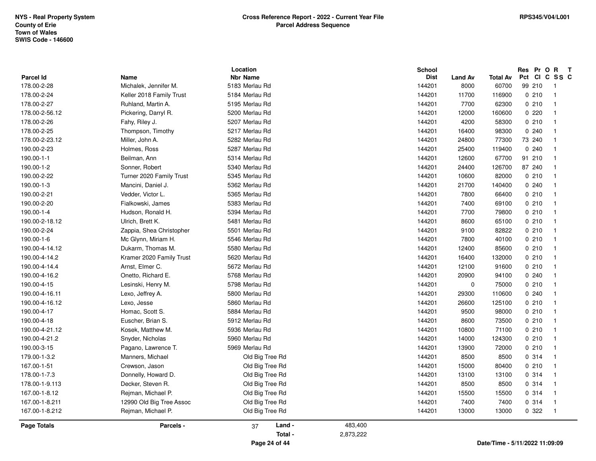| 190.00-4-16.2<br>Onetto, Richard E.<br>5768 Merlau Rd<br>144201<br>20900<br>94100<br>0.240<br>190.00-4-15<br>Lesinski, Henry M.<br>5798 Merlau Rd<br>144201<br>$\mathbf 0$<br>75000<br>0210<br>190.00-4-16.11<br>Lexo, Jeffrey A.<br>5800 Merlau Rd<br>144201<br>29300<br>110600<br>0.240<br>Lexo, Jesse<br>5860 Merlau Rd<br>144201<br>125100<br>0210<br>190.00-4-16.12<br>26600<br>190.00-4-17<br>5884 Merlau Rd<br>0210<br>Homac, Scott S.<br>144201<br>9500<br>98000<br>0210<br>190.00-4-18<br>Euscher, Brian S.<br>5912 Merlau Rd<br>144201<br>8600<br>73500<br>190.00-4-21.12<br>Kosek, Matthew M.<br>5936 Merlau Rd<br>144201<br>10800<br>71100<br>0210<br>190.00-4-21.2<br>5960 Merlau Rd<br>144201<br>0210<br>Snyder, Nicholas<br>14000<br>124300<br>190.00-3-15<br>144201<br>0210<br>Pagano, Lawrence T.<br>5969 Merlau Rd<br>13900<br>72000<br>179.00-1-3.2<br>Old Big Tree Rd<br>144201<br>8500<br>8500<br>0.314<br>Manners, Michael<br>167.00-1-51<br>Old Big Tree Rd<br>144201<br>15000<br>0210<br>Crewson, Jason<br>80400<br>144201<br>0.314<br>178.00-1-7.3<br>Donnelly, Howard D.<br>Old Big Tree Rd<br>13100<br>13100<br>178.00-1-9.113<br>Decker, Steven R.<br>Old Big Tree Rd<br>144201<br>8500<br>8500<br>0.314<br>Rejman, Michael P.<br>Old Big Tree Rd<br>144201<br>0.314<br>167.00-1-8.12<br>15500<br>15500<br>144201<br>0.314<br>167.00-1-8.211<br>12990 Old Big Tree Assoc<br>Old Big Tree Rd<br>7400<br>7400<br>167.00-1-8.212<br>Reiman, Michael P.<br>Old Big Tree Rd<br>144201<br>13000<br>13000<br>0.322<br>483,400<br>Land -<br><b>Page Totals</b><br>Parcels -<br>37<br>Total -<br>2,873,222 | $\mathbf{1}$<br>$\mathbf{1}$<br>$\overline{1}$<br>$\mathbf{1}$<br>$\mathbf{1}$<br>$\mathbf{1}$<br>$\mathbf{1}$<br>$\mathbf{1}$<br>$\mathbf{1}$<br>$\overline{1}$<br>$\overline{1}$<br>$\mathbf{1}$ |
|-------------------------------------------------------------------------------------------------------------------------------------------------------------------------------------------------------------------------------------------------------------------------------------------------------------------------------------------------------------------------------------------------------------------------------------------------------------------------------------------------------------------------------------------------------------------------------------------------------------------------------------------------------------------------------------------------------------------------------------------------------------------------------------------------------------------------------------------------------------------------------------------------------------------------------------------------------------------------------------------------------------------------------------------------------------------------------------------------------------------------------------------------------------------------------------------------------------------------------------------------------------------------------------------------------------------------------------------------------------------------------------------------------------------------------------------------------------------------------------------------------------------------------------------------------------------------------------------------------------------------------|----------------------------------------------------------------------------------------------------------------------------------------------------------------------------------------------------|
|                                                                                                                                                                                                                                                                                                                                                                                                                                                                                                                                                                                                                                                                                                                                                                                                                                                                                                                                                                                                                                                                                                                                                                                                                                                                                                                                                                                                                                                                                                                                                                                                                               |                                                                                                                                                                                                    |
|                                                                                                                                                                                                                                                                                                                                                                                                                                                                                                                                                                                                                                                                                                                                                                                                                                                                                                                                                                                                                                                                                                                                                                                                                                                                                                                                                                                                                                                                                                                                                                                                                               |                                                                                                                                                                                                    |
|                                                                                                                                                                                                                                                                                                                                                                                                                                                                                                                                                                                                                                                                                                                                                                                                                                                                                                                                                                                                                                                                                                                                                                                                                                                                                                                                                                                                                                                                                                                                                                                                                               |                                                                                                                                                                                                    |
|                                                                                                                                                                                                                                                                                                                                                                                                                                                                                                                                                                                                                                                                                                                                                                                                                                                                                                                                                                                                                                                                                                                                                                                                                                                                                                                                                                                                                                                                                                                                                                                                                               |                                                                                                                                                                                                    |
|                                                                                                                                                                                                                                                                                                                                                                                                                                                                                                                                                                                                                                                                                                                                                                                                                                                                                                                                                                                                                                                                                                                                                                                                                                                                                                                                                                                                                                                                                                                                                                                                                               |                                                                                                                                                                                                    |
|                                                                                                                                                                                                                                                                                                                                                                                                                                                                                                                                                                                                                                                                                                                                                                                                                                                                                                                                                                                                                                                                                                                                                                                                                                                                                                                                                                                                                                                                                                                                                                                                                               |                                                                                                                                                                                                    |
|                                                                                                                                                                                                                                                                                                                                                                                                                                                                                                                                                                                                                                                                                                                                                                                                                                                                                                                                                                                                                                                                                                                                                                                                                                                                                                                                                                                                                                                                                                                                                                                                                               |                                                                                                                                                                                                    |
|                                                                                                                                                                                                                                                                                                                                                                                                                                                                                                                                                                                                                                                                                                                                                                                                                                                                                                                                                                                                                                                                                                                                                                                                                                                                                                                                                                                                                                                                                                                                                                                                                               |                                                                                                                                                                                                    |
|                                                                                                                                                                                                                                                                                                                                                                                                                                                                                                                                                                                                                                                                                                                                                                                                                                                                                                                                                                                                                                                                                                                                                                                                                                                                                                                                                                                                                                                                                                                                                                                                                               |                                                                                                                                                                                                    |
|                                                                                                                                                                                                                                                                                                                                                                                                                                                                                                                                                                                                                                                                                                                                                                                                                                                                                                                                                                                                                                                                                                                                                                                                                                                                                                                                                                                                                                                                                                                                                                                                                               |                                                                                                                                                                                                    |
|                                                                                                                                                                                                                                                                                                                                                                                                                                                                                                                                                                                                                                                                                                                                                                                                                                                                                                                                                                                                                                                                                                                                                                                                                                                                                                                                                                                                                                                                                                                                                                                                                               |                                                                                                                                                                                                    |
|                                                                                                                                                                                                                                                                                                                                                                                                                                                                                                                                                                                                                                                                                                                                                                                                                                                                                                                                                                                                                                                                                                                                                                                                                                                                                                                                                                                                                                                                                                                                                                                                                               |                                                                                                                                                                                                    |
|                                                                                                                                                                                                                                                                                                                                                                                                                                                                                                                                                                                                                                                                                                                                                                                                                                                                                                                                                                                                                                                                                                                                                                                                                                                                                                                                                                                                                                                                                                                                                                                                                               |                                                                                                                                                                                                    |
|                                                                                                                                                                                                                                                                                                                                                                                                                                                                                                                                                                                                                                                                                                                                                                                                                                                                                                                                                                                                                                                                                                                                                                                                                                                                                                                                                                                                                                                                                                                                                                                                                               | $\mathbf{1}$                                                                                                                                                                                       |
|                                                                                                                                                                                                                                                                                                                                                                                                                                                                                                                                                                                                                                                                                                                                                                                                                                                                                                                                                                                                                                                                                                                                                                                                                                                                                                                                                                                                                                                                                                                                                                                                                               | $\mathbf{1}$                                                                                                                                                                                       |
|                                                                                                                                                                                                                                                                                                                                                                                                                                                                                                                                                                                                                                                                                                                                                                                                                                                                                                                                                                                                                                                                                                                                                                                                                                                                                                                                                                                                                                                                                                                                                                                                                               | $\mathbf{1}$                                                                                                                                                                                       |
|                                                                                                                                                                                                                                                                                                                                                                                                                                                                                                                                                                                                                                                                                                                                                                                                                                                                                                                                                                                                                                                                                                                                                                                                                                                                                                                                                                                                                                                                                                                                                                                                                               | $\mathbf{1}$                                                                                                                                                                                       |
| Arnst, Elmer C.<br>190.00-4-14.4<br>5672 Merlau Rd<br>144201<br>12100<br>91600<br>0210                                                                                                                                                                                                                                                                                                                                                                                                                                                                                                                                                                                                                                                                                                                                                                                                                                                                                                                                                                                                                                                                                                                                                                                                                                                                                                                                                                                                                                                                                                                                        | $\overline{1}$                                                                                                                                                                                     |
| 190.00-4-14.2<br>Kramer 2020 Family Trust<br>5620 Merlau Rd<br>144201<br>0210<br>16400<br>132000                                                                                                                                                                                                                                                                                                                                                                                                                                                                                                                                                                                                                                                                                                                                                                                                                                                                                                                                                                                                                                                                                                                                                                                                                                                                                                                                                                                                                                                                                                                              | $\mathbf{1}$                                                                                                                                                                                       |
| 190.00-4-14.12<br>Dukarm, Thomas M.<br>5580 Merlau Rd<br>144201<br>12400<br>85600<br>0210                                                                                                                                                                                                                                                                                                                                                                                                                                                                                                                                                                                                                                                                                                                                                                                                                                                                                                                                                                                                                                                                                                                                                                                                                                                                                                                                                                                                                                                                                                                                     | $\overline{1}$                                                                                                                                                                                     |
| 190.00-1-6<br>Mc Glynn, Miriam H.<br>5546 Merlau Rd<br>144201<br>7800<br>40100<br>0210                                                                                                                                                                                                                                                                                                                                                                                                                                                                                                                                                                                                                                                                                                                                                                                                                                                                                                                                                                                                                                                                                                                                                                                                                                                                                                                                                                                                                                                                                                                                        | $\mathbf{1}$                                                                                                                                                                                       |
| 190.00-2-24<br>Zappia, Shea Christopher<br>5501 Merlau Rd<br>144201<br>0210<br>9100<br>82822                                                                                                                                                                                                                                                                                                                                                                                                                                                                                                                                                                                                                                                                                                                                                                                                                                                                                                                                                                                                                                                                                                                                                                                                                                                                                                                                                                                                                                                                                                                                  | $\overline{1}$                                                                                                                                                                                     |
| Ulrich, Brett K.<br>5481 Merlau Rd<br>144201<br>0210<br>190.00-2-18.12<br>8600<br>65100                                                                                                                                                                                                                                                                                                                                                                                                                                                                                                                                                                                                                                                                                                                                                                                                                                                                                                                                                                                                                                                                                                                                                                                                                                                                                                                                                                                                                                                                                                                                       | $\mathbf{1}$                                                                                                                                                                                       |
| 190.00-1-4<br>144201<br>0210<br>Hudson, Ronald H.<br>5394 Merlau Rd<br>7700<br>79800                                                                                                                                                                                                                                                                                                                                                                                                                                                                                                                                                                                                                                                                                                                                                                                                                                                                                                                                                                                                                                                                                                                                                                                                                                                                                                                                                                                                                                                                                                                                          | $\mathbf{1}$                                                                                                                                                                                       |
| 190.00-2-20<br>Fialkowski, James<br>5383 Merlau Rd<br>144201<br>0210<br>7400<br>69100                                                                                                                                                                                                                                                                                                                                                                                                                                                                                                                                                                                                                                                                                                                                                                                                                                                                                                                                                                                                                                                                                                                                                                                                                                                                                                                                                                                                                                                                                                                                         | $\mathbf{1}$                                                                                                                                                                                       |
| 190.00-2-21<br>Vedder, Victor L.<br>5365 Merlau Rd<br>144201<br>7800<br>66400<br>0210                                                                                                                                                                                                                                                                                                                                                                                                                                                                                                                                                                                                                                                                                                                                                                                                                                                                                                                                                                                                                                                                                                                                                                                                                                                                                                                                                                                                                                                                                                                                         | $\mathbf{1}$                                                                                                                                                                                       |
| 190.00-1-3<br>Mancini, Daniel J.<br>5362 Merlau Rd<br>144201<br>21700<br>140400<br>0.240                                                                                                                                                                                                                                                                                                                                                                                                                                                                                                                                                                                                                                                                                                                                                                                                                                                                                                                                                                                                                                                                                                                                                                                                                                                                                                                                                                                                                                                                                                                                      | $\mathbf{1}$                                                                                                                                                                                       |
| 5345 Merlau Rd<br>0210<br>190.00-2-22<br>Turner 2020 Family Trust<br>144201<br>10600<br>82000                                                                                                                                                                                                                                                                                                                                                                                                                                                                                                                                                                                                                                                                                                                                                                                                                                                                                                                                                                                                                                                                                                                                                                                                                                                                                                                                                                                                                                                                                                                                 |                                                                                                                                                                                                    |
| 190.00-1-2<br>Sonner, Robert<br>24400<br>126700                                                                                                                                                                                                                                                                                                                                                                                                                                                                                                                                                                                                                                                                                                                                                                                                                                                                                                                                                                                                                                                                                                                                                                                                                                                                                                                                                                                                                                                                                                                                                                               | $\mathbf{1}$                                                                                                                                                                                       |
| 190.00-1-1<br>Beilman, Ann<br>5314 Merlau Rd<br>144201<br>91 210<br>12600<br>67700<br>5340 Merlau Rd<br>144201<br>87 240                                                                                                                                                                                                                                                                                                                                                                                                                                                                                                                                                                                                                                                                                                                                                                                                                                                                                                                                                                                                                                                                                                                                                                                                                                                                                                                                                                                                                                                                                                      | $\overline{1}$                                                                                                                                                                                     |
| 190.00-2-23<br>Holmes, Ross<br>5287 Merlau Rd<br>144201<br>25400<br>119400<br>0.240                                                                                                                                                                                                                                                                                                                                                                                                                                                                                                                                                                                                                                                                                                                                                                                                                                                                                                                                                                                                                                                                                                                                                                                                                                                                                                                                                                                                                                                                                                                                           | $\mathbf{1}$                                                                                                                                                                                       |
| 178.00-2-23.12<br>Miller, John A.<br>5282 Merlau Rd<br>144201<br>24800<br>73 240<br>77300                                                                                                                                                                                                                                                                                                                                                                                                                                                                                                                                                                                                                                                                                                                                                                                                                                                                                                                                                                                                                                                                                                                                                                                                                                                                                                                                                                                                                                                                                                                                     | $\mathbf{1}$                                                                                                                                                                                       |
| 178.00-2-25<br>Thompson, Timothy<br>5217 Merlau Rd<br>144201<br>16400<br>98300<br>0240                                                                                                                                                                                                                                                                                                                                                                                                                                                                                                                                                                                                                                                                                                                                                                                                                                                                                                                                                                                                                                                                                                                                                                                                                                                                                                                                                                                                                                                                                                                                        | $\mathbf{1}$                                                                                                                                                                                       |
| 144201<br>178.00-2-26<br>Fahy, Riley J.<br>5207 Merlau Rd<br>4200<br>58300<br>0210                                                                                                                                                                                                                                                                                                                                                                                                                                                                                                                                                                                                                                                                                                                                                                                                                                                                                                                                                                                                                                                                                                                                                                                                                                                                                                                                                                                                                                                                                                                                            | $\mathbf{1}$                                                                                                                                                                                       |
| Pickering, Darryl R.<br>5200 Merlau Rd<br>144201<br>178.00-2-56.12<br>12000<br>160600<br>0220                                                                                                                                                                                                                                                                                                                                                                                                                                                                                                                                                                                                                                                                                                                                                                                                                                                                                                                                                                                                                                                                                                                                                                                                                                                                                                                                                                                                                                                                                                                                 | $\mathbf{1}$<br>$\mathbf{1}$                                                                                                                                                                       |
| 178.00-2-27<br>5195 Merlau Rd<br>144201<br>0210<br>Ruhland, Martin A.<br>7700<br>62300                                                                                                                                                                                                                                                                                                                                                                                                                                                                                                                                                                                                                                                                                                                                                                                                                                                                                                                                                                                                                                                                                                                                                                                                                                                                                                                                                                                                                                                                                                                                        | $\mathbf{1}$                                                                                                                                                                                       |
| 144201<br>178.00-2-24<br>Keller 2018 Family Trust<br>5184 Merlau Rd<br>11700<br>116900<br>0210                                                                                                                                                                                                                                                                                                                                                                                                                                                                                                                                                                                                                                                                                                                                                                                                                                                                                                                                                                                                                                                                                                                                                                                                                                                                                                                                                                                                                                                                                                                                | $\mathbf{1}$                                                                                                                                                                                       |
| 144201<br>99 210<br>178.00-2-28<br>Michalek, Jennifer M.<br>5183 Merlau Rd<br>8000<br>60700                                                                                                                                                                                                                                                                                                                                                                                                                                                                                                                                                                                                                                                                                                                                                                                                                                                                                                                                                                                                                                                                                                                                                                                                                                                                                                                                                                                                                                                                                                                                   | $\mathbf{1}$                                                                                                                                                                                       |
| <b>Nbr Name</b><br><b>Parcel Id</b><br><b>Name</b><br><b>Dist</b><br><b>Total Av</b><br><b>Land Av</b>                                                                                                                                                                                                                                                                                                                                                                                                                                                                                                                                                                                                                                                                                                                                                                                                                                                                                                                                                                                                                                                                                                                                                                                                                                                                                                                                                                                                                                                                                                                        | Pct CI C SS C                                                                                                                                                                                      |
| Location<br>Res Pr O R<br><b>School</b>                                                                                                                                                                                                                                                                                                                                                                                                                                                                                                                                                                                                                                                                                                                                                                                                                                                                                                                                                                                                                                                                                                                                                                                                                                                                                                                                                                                                                                                                                                                                                                                       | $\mathsf{T}$                                                                                                                                                                                       |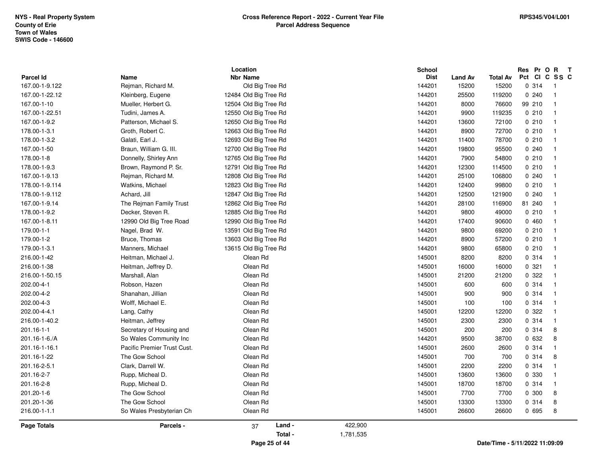|                  | Location                    |                       |           | <b>School</b> |                |                 | Res Pr O R T<br>Pct CI C SS C  |                |  |  |
|------------------|-----------------------------|-----------------------|-----------|---------------|----------------|-----------------|--------------------------------|----------------|--|--|
| <b>Parcel Id</b> | Name                        | <b>Nbr Name</b>       |           | <b>Dist</b>   | <b>Land Av</b> | <b>Total Av</b> |                                |                |  |  |
| 167.00-1-9.122   | Rejman, Richard M.          | Old Big Tree Rd       |           | 144201        | 15200          | 15200           | 0.314                          | $\overline{1}$ |  |  |
| 167.00-1-22.12   | Kleinberg, Eugene           | 12484 Old Big Tree Rd |           | 144201        | 25500          | 119200          | 0.240                          | $\mathbf{1}$   |  |  |
| 167.00-1-10      | Mueller, Herbert G.         | 12504 Old Big Tree Rd |           | 144201        | 8000           | 76600           | 99 210                         | $\mathbf{1}$   |  |  |
| 167.00-1-22.51   | Tudini, James A.            | 12550 Old Big Tree Rd |           | 144201        | 9900           | 119235          | 0210                           | $\mathbf{1}$   |  |  |
| 167.00-1-9.2     | Patterson, Michael S.       | 12650 Old Big Tree Rd |           | 144201        | 13600          | 72100           | 0210                           | $\mathbf{1}$   |  |  |
| 178.00-1-3.1     | Groth, Robert C.            | 12663 Old Big Tree Rd |           | 144201        | 8900           | 72700           | 0210                           | $\mathbf{1}$   |  |  |
| 178.00-1-3.2     | Galati, Earl J.             | 12693 Old Big Tree Rd |           | 144201        | 11400          | 78700           | 0210                           | $\mathbf{1}$   |  |  |
| 167.00-1-50      | Braun, William G. III.      | 12700 Old Big Tree Rd |           | 144201        | 19800          | 95500           | 0.240                          | $\overline{1}$ |  |  |
| 178.00-1-8       | Donnelly, Shirley Ann       | 12765 Old Big Tree Rd |           | 144201        | 7900           | 54800           | 0210                           | $\overline{1}$ |  |  |
| 178.00-1-9.3     | Brown, Raymond P. Sr.       | 12791 Old Big Tree Rd |           | 144201        | 12300          | 114500          | 0210                           | $\mathbf{1}$   |  |  |
| 167.00-1-9.13    | Rejman, Richard M.          | 12808 Old Big Tree Rd |           | 144201        | 25100          | 106800          | 0.240                          | $\mathbf{1}$   |  |  |
| 178.00-1-9.114   | Watkins, Michael            | 12823 Old Big Tree Rd |           | 144201        | 12400          | 99800           | 0210                           | $\mathbf{1}$   |  |  |
| 178.00-1-9.112   | Achard, Jill                | 12847 Old Big Tree Rd |           | 144201        | 12500          | 121900          | 0240                           | $\mathbf{1}$   |  |  |
| 167.00-1-9.14    | The Rejman Family Trust     | 12862 Old Big Tree Rd |           | 144201        | 28100          | 116900          | 81 240                         | $\mathbf{1}$   |  |  |
| 178.00-1-9.2     | Decker, Steven R.           | 12885 Old Big Tree Rd |           | 144201        | 9800           | 49000           | 0210                           | $\mathbf{1}$   |  |  |
| 167.00-1-8.11    | 12990 Old Big Tree Road     | 12990 Old Big Tree Rd |           | 144201        | 17400          | 90600           | 0460                           | $\overline{1}$ |  |  |
| 179.00-1-1       | Nagel, Brad W.              | 13591 Old Big Tree Rd |           | 144201        | 9800           | 69200           | 0210                           | $\mathbf{1}$   |  |  |
| 179.00-1-2       | Bruce, Thomas               | 13603 Old Big Tree Rd |           | 144201        | 8900           | 57200           | 0210                           | $\mathbf{1}$   |  |  |
| 179.00-1-3.1     | Manners, Michael            | 13615 Old Big Tree Rd |           | 144201        | 9800           | 65800           | 0210                           | $\mathbf{1}$   |  |  |
| 216.00-1-42      | Heitman, Michael J.         | Olean Rd              |           | 145001        | 8200           | 8200            | 0.314                          | $\mathbf{1}$   |  |  |
| 216.00-1-38      | Heitman, Jeffrey D.         | Olean Rd              |           | 145001        | 16000          | 16000           | 0.321                          | $\mathbf{1}$   |  |  |
| 216.00-1-50.15   | Marshall, Alan              | Olean Rd              |           | 145001        | 21200          | 21200           | 0.322                          | $\mathbf{1}$   |  |  |
| 202.00-4-1       | Robson, Hazen               | Olean Rd              |           | 145001        | 600            | 600             | 0.314                          | $\mathbf{1}$   |  |  |
| 202.00-4-2       | Shanahan, Jillian           | Olean Rd              |           | 145001        | 900            | 900             | 0.314                          | $\mathbf{1}$   |  |  |
| 202.00-4-3       | Wolff, Michael E.           | Olean Rd              |           | 145001        | 100            | 100             | 0.314                          | $\overline{1}$ |  |  |
| 202.00-4-4.1     | Lang, Cathy                 | Olean Rd              |           | 145001        | 12200          | 12200           | 0.322                          | $\overline{1}$ |  |  |
| 216.00-1-40.2    | Heitman, Jeffrey            | Olean Rd              |           | 145001        | 2300           | 2300            | 0.314                          | $\overline{1}$ |  |  |
| 201.16-1-1       | Secretary of Housing and    | Olean Rd              |           | 145001        | 200            | 200             | 0.314                          | 8              |  |  |
| 201.16-1-6./A    | So Wales Community Inc      | Olean Rd              |           | 144201        | 9500           | 38700           | 0 632                          | 8              |  |  |
| 201.16-1-16.1    | Pacific Premier Trust Cust. | Olean Rd              |           | 145001        | 2600           | 2600            | 0.314                          | $\mathbf{1}$   |  |  |
| 201.16-1-22      | The Gow School              | Olean Rd              |           | 145001        | 700            | 700             | 0.314                          | 8              |  |  |
| 201.16-2-5.1     | Clark, Darrell W.           | Olean Rd              |           | 145001        | 2200           | 2200            | 0.314                          | $\mathbf{1}$   |  |  |
| 201.16-2-7       | Rupp, Micheal D.            | Olean Rd              |           | 145001        | 13600          | 13600           | 0 330                          | $\mathbf{1}$   |  |  |
| 201.16-2-8       | Rupp, Micheal D.            | Olean Rd              |           | 145001        | 18700          | 18700           | 0.314                          | $\mathbf{1}$   |  |  |
| 201.20-1-6       | The Gow School              | Olean Rd              |           | 145001        | 7700           | 7700            | 0 300                          | 8              |  |  |
| 201.20-1-36      | The Gow School              | Olean Rd              |           | 145001        | 13300          | 13300           | 0.314                          | 8              |  |  |
| 216.00-1-1.1     | So Wales Presbyterian Ch    | Olean Rd              |           | 145001        | 26600          | 26600           | 0 695                          | 8              |  |  |
| Page Totals      | Parcels -                   | Land -<br>37          | 422,900   |               |                |                 |                                |                |  |  |
|                  |                             | Total -               | 1,781,535 |               |                |                 |                                |                |  |  |
|                  |                             | Page 25 of 44         |           |               |                |                 | Date/Time - 5/11/2022 11:09:09 |                |  |  |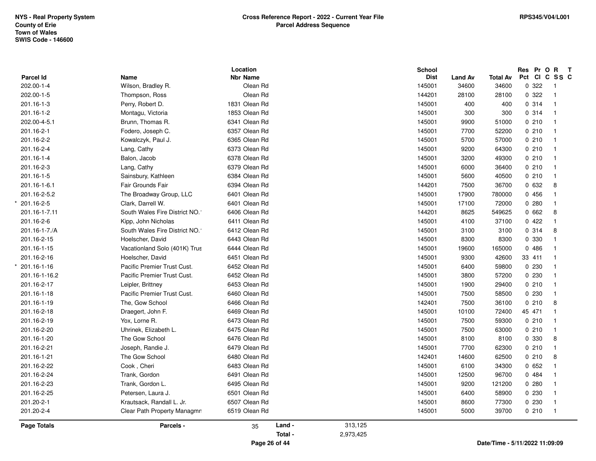| <b>Parcel Id</b>   | Name                           | Location<br><b>Nbr Name</b> | School<br><b>Dist</b> | <b>Land Av</b> | <b>Total Av</b> | Res Pr O R T<br>Pct CI C SS C |                |
|--------------------|--------------------------------|-----------------------------|-----------------------|----------------|-----------------|-------------------------------|----------------|
| 202.00-1-4         | Wilson, Bradley R.             | Olean Rd                    | 145001                | 34600          | 34600           | 0.322                         | $\blacksquare$ |
| 202.00-1-5         | Thompson, Ross                 | Olean Rd                    | 144201                | 28100          | 28100           | 0.322                         | $\overline{1}$ |
| 201.16-1-3         | Perry, Robert D.               | 1831 Olean Rd               | 145001                | 400            | 400             | 0 314                         | $\mathbf{1}$   |
| 201.16-1-2         | Montagu, Victoria              | 1853 Olean Rd               | 145001                | 300            | 300             | 0.314                         | $\mathbf{1}$   |
| 202.00-4-5.1       | Brunn, Thomas R.               | 6341 Olean Rd               | 145001                | 9900           | 51000           | 0210                          | $\mathbf{1}$   |
| 201.16-2-1         | Fodero, Joseph C.              | 6357 Olean Rd               | 145001                | 7700           | 52200           | 0210                          | $\mathbf{1}$   |
| 201.16-2-2         | Kowalczyk, Paul J.             | 6365 Olean Rd               | 145001                | 5700           | 57000           | 0210                          | $\mathbf{1}$   |
| 201.16-2-4         | Lang, Cathy                    | 6373 Olean Rd               | 145001                | 9200           | 64300           | 0210                          | $\mathbf{1}$   |
| 201.16-1-4         | Balon, Jacob                   | 6378 Olean Rd               | 145001                | 3200           | 49300           | 0210                          | $\overline{1}$ |
|                    |                                | 6379 Olean Rd               | 145001                | 6000           | 36400           | 0210                          | $\mathbf{1}$   |
| 201.16-2-3         | Lang, Cathy                    |                             |                       |                |                 |                               | $\mathbf 1$    |
| 201.16-1-5         | Sainsbury, Kathleen            | 6384 Olean Rd               | 145001                | 5600           | 40500           | 0210                          |                |
| 201.16-1-6.1       | Fair Grounds Fair              | 6394 Olean Rd               | 144201                | 7500           | 36700           | 0 632                         | 8              |
| 201.16-2-5.2       | The Broadway Group, LLC        | 6401 Olean Rd               | 145001                | 17900          | 780000          | 0 456                         | $\mathbf{1}$   |
| 201.16-2-5         | Clark, Darrell W.              | 6401 Olean Rd               | 145001                | 17100          | 72000           | 0.280                         | $\mathbf{1}$   |
| 201.16-1-7.11      | South Wales Fire District NO.1 | 6406 Olean Rd               | 144201                | 8625           | 549625          | 0662                          | 8              |
| 201.16-2-6         | Kipp, John Nicholas            | 6411 Olean Rd               | 145001                | 4100           | 37100           | 0422                          | $\mathbf{1}$   |
| 201.16-1-7./A      | South Wales Fire District NO.1 | 6412 Olean Rd               | 145001                | 3100           | 3100            | 0.314                         | 8              |
| 201.16-2-15        | Hoelscher, David               | 6443 Olean Rd               | 145001                | 8300           | 8300            | 0 330                         | $\mathbf{1}$   |
| 201.16-1-15        | Vacationland Solo (401K) Trus  | 6444 Olean Rd               | 145001                | 19600          | 165000          | 0486                          | $\mathbf{1}$   |
| 201.16-2-16        | Hoelscher, David               | 6451 Olean Rd               | 145001                | 9300           | 42600           | 33 411                        |                |
| 201.16-1-16        | Pacific Premier Trust Cust.    | 6452 Olean Rd               | 145001                | 6400           | 59800           | 0 2 3 0                       | $\mathbf{1}$   |
| 201.16-1-16.2      | Pacific Premier Trust Cust.    | 6452 Olean Rd               | 145001                | 3800           | 57200           | 0 2 3 0                       | $\mathbf{1}$   |
| 201.16-2-17        | Leipler, Brittney              | 6453 Olean Rd               | 145001                | 1900           | 29400           | 0210                          | $\mathbf{1}$   |
| 201.16-1-18        | Pacific Premier Trust Cust.    | 6460 Olean Rd               | 145001                | 7500           | 58500           | 0 2 3 0                       | $\mathbf{1}$   |
| 201.16-1-19        | The, Gow School                | 6466 Olean Rd               | 142401                | 7500           | 36100           | 0210                          | 8              |
| 201.16-2-18        | Draegert, John F.              | 6469 Olean Rd               | 145001                | 10100          | 72400           | 45 471                        | $\mathbf{1}$   |
| 201.16-2-19        | Yox, Lorne R.                  | 6473 Olean Rd               | 145001                | 7500           | 59300           | 0210                          | $\overline{1}$ |
| 201.16-2-20        | Uhrinek, Elizabeth L.          | 6475 Olean Rd               | 145001                | 7500           | 63000           | 0210                          | $\mathbf{1}$   |
| 201.16-1-20        | The Gow School                 | 6476 Olean Rd               | 145001                | 8100           | 8100            | 0 330                         | 8              |
| 201.16-2-21        | Joseph, Randie J.              | 6479 Olean Rd               | 145001                | 7700           | 62300           | 0210                          | $\mathbf{1}$   |
| 201.16-1-21        | The Gow School                 | 6480 Olean Rd               | 142401                | 14600          | 62500           | 0210                          | 8              |
| 201.16-2-22        | Cook, Cheri                    | 6483 Olean Rd               | 145001                | 6100           | 34300           | 0652                          | $\mathbf{1}$   |
| 201.16-2-24        | Trank, Gordon                  | 6491 Olean Rd               | 145001                | 12500          | 96700           | 0484                          | $\mathbf{1}$   |
| 201.16-2-23        | Trank, Gordon L.               | 6495 Olean Rd               | 145001                | 9200           | 121200          | 0.280                         | $\mathbf{1}$   |
| 201.16-2-25        | Petersen, Laura J.             | 6501 Olean Rd               | 145001                | 6400           | 58900           | 0230                          | $\mathbf{1}$   |
| 201.20-2-1         | Krautsack, Randall L. Jr.      | 6507 Olean Rd               | 145001                | 8600           | 77300           | 0 2 3 0                       | $\mathbf 1$    |
| 201.20-2-4         | Clear Path Property Managmn    | 6519 Olean Rd               | 145001                | 5000           | 39700           | 0210                          | $\overline{1}$ |
| <b>Page Totals</b> | Parcels -                      | Land -<br>35                | 313,125               |                |                 |                               |                |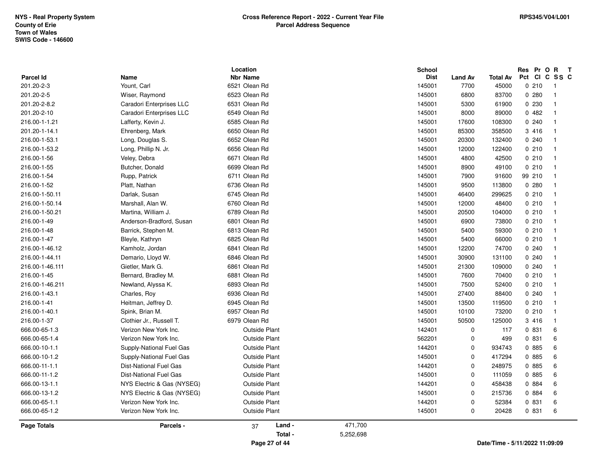|                            |                               | Location                         |           | <b>School</b>         |                        |                                | Res Pr O                 | R<br>$\mathbf{T}$       |
|----------------------------|-------------------------------|----------------------------------|-----------|-----------------------|------------------------|--------------------------------|--------------------------|-------------------------|
| Parcel Id                  | Name<br>Yount, Carl           | <b>Nbr Name</b><br>6521 Olean Rd |           | <b>Dist</b><br>145001 | <b>Land Av</b><br>7700 | Total Av<br>45000              | Pct<br><b>CI</b><br>0210 | C SS C                  |
| 201.20-2-3                 |                               | 6523 Olean Rd                    |           | 145001                | 6800                   | 83700                          | 0.280                    | - 1<br>$\overline{1}$   |
| 201.20-2-5<br>201.20-2-8.2 | Wiser, Raymond                | 6531 Olean Rd                    |           | 145001                | 5300                   | 61900                          | 0 2 3 0                  | $\overline{1}$          |
|                            | Caradori Enterprises LLC      |                                  |           |                       |                        |                                |                          |                         |
| 201.20-2-10                | Caradori Enterprises LLC      | 6549 Olean Rd                    |           | 145001                | 8000                   | 89000                          | 0482                     | $\overline{1}$          |
| 216.00-1-1.21              | Lafferty, Kevin J.            | 6585 Olean Rd                    |           | 145001                | 17600                  | 108300                         | 0.240                    | $\overline{\mathbf{1}}$ |
| 201.20-1-14.1              | Ehrenberg, Mark               | 6650 Olean Rd                    |           | 145001                | 85300                  | 358500                         | 3 416                    | $\overline{1}$          |
| 216.00-1-53.1              | Long, Douglas S.              | 6652 Olean Rd                    |           | 145001                | 20300                  | 132400                         | 0.240                    | $\overline{1}$          |
| 216.00-1-53.2              | Long, Phillip N. Jr.          | 6656 Olean Rd                    |           | 145001                | 12000                  | 122400                         | 0210                     | -1                      |
| 216.00-1-56                | Veley, Debra                  | 6671 Olean Rd                    |           | 145001                | 4800                   | 42500                          | 0210                     | -1                      |
| 216.00-1-55                | Butcher, Donald               | 6699 Olean Rd                    |           | 145001                | 8900                   | 49100                          | 0210                     | $\overline{\mathbf{1}}$ |
| 216.00-1-54                | Rupp, Patrick                 | 6711 Olean Rd                    |           | 145001                | 7900                   | 91600                          | 99 210                   | $\overline{\mathbf{1}}$ |
| 216.00-1-52                | Platt, Nathan                 | 6736 Olean Rd                    |           | 145001                | 9500                   | 113800                         | 0.280                    | $\overline{1}$          |
| 216.00-1-50.11             | Darlak, Susan                 | 6745 Olean Rd                    |           | 145001                | 46400                  | 299625                         | 0210                     | -1                      |
| 216.00-1-50.14             | Marshall, Alan W.             | 6760 Olean Rd                    |           | 145001                | 12000                  | 48400                          | 0210                     | $\overline{\mathbf{1}}$ |
| 216.00-1-50.21             | Martina, William J.           | 6789 Olean Rd                    |           | 145001                | 20500                  | 104000                         | 0210                     | $\overline{1}$          |
| 216.00-1-49                | Anderson-Bradford, Susan      | 6801 Olean Rd                    |           | 145001                | 6900                   | 73800                          | 0210                     | $\overline{1}$          |
| 216.00-1-48                | Barrick, Stephen M.           | 6813 Olean Rd                    |           | 145001                | 5400                   | 59300                          | 0210                     | -1                      |
| 216.00-1-47                | Bleyle, Kathryn               | 6825 Olean Rd                    |           | 145001                | 5400                   | 66000                          | 0210                     | $\overline{\mathbf{1}}$ |
| 216.00-1-46.12             | Kamholz, Jordan               | 6841 Olean Rd                    |           | 145001                | 12200                  | 74700                          | 0.240                    | $\overline{\mathbf{1}}$ |
| 216.00-1-44.11             | Demario, Lloyd W.             | 6846 Olean Rd                    |           | 145001                | 30900                  | 131100                         | 0.240                    | $\overline{\mathbf{1}}$ |
| 216.00-1-46.111            | Gietler, Mark G.              | 6861 Olean Rd                    |           | 145001                | 21300                  | 109000                         | 0.240                    | -1                      |
| 216.00-1-45                | Bernard, Bradley M.           | 6881 Olean Rd                    |           | 145001                | 7600                   | 70400                          | 0210                     | $\overline{\mathbf{1}}$ |
| 216.00-1-46.211            | Newland, Alyssa K.            | 6893 Olean Rd                    |           | 145001                | 7500                   | 52400                          | 0210                     | $\overline{1}$          |
| 216.00-1-43.1              | Charles, Roy                  | 6936 Olean Rd                    |           | 145001                | 27400                  | 88400                          | 0.240                    | $\overline{1}$          |
| 216.00-1-41                | Heitman, Jeffrey D.           | 6945 Olean Rd                    |           | 145001                | 13500                  | 119500                         | 0210                     | -1                      |
| 216.00-1-40.1              | Spink, Brian M.               | 6957 Olean Rd                    |           | 145001                | 10100                  | 73200                          | 0210                     | $\overline{\mathbf{1}}$ |
| 216.00-1-37                | Clothier Jr., Russell T.      | 6979 Olean Rd                    |           | 145001                | 50500                  | 125000                         | 3 416                    | $\overline{\mathbf{1}}$ |
| 666.00-65-1.3              | Verizon New York Inc.         | <b>Outside Plant</b>             |           | 142401                | $\mathbf 0$            | 117                            | 0 831                    | 6                       |
| 666.00-65-1.4              | Verizon New York Inc.         | <b>Outside Plant</b>             |           | 562201                | $\mathbf 0$            | 499                            | 0 831                    | 6                       |
| 666.00-10-1.1              | Supply-National Fuel Gas      | <b>Outside Plant</b>             |           | 144201                | $\mathbf 0$            | 934743                         | 0 885                    | 6                       |
| 666.00-10-1.2              | Supply-National Fuel Gas      | <b>Outside Plant</b>             |           | 145001                | 0                      | 417294                         | 0 885                    | 6                       |
| 666.00-11-1.1              | <b>Dist-National Fuel Gas</b> | <b>Outside Plant</b>             |           | 144201                | $\mathbf 0$            | 248975                         | 0 885                    | 6                       |
| 666.00-11-1.2              | <b>Dist-National Fuel Gas</b> | <b>Outside Plant</b>             |           | 145001                | $\mathbf 0$            | 111059                         | 0 885                    | 6                       |
| 666.00-13-1.1              | NYS Electric & Gas (NYSEG)    | <b>Outside Plant</b>             |           | 144201                | $\mathbf 0$            | 458438                         | 0 884                    | 6                       |
| 666.00-13-1.2              | NYS Electric & Gas (NYSEG)    | <b>Outside Plant</b>             |           | 145001                | 0                      | 215736                         | 0 884                    | 6                       |
| 666.00-65-1.1              | Verizon New York Inc.         | <b>Outside Plant</b>             |           | 144201                | $\Omega$               | 52384                          | 0 831                    | 6                       |
| 666.00-65-1.2              | Verizon New York Inc.         | <b>Outside Plant</b>             |           | 145001                | $\mathbf 0$            | 20428                          | 0 831                    | 6                       |
| <b>Page Totals</b>         | Parcels -                     | Land -<br>37                     | 471,700   |                       |                        |                                |                          |                         |
|                            |                               | Total -                          | 5,252,698 |                       |                        |                                |                          |                         |
|                            |                               | Page 27 of 44                    |           |                       |                        | Date/Time - 5/11/2022 11:09:09 |                          |                         |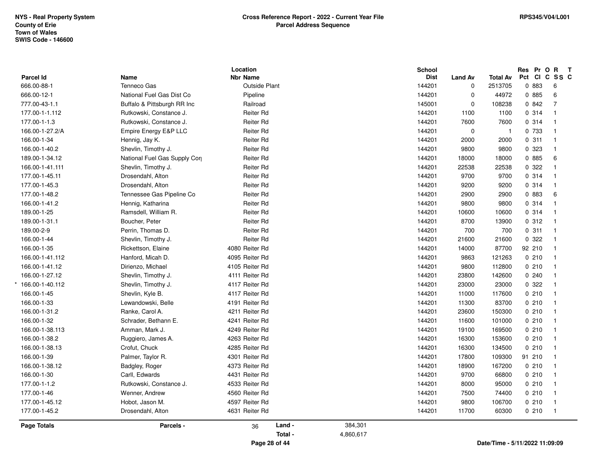| <b>Parcel Id</b>   | Name                          | Location<br><b>Nbr Name</b> |         |           | School<br><b>Dist</b> | <b>Land Av</b> | <b>Total Av</b>                | Pct Cl | Res Pr O | $\mathbf{R}$<br>$\mathbf{T}$<br>C SS C |  |
|--------------------|-------------------------------|-----------------------------|---------|-----------|-----------------------|----------------|--------------------------------|--------|----------|----------------------------------------|--|
| 666.00-88-1        | Tenneco Gas                   | <b>Outside Plant</b>        |         |           | 144201                | $\mathbf 0$    | 2513705                        |        | 0 883    | 6                                      |  |
| 666.00-12-1        | National Fuel Gas Dist Co     | Pipeline                    |         |           | 144201                | $\Omega$       | 44972                          |        | 0 885    | 6                                      |  |
| 777.00-43-1.1      | Buffalo & Pittsburgh RR Inc   | Railroad                    |         |           | 145001                | $\mathbf 0$    | 108238                         |        | 0.842    | $\overline{7}$                         |  |
| 177.00-1-1.112     | Rutkowski, Constance J.       | <b>Reiter Rd</b>            |         |           | 144201                | 1100           | 1100                           |        | 0.314    | $\overline{1}$                         |  |
| 177.00-1-1.3       | Rutkowski, Constance J.       | <b>Reiter Rd</b>            |         |           | 144201                | 7600           | 7600                           |        | 0.314    | $\blacksquare$                         |  |
| 166.00-1-27.2/A    | Empire Energy E&P LLC         | <b>Reiter Rd</b>            |         |           | 144201                | $\mathbf 0$    | $\overline{1}$                 |        | 0 733    | $\overline{1}$                         |  |
| 166.00-1-34        | Hennig, Jay K.                | <b>Reiter Rd</b>            |         |           | 144201                | 2000           | 2000                           |        | 0.311    | $\overline{1}$                         |  |
| 166.00-1-40.2      | Shevlin, Timothy J.           | <b>Reiter Rd</b>            |         |           | 144201                | 9800           | 9800                           |        | 0 323    | $\overline{\mathbf{1}}$                |  |
| 189.00-1-34.12     | National Fuel Gas Supply Corp | <b>Reiter Rd</b>            |         |           | 144201                | 18000          | 18000                          |        | 0 885    | 6                                      |  |
| 166.00-1-41.111    | Shevlin, Timothy J.           | Reiter Rd                   |         |           | 144201                | 22538          | 22538                          |        | 0.322    | -1                                     |  |
| 177.00-1-45.11     | Drosendahl, Alton             | Reiter Rd                   |         |           | 144201                | 9700           | 9700                           |        | 0.314    | $\overline{\mathbf{1}}$                |  |
| 177.00-1-45.3      | Drosendahl, Alton             | <b>Reiter Rd</b>            |         |           | 144201                | 9200           | 9200                           |        | 0.314    | $\overline{\mathbf{1}}$                |  |
| 177.00-1-48.2      | Tennessee Gas Pipeline Co     | <b>Reiter Rd</b>            |         |           | 144201                | 2900           | 2900                           |        | 0 883    | 6                                      |  |
| 166.00-1-41.2      | Hennig, Katharina             | Reiter Rd                   |         |           | 144201                | 9800           | 9800                           |        | 0.314    | $\overline{\mathbf{1}}$                |  |
| 189.00-1-25        | Ramsdell, William R.          | <b>Reiter Rd</b>            |         |           | 144201                | 10600          | 10600                          |        | 0.314    | $\overline{1}$                         |  |
| 189.00-1-31.1      | Boucher, Peter                | Reiter Rd                   |         |           | 144201                | 8700           | 13900                          |        | 0.312    | $\overline{1}$                         |  |
| 189.00-2-9         | Perrin, Thomas D.             | <b>Reiter Rd</b>            |         |           | 144201                | 700            | 700                            |        | 0.311    | $\overline{1}$                         |  |
| 166.00-1-44        | Shevlin, Timothy J.           | <b>Reiter Rd</b>            |         |           | 144201                | 21600          | 21600                          |        | 0.322    | - 1                                    |  |
| 166.00-1-35        | Rickettson, Elaine            | 4080 Reiter Rd              |         |           | 144201                | 14000          | 87700                          |        | 92 210   | $\overline{\mathbf{1}}$                |  |
| 166.00-1-41.112    | Hanford, Micah D.             | 4095 Reiter Rd              |         |           | 144201                | 9863           | 121263                         |        | 0210     | $\overline{1}$                         |  |
| 166.00-1-41.12     | Dirienzo, Michael             | 4105 Reiter Rd              |         |           | 144201                | 9800           | 112800                         |        | 0210     | $\overline{\mathbf{1}}$                |  |
| 166.00-1-27.12     | Shevlin, Timothy J.           | 4111 Reiter Rd              |         |           | 144201                | 23800          | 142600                         |        | 0240     | - 1                                    |  |
| 166.00-1-40.112    | Shevlin, Timothy J.           | 4117 Reiter Rd              |         |           | 144201                | 23000          | 23000                          |        | 0.322    | $\overline{\mathbf{1}}$                |  |
| 166.00-1-45        | Shevlin, Kyle B.              | 4117 Reiter Rd              |         |           | 144201                | 11000          | 117600                         |        | 0210     | - 1                                    |  |
| 166.00-1-33        | Lewandowski, Belle            | 4191 Reiter Rd              |         |           | 144201                | 11300          | 83700                          |        | 0210     | $\overline{\mathbf{1}}$                |  |
| 166.00-1-31.2      | Ranke, Carol A.               | 4211 Reiter Rd              |         |           | 144201                | 23600          | 150300                         |        | 0210     | $\overline{\mathbf{1}}$                |  |
| 166.00-1-32        | Schrader, Bethann E.          | 4241 Reiter Rd              |         |           | 144201                | 11600          | 101000                         |        | 0210     | $\overline{1}$                         |  |
| 166.00-1-38.113    | Amman, Mark J.                | 4249 Reiter Rd              |         |           | 144201                | 19100          | 169500                         |        | 0210     | $\overline{1}$                         |  |
| 166.00-1-38.2      | Ruggiero, James A.            | 4263 Reiter Rd              |         |           | 144201                | 16300          | 153600                         |        | 0210     | $\overline{\mathbf{1}}$                |  |
| 166.00-1-38.13     | Crofut, Chuck                 | 4285 Reiter Rd              |         |           | 144201                | 16300          | 134500                         |        | 0210     | - 1                                    |  |
| 166.00-1-39        | Palmer, Taylor R.             | 4301 Reiter Rd              |         |           | 144201                | 17800          | 109300                         |        | 91 210   | - 1                                    |  |
| 166.00-1-38.12     | Badgley, Roger                | 4373 Reiter Rd              |         |           | 144201                | 18900          | 167200                         |        | 0210     | $\overline{1}$                         |  |
| 166.00-1-30        | Carll, Edwards                | 4431 Reiter Rd              |         |           | 144201                | 9700           | 66800                          |        | 0210     | $\overline{\mathbf{1}}$                |  |
| 177.00-1-1.2       | Rutkowski, Constance J.       | 4533 Reiter Rd              |         |           | 144201                | 8000           | 95000                          |        | 0210     | $\overline{\mathbf{1}}$                |  |
| 177.00-1-46        | Wenner, Andrew                | 4560 Reiter Rd              |         |           | 144201                | 7500           | 74400                          |        | 0210     | - 1                                    |  |
| 177.00-1-45.12     | Hobot, Jason M.               | 4597 Reiter Rd              |         |           | 144201                | 9800           | 106700                         |        | 0210     | - 1                                    |  |
| 177.00-1-45.2      | Drosendahl, Alton             | 4631 Reiter Rd              |         |           | 144201                | 11700          | 60300                          |        | 0210     | $\overline{1}$                         |  |
| <b>Page Totals</b> | Parcels -                     | 36                          | Land -  | 384,301   |                       |                |                                |        |          |                                        |  |
|                    |                               |                             | Total - | 4,860,617 |                       |                |                                |        |          |                                        |  |
|                    |                               | Page 28 of 44               |         |           |                       |                | Date/Time - 5/11/2022 11:09:09 |        |          |                                        |  |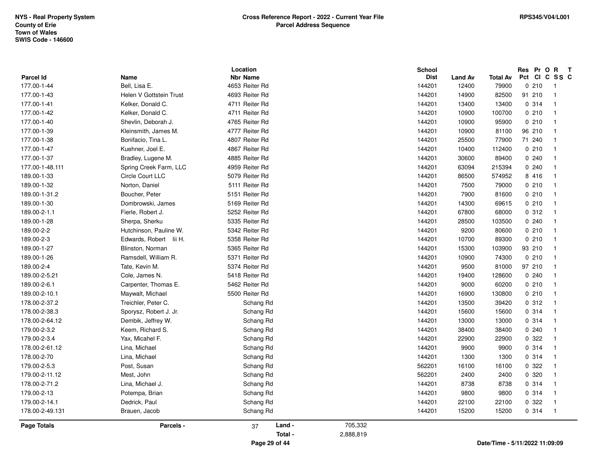| Parcel Id       | Name                    | Location<br><b>Nbr Name</b> | School<br><b>Dist</b> | <b>Land Av</b> | <b>Total Av</b> | Res Pr O R<br>Pct CI C SS C    | $\mathbf{T}$   |
|-----------------|-------------------------|-----------------------------|-----------------------|----------------|-----------------|--------------------------------|----------------|
| 177.00-1-44     | Bell, Lisa E.           | 4653 Reiter Rd              | 144201                | 12400          | 79900           | 0210                           | $\overline{1}$ |
| 177.00-1-43     | Helen V Gottstein Trust | 4693 Reiter Rd              | 144201                | 14900          | 82500           | 91 210                         | $\overline{1}$ |
| 177.00-1-41     | Kelker, Donald C.       | 4711 Reiter Rd              | 144201                | 13400          | 13400           | 0.314                          | $\overline{1}$ |
| 177.00-1-42     | Kelker, Donald C.       | 4711 Reiter Rd              | 144201                | 10900          | 100700          | 0210                           | $\overline{1}$ |
| 177.00-1-40     | Shevlin, Deborah J.     | 4765 Reiter Rd              | 144201                | 10900          | 95900           | 0210                           | $\overline{1}$ |
| 177.00-1-39     | Kleinsmith, James M.    | 4777 Reiter Rd              | 144201                | 10900          | 81100           | 96 210                         | $\overline{1}$ |
| 177.00-1-38     | Bonifacio, Tina L.      | 4807 Reiter Rd              | 144201                | 25500          | 77900           | 71 240                         | $\overline{1}$ |
| 177.00-1-47     | Kuehner, Joel E.        | 4867 Reiter Rd              | 144201                | 10400          | 112400          | 0210                           | $\overline{1}$ |
| 177.00-1-37     | Bradley, Lugene M.      | 4885 Reiter Rd              | 144201                | 30600          | 89400           | 0240                           | $\overline{1}$ |
| 177.00-1-48.111 | Spring Creek Farm, LLC  | 4959 Reiter Rd              | 144201                | 63094          | 215394          | 0240                           | $\overline{1}$ |
| 189.00-1-33     | Circle Court LLC        | 5079 Reiter Rd              | 144201                | 86500          | 574952          | 8 416                          | $\overline{1}$ |
| 189.00-1-32     | Norton, Daniel          | 5111 Reiter Rd              | 144201                | 7500           | 79000           | 0210                           | $\overline{1}$ |
| 189.00-1-31.2   | Boucher, Peter          | 5151 Reiter Rd              | 144201                | 7900           | 81600           | 0210                           | $\overline{1}$ |
| 189.00-1-30     | Dombrowski, James       | 5169 Reiter Rd              | 144201                | 14300          | 69615           | 0210                           | $\overline{1}$ |
| 189.00-2-1.1    | Fierle, Robert J.       | 5252 Reiter Rd              | 144201                | 67800          | 68000           | 0.312                          | $\overline{1}$ |
| 189.00-1-28     | Sherpa, Sherku          | 5335 Reiter Rd              | 144201                | 28500          | 103500          | 0.240                          | $\overline{1}$ |
| 189.00-2-2      | Hutchinson, Pauline W.  | 5342 Reiter Rd              | 144201                | 9200           | 80600           | 0210                           | $\overline{1}$ |
| 189.00-2-3      | Edwards, Robert lii H.  | 5358 Reiter Rd              | 144201                | 10700          | 89300           | 0210                           | $\overline{1}$ |
| 189.00-1-27     | Blinston, Norman        | 5365 Reiter Rd              | 144201                | 15300          | 103900          | 93 210                         | $\overline{1}$ |
| 189.00-1-26     | Ramsdell, William R.    | 5371 Reiter Rd              | 144201                | 10900          | 74300           | 0210                           | $\overline{1}$ |
| 189.00-2-4      | Tate, Kevin M.          | 5374 Reiter Rd              | 144201                | 9500           | 81000           | 97 210                         | $\overline{1}$ |
| 189.00-2-5.21   | Cole, James N.          | 5418 Reiter Rd              | 144201                | 19400          | 128600          | 0240                           | $\overline{1}$ |
| 189.00-2-6.1    | Carpenter, Thomas E.    | 5462 Reiter Rd              | 144201                | 9000           | 60200           | 0210                           | $\overline{1}$ |
| 189.00-2-10.1   | Maywalt, Michael        | 5500 Reiter Rd              | 144201                | 16900          | 130800          | 0210                           | $\overline{1}$ |
| 178.00-2-37.2   | Treichler, Peter C.     | Schang Rd                   | 144201                | 13500          | 39420           | 0.312                          | $\overline{1}$ |
| 178.00-2-38.3   | Sporysz, Robert J. Jr.  | Schang Rd                   | 144201                | 15600          | 15600           | 0.314                          | $\overline{1}$ |
| 178.00-2-64.12  | Dembik, Jeffrey W.      | Schang Rd                   | 144201                | 13000          | 13000           | 0 314                          | $\overline{1}$ |
| 179.00-2-3.2    | Keem, Richard S.        | Schang Rd                   | 144201                | 38400          | 38400           | 0.240                          | $\overline{1}$ |
| 179.00-2-3.4    | Yax, Micahel F.         | Schang Rd                   | 144201                | 22900          | 22900           | 0.322                          | $\overline{1}$ |
| 178.00-2-61.12  | Lina, Michael           | Schang Rd                   | 144201                | 9900           | 9900            | 0.314                          | $\overline{1}$ |
| 178.00-2-70     | Lina, Michael           | Schang Rd                   | 144201                | 1300           | 1300            | 0 314                          | $\overline{1}$ |
| 179.00-2-5.3    | Post, Susan             | Schang Rd                   | 562201                | 16100          | 16100           | 0 322                          | $\overline{1}$ |
| 179.00-2-11.12  | Mest, John              | Schang Rd                   | 562201                | 2400           | 2400            | 0 320                          | $\overline{1}$ |
| 178.00-2-71.2   | Lina, Michael J.        | Schang Rd                   | 144201                | 8738           | 8738            | 0 314                          | $\overline{1}$ |
| 179.00-2-13     | Potempa, Brian          | Schang Rd                   | 144201                | 9800           | 9800            | 0.314                          | $\overline{1}$ |
| 179.00-2-14.1   | Dedrick, Paul           | Schang Rd                   | 144201                | 22100          | 22100           | 0.322                          | $\overline{1}$ |
| 178.00-2-49.131 | Brauen, Jacob           | Schang Rd                   | 144201                | 15200          | 15200           | 0.314                          | $\overline{1}$ |
| Page Totals     | Parcels -               | Land -<br>37                | 705,332               |                |                 |                                |                |
|                 |                         | Total -                     | 2,888,819             |                |                 |                                |                |
|                 |                         | Page 29 of 44               |                       |                |                 | Date/Time - 5/11/2022 11:09:09 |                |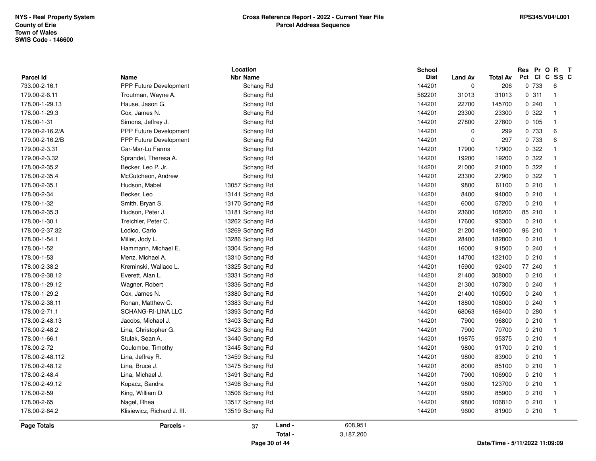|                    |                                | Location        |           | <b>School</b> |                |          | Res Pr O R    | $\mathbf{T}$            |
|--------------------|--------------------------------|-----------------|-----------|---------------|----------------|----------|---------------|-------------------------|
| Parcel Id          | Name<br>PPP Future Development | <b>Nbr Name</b> |           | <b>Dist</b>   | <b>Land Av</b> | Total Av | Pct CI C SS C |                         |
| 733.00-2-16.1      |                                | Schang Rd       |           | 144201        | $\mathbf 0$    | 206      | 0 733         | 6                       |
| 179.00-2-6.11      | Troutman, Wayne A.             | Schang Rd       |           | 562201        | 31013          | 31013    | 0.311         | $\overline{1}$          |
| 178.00-1-29.13     | Hause, Jason G.                | Schang Rd       |           | 144201        | 22700          | 145700   | 0240          | $\overline{1}$          |
| 178.00-1-29.3      | Cox, James N.                  | Schang Rd       |           | 144201        | 23300          | 23300    | 0.322         | $\overline{1}$          |
| 178.00-1-31        | Simons, Jeffrey J.             | Schang Rd       |           | 144201        | 27800          | 27800    | 0 105         | $\overline{1}$          |
| 179.00-2-16.2/A    | <b>PPP Future Development</b>  | Schang Rd       |           | 144201        | $\mathbf 0$    | 299      | 0 733         | 6                       |
| 179.00-2-16.2/B    | <b>PPP Future Development</b>  | Schang Rd       |           | 144201        | $\mathbf 0$    | 297      | 0 733         | 6                       |
| 179.00-2-3.31      | Car-Mar-Lu Farms               | Schang Rd       |           | 144201        | 17900          | 17900    | 0 322         | $\overline{1}$          |
| 179.00-2-3.32      | Sprandel, Theresa A.           | Schang Rd       |           | 144201        | 19200          | 19200    | 0 322         | $\overline{1}$          |
| 178.00-2-35.2      | Becker, Leo P. Jr.             | Schang Rd       |           | 144201        | 21000          | 21000    | 0.322         | $\overline{1}$          |
| 178.00-2-35.4      | McCutcheon, Andrew             | Schang Rd       |           | 144201        | 23300          | 27900    | 0 322         | $\overline{\mathbf{1}}$ |
| 178.00-2-35.1      | Hudson, Mabel                  | 13057 Schang Rd |           | 144201        | 9800           | 61100    | 0210          | $\overline{1}$          |
| 178.00-2-34        | Becker, Leo                    | 13141 Schang Rd |           | 144201        | 8400           | 94000    | 0210          | $\overline{1}$          |
| 178.00-1-32        | Smith, Bryan S.                | 13170 Schang Rd |           | 144201        | 6000           | 57200    | 0210          | $\overline{1}$          |
| 178.00-2-35.3      | Hudson, Peter J.               | 13181 Schang Rd |           | 144201        | 23600          | 108200   | 85 210        | $\overline{1}$          |
| 178.00-1-30.1      | Treichler, Peter C.            | 13262 Schang Rd |           | 144201        | 17600          | 93300    | 0210          | $\overline{1}$          |
| 178.00-2-37.32     | Lodico, Carlo                  | 13269 Schang Rd |           | 144201        | 21200          | 149000   | 96 210        | $\overline{1}$          |
| 178.00-1-54.1      | Miller, Jody L.                | 13286 Schang Rd |           | 144201        | 28400          | 182800   | 0210          | $\overline{1}$          |
| 178.00-1-52        | Hammann, Michael E.            | 13304 Schang Rd |           | 144201        | 16000          | 91500    | 0.240         | $\overline{1}$          |
| 178.00-1-53        | Menz, Michael A.               | 13310 Schang Rd |           | 144201        | 14700          | 122100   | 0210          | $\overline{1}$          |
| 178.00-2-38.2      | Kreminski, Wallace L.          | 13325 Schang Rd |           | 144201        | 15900          | 92400    | 77 240        | -1                      |
| 178.00-2-38.12     | Everett, Alan L.               | 13331 Schang Rd |           | 144201        | 21400          | 308000   | 0210          | $\overline{1}$          |
| 178.00-1-29.12     | Wagner, Robert                 | 13336 Schang Rd |           | 144201        | 21300          | 107300   | 0240          | $\overline{1}$          |
| 178.00-1-29.2      | Cox, James N.                  | 13380 Schang Rd |           | 144201        | 21400          | 100500   | 0240          | $\overline{1}$          |
| 178.00-2-38.11     | Ronan, Matthew C.              | 13383 Schang Rd |           | 144201        | 18800          | 108000   | 0240          | $\overline{1}$          |
| 178.00-2-71.1      | SCHANG-RI-LINA LLC             | 13393 Schang Rd |           | 144201        | 68063          | 168400   | 0.280         | $\overline{1}$          |
| 178.00-2-48.13     | Jacobs, Michael J.             | 13403 Schang Rd |           | 144201        | 7900           | 96800    | 0210          | $\overline{1}$          |
| 178.00-2-48.2      | Lina, Christopher G.           | 13423 Schang Rd |           | 144201        | 7900           | 70700    | 0210          | $\overline{1}$          |
| 178.00-1-66.1      | Stulak, Sean A.                | 13440 Schang Rd |           | 144201        | 19875          | 95375    | 0210          | $\overline{1}$          |
| 178.00-2-72        | Coulombe, Timothy              | 13445 Schang Rd |           | 144201        | 9800           | 91700    | 0210          | $\overline{1}$          |
| 178.00-2-48.112    | Lina, Jeffrey R.               | 13459 Schang Rd |           | 144201        | 9800           | 83900    | 0210          | $\overline{1}$          |
| 178.00-2-48.12     | Lina, Bruce J.                 | 13475 Schang Rd |           | 144201        | 8000           | 85100    | 0210          | $\overline{1}$          |
| 178.00-2-48.4      | Lina, Michael J.               | 13491 Schang Rd |           | 144201        | 7900           | 106900   | 0210          | $\overline{1}$          |
| 178.00-2-49.12     | Kopacz, Sandra                 | 13498 Schang Rd |           | 144201        | 9800           | 123700   | 0210          | $\overline{1}$          |
| 178.00-2-59        | King, William D.               | 13506 Schang Rd |           | 144201        | 9800           | 85900    | 0210          | $\overline{1}$          |
| 178.00-2-65        | Nagel, Rhea                    | 13517 Schang Rd |           | 144201        | 9800           | 106810   | 0210          | $\overline{1}$          |
| 178.00-2-64.2      | Klisiewicz, Richard J. III.    | 13519 Schang Rd |           | 144201        | 9600           | 81900    | 0210          | $\overline{1}$          |
| <b>Page Totals</b> | Parcels -                      | Land -<br>37    | 608,951   |               |                |          |               |                         |
|                    |                                | Total -         | 3,187,200 |               |                |          |               |                         |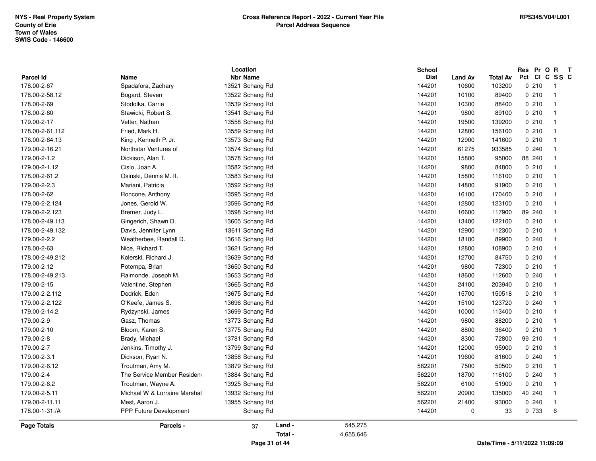|                  |                              | Location        |         | <b>School</b> |                |                 | Res Pr O R T          |                |
|------------------|------------------------------|-----------------|---------|---------------|----------------|-----------------|-----------------------|----------------|
| <b>Parcel Id</b> | <b>Name</b>                  | <b>Nbr Name</b> |         | <b>Dist</b>   | <b>Land Av</b> | <b>Total Av</b> | Pct CI C SS C<br>0210 | $\overline{1}$ |
| 178.00-2-67      | Spadafora, Zachary           | 13521 Schang Rd |         | 144201        | 10600          | 103200          |                       |                |
| 178.00-2-58.12   | Bogard, Steven               | 13522 Schang Rd |         | 144201        | 10100          | 89400           | 0210                  | $\overline{1}$ |
| 178.00-2-69      | Stodolka, Carrie             | 13539 Schang Rd |         | 144201        | 10300          | 88400           | 0210                  | $\overline{1}$ |
| 178.00-2-60      | Stawicki, Robert S.          | 13541 Schang Rd |         | 144201        | 9800           | 89100           | 0210                  | $\overline{1}$ |
| 179.00-2-17      | Vetter, Nathan               | 13558 Schang Rd |         | 144201        | 19500          | 139200          | 0210                  | $\overline{1}$ |
| 178.00-2-61.112  | Fried, Mark H.               | 13559 Schang Rd |         | 144201        | 12800          | 156100          | 0210                  | $\overline{1}$ |
| 178.00-2-64.13   | King, Kenneth P. Jr.         | 13573 Schang Rd |         | 144201        | 12900          | 141600          | 0210                  | $\overline{1}$ |
| 179.00-2-16.21   | Northstar Ventures of        | 13574 Schang Rd |         | 144201        | 61275          | 933585          | 0.240                 | $\overline{1}$ |
| 179.00-2-1.2     | Dickison, Alan T.            | 13578 Schang Rd |         | 144201        | 15800          | 95000           | 88 240                | $\overline{1}$ |
| 179.00-2-1.12    | Cislo, Joan A.               | 13582 Schang Rd |         | 144201        | 9800           | 84800           | 0210                  | $\overline{1}$ |
| 178.00-2-61.2    | Osinski, Dennis M. II.       | 13583 Schang Rd |         | 144201        | 15800          | 116100          | 0210                  | $\overline{1}$ |
| 179.00-2-2.3     | Mariani, Patricia            | 13592 Schang Rd |         | 144201        | 14800          | 91900           | 0210                  | $\overline{1}$ |
| 178.00-2-62      | Roncone, Anthony             | 13595 Schang Rd |         | 144201        | 16100          | 170400          | 0210                  | $\overline{1}$ |
| 179.00-2-2.124   | Jones, Gerold W.             | 13596 Schang Rd |         | 144201        | 12800          | 123100          | 0210                  | $\overline{1}$ |
| 179.00-2-2.123   | Bremer, Judy L.              | 13598 Schang Rd |         | 144201        | 16600          | 117900          | 89 240                | $\overline{1}$ |
| 178.00-2-49.113  | Gingerich, Shawn D.          | 13605 Schang Rd |         | 144201        | 13400          | 122100          | 0210                  | $\overline{1}$ |
| 178.00-2-49.132  | Davis, Jennifer Lynn         | 13611 Schang Rd |         | 144201        | 12900          | 112300          | 0210                  | $\overline{1}$ |
| 179.00-2-2.2     | Weatherbee, Randall D.       | 13616 Schang Rd |         | 144201        | 18100          | 89900           | 0.240                 | $\overline{1}$ |
| 178.00-2-63      | Nice, Richard T.             | 13621 Schang Rd |         | 144201        | 12800          | 108900          | 0210                  | $\overline{1}$ |
| 178.00-2-49.212  | Kolerski, Richard J.         | 13639 Schang Rd |         | 144201        | 12700          | 84750           | 0210                  | $\overline{1}$ |
| 179.00-2-12      | Potempa, Brian               | 13650 Schang Rd |         | 144201        | 9800           | 72300           | 0210                  | $\overline{1}$ |
| 178.00-2-49.213  | Raimonde, Joseph M.          | 13653 Schang Rd |         | 144201        | 18600          | 112600          | 0.240                 | $\overline{1}$ |
| 179.00-2-15      | Valentine, Stephen           | 13665 Schang Rd |         | 144201        | 24100          | 203940          | 0210                  | $\overline{1}$ |
| 179.00-2-2.112   | Dedrick, Eden                | 13675 Schang Rd |         | 144201        | 15700          | 150518          | 0210                  | $\overline{1}$ |
| 179.00-2-2.122   | O'Keefe, James S.            | 13696 Schang Rd |         | 144201        | 15100          | 123720          | 0.240                 | $\overline{1}$ |
| 179.00-2-14.2    | Rydzynski, James             | 13699 Schang Rd |         | 144201        | 10000          | 113400          | 0210                  | $\overline{1}$ |
| 179.00-2-9       | Gasz, Thomas                 | 13773 Schang Rd |         | 144201        | 9800           | 88200           | 0210                  | $\overline{1}$ |
| 179.00-2-10      | Bloom, Karen S.              | 13775 Schang Rd |         | 144201        | 8800           | 36400           | 0210                  | $\overline{1}$ |
| 179.00-2-8       | Brady, Michael               | 13781 Schang Rd |         | 144201        | 8300           | 72800           | 99 210                | $\overline{1}$ |
| 179.00-2-7       | Jenkins, Timothy J.          | 13799 Schang Rd |         | 144201        | 12000          | 95900           | 0210                  | $\overline{1}$ |
| 179.00-2-3.1     | Dickson, Ryan N.             | 13858 Schang Rd |         | 144201        | 19600          | 81600           | 0.240                 | $\overline{1}$ |
| 179.00-2-6.12    | Troutman, Amy M.             | 13879 Schang Rd |         | 562201        | 7500           | 50500           | 0210                  | $\overline{1}$ |
| 179.00-2-4       | The Service Member Residen   | 13884 Schang Rd |         | 562201        | 18700          | 116100          | 0240                  | $\overline{1}$ |
| 179.00-2-6.2     | Troutman, Wayne A.           | 13925 Schang Rd |         | 562201        | 6100           | 51900           | 0210                  | $\overline{1}$ |
| 179.00-2-5.11    | Michael W & Lorraine Marshal | 13932 Schang Rd |         | 562201        | 20900          | 135000          | 40 240                | $\overline{1}$ |
| 179.00-2-11.11   | Mest, Aaron J.               | 13955 Schang Rd |         | 562201        | 21400          | 93000           | 0240                  | $\overline{1}$ |
| 178.00-1-31./A   | PPP Future Development       | Schang Rd       |         | 144201        | $\mathbf 0$    | 33              | 0 733                 | 6              |
| Page Totals      | Parcels -                    | Land -<br>37    | 545,275 |               |                |                 |                       |                |

**Page 31 of 44**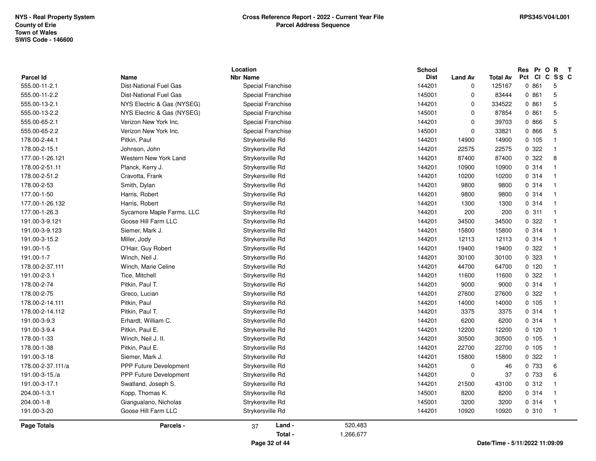| <b>Parcel Id</b>   | Name                          | Location<br><b>Nbr Name</b> |           | School<br><b>Dist</b> | <b>Land Av</b> | <b>Total Av</b>                | Res Pr O R<br>Pct<br><b>CI</b> | $\mathbf{T}$<br>C SS C           |
|--------------------|-------------------------------|-----------------------------|-----------|-----------------------|----------------|--------------------------------|--------------------------------|----------------------------------|
| 555.00-11-2.1      | <b>Dist-National Fuel Gas</b> | Special Franchise           |           | 144201                | $\mathbf 0$    | 125167                         | 0.861                          | 5                                |
| 555.00-11-2.2      | Dist-National Fuel Gas        | Special Franchise           |           | 145001                | $\Omega$       | 83444                          | 0.861                          | $\sqrt{5}$                       |
| 555.00-13-2.1      | NYS Electric & Gas (NYSEG)    | Special Franchise           |           | 144201                | $\mathbf 0$    | 334522                         | 0861                           | 5                                |
| 555.00-13-2.2      | NYS Electric & Gas (NYSEG)    | Special Franchise           |           | 145001                | $\mathbf 0$    | 87854                          | 0.861                          | 5                                |
| 555.00-65-2.1      | Verizon New York Inc.         | Special Franchise           |           | 144201                | $\mathbf 0$    | 39703                          | 0 866                          | 5                                |
| 555.00-65-2.2      | Verizon New York Inc.         | Special Franchise           |           | 145001                | $\pmb{0}$      | 33821                          | 0 866                          | $\sqrt{5}$                       |
| 178.00-2-44.1      | Pitkin, Paul                  | Strykersville Rd            |           | 144201                | 14900          | 14900                          | 0 105                          | $\overline{1}$                   |
| 178.00-2-15.1      | Johnson, John                 | Strykersville Rd            |           | 144201                | 22575          | 22575                          | 0 322                          | $\overline{1}$                   |
| 177.00-1-26.121    | Western New York Land         | Strykersville Rd            |           | 144201                | 87400          | 87400                          | 0 322                          | 8                                |
| 178.00-2-51.11     | Planck, Kerry J.              | Strykersville Rd            |           | 144201                | 10900          | 10900                          | 0.314                          | $\overline{1}$                   |
| 178.00-2-51.2      | Cravotta, Frank               | Strykersville Rd            |           | 144201                | 10200          | 10200                          | 0.314                          | $\overline{1}$                   |
| 178.00-2-53        | Smith, Dylan                  | Strykersville Rd            |           | 144201                | 9800           | 9800                           | 0.314                          | $\overline{1}$                   |
| 177.00-1-50        | Harris, Robert                | Strykersville Rd            |           | 144201                | 9800           | 9800                           | 0.314                          | $\overline{1}$                   |
| 177.00-1-26.132    | Harris, Robert                | Strykersville Rd            |           | 144201                | 1300           | 1300                           | 0.314                          | $\overline{1}$                   |
| 177.00-1-26.3      | Sycamore Maple Farms, LLC     | Strykersville Rd            |           | 144201                | 200            | 200                            | 0.311                          | $\overline{1}$                   |
| 191.00-3-9.121     | Goose Hill Farm LLC           | Strykersville Rd            |           | 144201                | 34500          | 34500                          | 0.322                          | $\overline{1}$                   |
| 191.00-3-9.123     | Siemer, Mark J.               | Strykersville Rd            |           | 144201                | 15800          | 15800                          | 0.314                          | $\overline{1}$                   |
| 191.00-3-15.2      | Miller, Jody                  | Strykersville Rd            |           | 144201                | 12113          | 12113                          | 0 314                          | $\overline{1}$                   |
|                    | O'Hair, Guy Robert            | Strykersville Rd            |           |                       |                |                                | 0 322                          | $\overline{1}$                   |
| 191.00-1-5         | Winch, Neil J.                |                             |           | 144201                | 19400          | 19400                          | 0 323                          | $\overline{1}$                   |
| 191.00-1-7         |                               | Strykersville Rd            |           | 144201                | 30100          | 30100                          |                                |                                  |
| 178.00-2-37.111    | Winch, Marie Celine           | Strykersville Rd            |           | 144201                | 44700          | 64700                          | 0, 120                         | $\overline{1}$                   |
| 191.00-2-3.1       | Tice, Mitchell                | Strykersville Rd            |           | 144201                | 11600          | 11600                          | 0.322                          | $\overline{1}$                   |
| 178.00-2-74        | Pitkin, Paul T.               | Strykersville Rd            |           | 144201                | 9000           | 9000                           | 0.314                          | $\overline{1}$                   |
| 178.00-2-75        | Greco, Lucian                 | Strykersville Rd            |           | 144201                | 27600          | 27600                          | 0.322                          | $\overline{1}$                   |
| 178.00-2-14.111    | Pitkin, Paul                  | Strykersville Rd            |           | 144201                | 14000          | 14000                          | 0.105                          | $\overline{1}$                   |
| 178.00-2-14.112    | Pitkin, Paul T.               | Strykersville Rd            |           | 144201                | 3375           | 3375                           | 0.314                          | $\overline{1}$                   |
| 191.00-3-9.3       | Erhardt, William C.           | Strykersville Rd            |           | 144201                | 6200           | 6200                           | 0.314                          | $\overline{1}$                   |
| 191.00-3-9.4       | Pitkin, Paul E.               | Strykersville Rd            |           | 144201                | 12200          | 12200                          | 0, 120                         | $\overline{1}$                   |
| 178.00-1-33        | Winch, Neil J. II.            | Strykersville Rd            |           | 144201                | 30500<br>22700 | 30500                          | 0 105                          | $\overline{1}$<br>$\overline{1}$ |
| 178.00-1-38        | Pitkin, Paul E.               | Strykersville Rd            |           | 144201                |                | 22700                          | 0 105                          | $\overline{1}$                   |
| 191.00-3-18        | Siemer, Mark J.               | Strykersville Rd            |           | 144201                | 15800          | 15800                          | 0 322                          |                                  |
| 178.00-2-37.111/a  | <b>PPP Future Development</b> | Strykersville Rd            |           | 144201                | $\mathbf 0$    | 46                             | 0 733                          | 6                                |
| 191.00-3-15./a     | PPP Future Development        | Strykersville Rd            |           | 144201                | $\mathbf 0$    | 37                             | 0 733                          | 6                                |
| 191.00-3-17.1      | Swatland, Joseph S.           | Strykersville Rd            |           | 144201                | 21500          | 43100                          | 0.312                          | $\overline{1}$                   |
| 204.00-1-3.1       | Kopp, Thomas K.               | Strykersville Rd            |           | 145001                | 8200           | 8200                           | 0.314                          | $\overline{1}$                   |
| 204.00-1-8         | Giangualano, Nicholas         | Strykersville Rd            |           | 145001                | 3200           | 3200                           | 0.314                          | $\overline{1}$                   |
| 191.00-3-20        | Goose Hill Farm LLC           | Strykersville Rd            |           | 144201                | 10920          | 10920                          | 0.310                          | $\overline{1}$                   |
| <b>Page Totals</b> | Parcels -                     | Land -<br>37                | 520,483   |                       |                |                                |                                |                                  |
|                    |                               | Total -                     | 1,266,677 |                       |                |                                |                                |                                  |
|                    |                               | Page 32 of 44               |           |                       |                | Date/Time - 5/11/2022 11:09:09 |                                |                                  |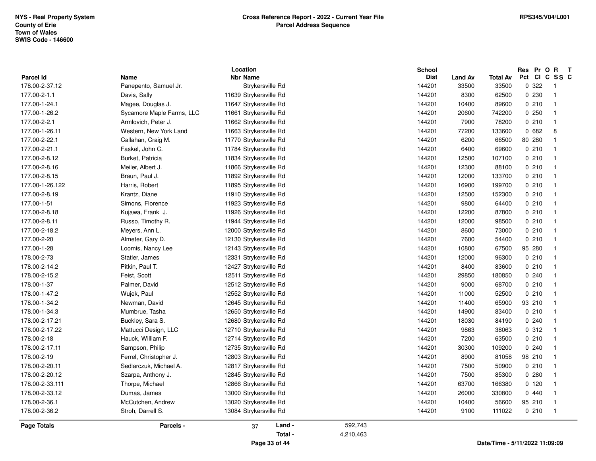| Parcel Id       | Name                      | Location<br><b>Nbr Name</b> |           | <b>School</b><br><b>Dist</b> | <b>Land Av</b> | <b>Total Av</b>                | Res Pr O R T<br>Pct CI C SS C |                         |
|-----------------|---------------------------|-----------------------------|-----------|------------------------------|----------------|--------------------------------|-------------------------------|-------------------------|
| 178.00-2-37.12  | Panepento, Samuel Jr.     | Strykersville Rd            |           | 144201                       | 33500          | 33500                          | 0.322                         | $\overline{1}$          |
| 177.00-2-1.1    | Davis, Sally              | 11639 Strykersville Rd      |           | 144201                       | 8300           | 62500                          | 0 230                         | $\overline{\mathbf{1}}$ |
| 177.00-1-24.1   | Magee, Douglas J.         | 11647 Strykersville Rd      |           | 144201                       | 10400          | 89600                          | 0.210                         | $\overline{1}$          |
| 177.00-1-26.2   | Sycamore Maple Farms, LLC | 11661 Strykersville Rd      |           | 144201                       | 20600          | 742200                         | 0.250                         | $\mathbf{1}$            |
| 177.00-2-2.1    | Armlovich, Peter J.       | 11662 Strykersville Rd      |           | 144201                       | 7900           | 78200                          | 0.210                         | $\overline{1}$          |
| 177.00-1-26.11  | Western, New York Land    | 11663 Strykersville Rd      |           | 144201                       | 77200          | 133600                         | 0682                          | 8                       |
| 177.00-2-22.1   | Callahan, Craig M.        | 11770 Strykersville Rd      |           | 144201                       | 6200           | 66500                          | 80 280                        | $\overline{1}$          |
| 177.00-2-21.1   | Faskel, John C.           | 11784 Strykersville Rd      |           | 144201                       | 6400           | 69600                          | 0210                          | $\overline{1}$          |
| 177.00-2-8.12   | Burket, Patricia          | 11834 Strykersville Rd      |           | 144201                       | 12500          | 107100                         | 0210                          | $\overline{1}$          |
| 177.00-2-8.16   | Meiler, Albert J.         | 11866 Strykersville Rd      |           | 144201                       | 12300          | 88100                          | 0210                          | $\overline{\mathbf{1}}$ |
| 177.00-2-8.15   | Braun, Paul J.            | 11892 Strykersville Rd      |           | 144201                       | 12000          | 133700                         | 0210                          | -1                      |
| 177.00-1-26.122 | Harris, Robert            | 11895 Strykersville Rd      |           | 144201                       | 16900          | 199700                         | 0210                          | $\overline{\mathbf{1}}$ |
| 177.00-2-8.19   | Krantz, Diane             | 11910 Strykersville Rd      |           | 144201                       | 12500          | 152300                         | 0210                          | $\overline{\mathbf{1}}$ |
| 177.00-1-51     | Simons, Florence          | 11923 Strykersville Rd      |           | 144201                       | 9800           | 64400                          | 0210                          | $\overline{1}$          |
| 177.00-2-8.18   | Kujawa, Frank J.          | 11926 Strykersville Rd      |           | 144201                       | 12200          | 87800                          | 0210                          | $\overline{1}$          |
| 177.00-2-8.11   | Russo, Timothy R.         | 11944 Strykersville Rd      |           | 144201                       | 12000          | 98500                          | 0210                          | $\overline{\mathbf{1}}$ |
| 177.00-2-18.2   | Meyers, Ann L.            | 12000 Strykersville Rd      |           | 144201                       | 8600           | 73000                          | 0210                          | $\overline{1}$          |
| 177.00-2-20     | Almeter, Gary D.          | 12130 Strykersville Rd      |           | 144201                       | 7600           | 54400                          | 0210                          | $\overline{1}$          |
| 177.00-1-28     | Loomis, Nancy Lee         | 12143 Strykersville Rd      |           | 144201                       | 10800          | 67500                          | 95 280                        | $\overline{\mathbf{1}}$ |
| 178.00-2-73     | Statler, James            | 12331 Strykersville Rd      |           | 144201                       | 12000          | 96300                          | 0210                          | $\overline{\mathbf{1}}$ |
| 178.00-2-14.2   | Pitkin, Paul T.           | 12427 Strykersville Rd      |           | 144201                       | 8400           | 83600                          | 0210                          | $\overline{\mathbf{1}}$ |
| 178.00-2-15.2   | Feist, Scott              | 12511 Strykersville Rd      |           | 144201                       | 29850          | 180850                         | 0.240                         | $\overline{\mathbf{1}}$ |
| 178.00-1-37     | Palmer, David             | 12512 Strykersville Rd      |           | 144201                       | 9000           | 68700                          | 0210                          | $\overline{1}$          |
| 178.00-1-47.2   | Wujek, Paul               | 12552 Strykersville Rd      |           | 144201                       | 11000          | 52500                          | 0210                          | $\overline{1}$          |
| 178.00-1-34.2   | Newman, David             | 12645 Strykersville Rd      |           | 144201                       | 11400          | 65900                          | 93 210                        | $\overline{1}$          |
| 178.00-1-34.3   | Mumbrue, Tasha            | 12650 Strykersville Rd      |           | 144201                       | 14900          | 83400                          | 0210                          | $\overline{1}$          |
| 178.00-2-17.21  | Buckley, Sara S.          | 12680 Strykersville Rd      |           | 144201                       | 18030          | 84190                          | 0.240                         | $\overline{\mathbf{1}}$ |
| 178.00-2-17.22  | Mattucci Design, LLC      | 12710 Strykersville Rd      |           | 144201                       | 9863           | 38063                          | 0.312                         | $\overline{1}$          |
| 178.00-2-18     | Hauck, William F.         | 12714 Strykersville Rd      |           | 144201                       | 7200           | 63500                          | 0210                          | $\overline{1}$          |
| 178.00-2-17.11  | Sampson, Philip           | 12735 Strykersville Rd      |           | 144201                       | 30300          | 109200                         | 0.240                         | $\overline{\mathbf{1}}$ |
| 178.00-2-19     | Ferrel, Christopher J.    | 12803 Strykersville Rd      |           | 144201                       | 8900           | 81058                          | 98 210                        | $\overline{\mathbf{1}}$ |
| 178.00-2-20.11  | Sedlarczuk, Michael A.    | 12817 Strykersville Rd      |           | 144201                       | 7500           | 50900                          | 0210                          | $\overline{1}$          |
| 178.00-2-20.12  | Szarpa, Anthony J.        | 12845 Strykersville Rd      |           | 144201                       | 7500           | 85300                          | 0.280                         | $\overline{1}$          |
| 178.00-2-33.111 | Thorpe, Michael           | 12866 Strykersville Rd      |           | 144201                       | 63700          | 166380                         | 0, 120                        | $\overline{1}$          |
| 178.00-2-33.12  | Dumas, James              | 13000 Strykersville Rd      |           | 144201                       | 26000          | 330800                         | 0440                          | $\overline{\mathbf{1}}$ |
| 178.00-2-36.1   | McCutchen, Andrew         | 13020 Strykersville Rd      |           | 144201                       | 10400          | 56600                          | 95 210                        | $\overline{1}$          |
| 178.00-2-36.2   | Stroh, Darrell S.         | 13084 Strykersville Rd      |           | 144201                       | 9100           | 111022                         | 0210                          | $\overline{\mathbf{1}}$ |
| Page Totals     | Parcels -                 | Land -<br>37                | 592,743   |                              |                |                                |                               |                         |
|                 |                           | Total -                     | 4,210,463 |                              |                |                                |                               |                         |
|                 |                           | Page 33 of 44               |           |                              |                | Date/Time - 5/11/2022 11:09:09 |                               |                         |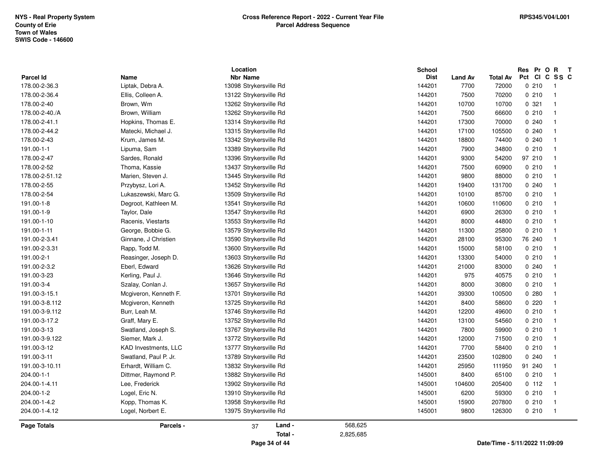|                  |                             | Location                |                      | <b>School</b> |                |                 | Pr O R<br>Res | $\mathbf{T}$   |
|------------------|-----------------------------|-------------------------|----------------------|---------------|----------------|-----------------|---------------|----------------|
| <b>Parcel Id</b> | Name                        | <b>Nbr Name</b>         |                      | <b>Dist</b>   | <b>Land Av</b> | <b>Total Av</b> | Pct           | CICSSC         |
| 178.00-2-36.3    | Liptak, Debra A.            | 13098 Strykersville Rd  |                      | 144201        | 7700           | 72000           | 0210          |                |
| 178.00-2-36.4    | Ellis, Colleen A.           | 13122 Strykersville Rd  |                      | 144201        | 7500           | 70200           | 0210          |                |
| 178.00-2-40      | Brown, Wm                   | 13262 Strykersville Rd  |                      | 144201        | 10700          | 10700           | 0.321         |                |
| 178.00-2-40./A   | Brown, William              | 13262 Strykersville Rd  |                      | 144201        | 7500           | 66600           | 0210          |                |
| 178.00-2-41.1    | Hopkins, Thomas E.          | 13314 Strykersville Rd  |                      | 144201        | 17300          | 70000           | 0.240         |                |
| 178.00-2-44.2    | Matecki, Michael J.         | 13315 Strykersville Rd  |                      | 144201        | 17100          | 105500          | 0.240         |                |
| 178.00-2-43      | Krum, James M.              | 13342 Strykersville Rd  |                      | 144201        | 18800          | 74400           | 0.240         |                |
| 191.00-1-1       | Lipuma, Sam                 | 13389 Strykersville Rd  |                      | 144201        | 7900           | 34800           | 0210          |                |
| 178.00-2-47      | Sardes, Ronald              | 13396 Strykersville Rd  |                      | 144201        | 9300           | 54200           | 97 210        |                |
| 178.00-2-52      | Thoma, Kassie               | 13437 Strykersville Rd  |                      | 144201        | 7500           | 60900           | 0210          |                |
| 178.00-2-51.12   | Marien, Steven J.           | 13445 Strykersville Rd  |                      | 144201        | 9800           | 88000           | 0210          |                |
| 178.00-2-55      | Przybysz, Lori A.           | 13452 Strykersville Rd  |                      | 144201        | 19400          | 131700          | 0.240         |                |
| 178.00-2-54      | Lukaszewski, Marc G.        | 13509 Strykersville Rd  |                      | 144201        | 10100          | 85700           | 0210          |                |
| 191.00-1-8       | Degroot, Kathleen M.        | 13541 Strykersville Rd  |                      | 144201        | 10600          | 110600          | 0210          |                |
| 191.00-1-9       | Taylor, Dale                | 13547 Strykersville Rd  |                      | 144201        | 6900           | 26300           | 0210          |                |
| 191.00-1-10      | Racenis, Viestarts          | 13553 Strykersville Rd  |                      | 144201        | 8000           | 44800           | 0210          |                |
| 191.00-1-11      | George, Bobbie G.           | 13579 Strykersville Rd  |                      | 144201        | 11300          | 25800           | 0210          |                |
| 191.00-2-3.41    | Ginnane, J Christien        | 13590 Strykersville Rd  |                      | 144201        | 28100          | 95300           | 76 240        |                |
| 191.00-2-3.31    | Rapp, Todd M.               | 13600 Strykersville Rd  |                      | 144201        | 15000          | 58100           | 0210          |                |
| 191.00-2-1       | Reasinger, Joseph D.        | 13603 Strykersville Rd  |                      | 144201        | 13300          | 54000           | 0210          |                |
| 191.00-2-3.2     | Eberl, Edward               | 13626 Strykersville Rd  |                      | 144201        | 21000          | 83000           | 0.240         |                |
| 191.00-3-23      | Kerling, Paul J.            | 13646 Strykersville Rd  |                      | 144201        | 975            | 40575           | 0210          |                |
| 191.00-3-4       | Szalay, Conlan J.           | 13657 Strykersville Rd  |                      | 144201        | 8000           | 30800           | 0210          |                |
| 191.00-3-15.1    | Mcgiveron, Kenneth F.       | 13701 Strykersville Rd  |                      | 144201        | 39300          | 100500          | 0.280         |                |
| 191.00-3-8.112   | Mcgiveron, Kenneth          | 13725 Strykersville Rd  |                      | 144201        | 8400           | 58600           | 0220          |                |
| 191.00-3-9.112   | Burr, Leah M.               | 13746 Strykersville Rd  |                      | 144201        | 12200          | 49600           | 0210          |                |
| 191.00-3-17.2    | Graff, Mary E.              | 13752 Strykersville Rd  |                      | 144201        | 13100          | 54560           | 0210          |                |
| 191.00-3-13      | Swatland, Joseph S.         | 13767 Strykersville Rd  |                      | 144201        | 7800           | 59900           | 0210          |                |
| 191.00-3-9.122   | Siemer, Mark J.             | 13772 Strykersville Rd  |                      | 144201        | 12000          | 71500           | 0210          |                |
| 191.00-3-12      | <b>KAD Investments, LLC</b> | 13777 Strykersville Rd  |                      | 144201        | 7700           | 58400           | 0210          |                |
| 191.00-3-11      | Swatland, Paul P. Jr.       | 13789 Strykersville Rd  |                      | 144201        | 23500          | 102800          | 0.240         |                |
| 191.00-3-10.11   | Erhardt, William C.         | 13832 Strykersville Rd  |                      | 144201        | 25950          | 111950          | 91 240        |                |
| 204.00-1-1       | Dittmer, Raymond P.         | 13882 Strykersville Rd  |                      | 145001        | 8400           | 65100           | 0210          |                |
| 204.00-1-4.11    | Lee, Frederick              | 13902 Strykersville Rd  |                      | 145001        | 104600         | 205400          | 0.112         |                |
| 204.00-1-2       | Logel, Eric N.              | 13910 Strykersville Rd  |                      | 145001        | 6200           | 59300           | 0210          |                |
| 204.00-1-4.2     | Kopp, Thomas K.             | 13958 Strykersville Rd  |                      | 145001        | 15900          | 207800          | 0210          |                |
| 204.00-1-4.12    | Logel, Norbert E.           | 13975 Strykersville Rd  |                      | 145001        | 9800           | 126300          | 0210          | $\overline{1}$ |
| Page Totals      | Parcels -                   | Land -<br>37<br>Total - | 568,625<br>2,825,685 |               |                |                 |               |                |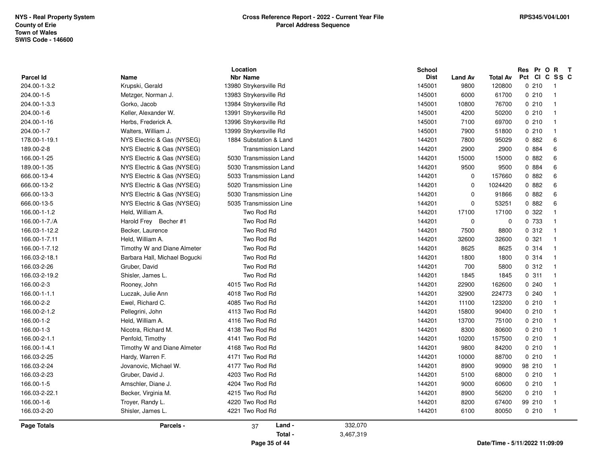|               |                               | Location                 |           | <b>School</b> |                |                                | Res Pr O R T  |                |
|---------------|-------------------------------|--------------------------|-----------|---------------|----------------|--------------------------------|---------------|----------------|
| Parcel Id     | Name                          | <b>Nbr Name</b>          |           | <b>Dist</b>   | <b>Land Av</b> | <b>Total Av</b>                | Pct CI C SS C |                |
| 204.00-1-3.2  | Krupski, Gerald               | 13980 Strykersville Rd   |           | 145001        | 9800           | 120800                         | 0210          | $\overline{1}$ |
| 204.00-1-5    | Metzger, Norman J.            | 13983 Strykersville Rd   |           | 145001        | 6000           | 61700                          | 0210          | $\overline{1}$ |
| 204.00-1-3.3  | Gorko, Jacob                  | 13984 Strykersville Rd   |           | 145001        | 10800          | 76700                          | 0210          | $\overline{1}$ |
| 204.00-1-6    | Keller, Alexander W.          | 13991 Strykersville Rd   |           | 145001        | 4200           | 50200                          | 0210          | $\overline{1}$ |
| 204.00-1-16   | Herbs, Frederick A.           | 13996 Strykersville Rd   |           | 145001        | 7100           | 69700                          | 0210          | $\overline{1}$ |
| 204.00-1-7    | Walters, William J.           | 13999 Strykersville Rd   |           | 145001        | 7900           | 51800                          | 0210          | $\overline{1}$ |
| 178.00-1-19.1 | NYS Electric & Gas (NYSEG)    | 1884 Substation & Land   |           | 144201        | 7800           | 95029                          | 0.882         | 6              |
| 189.00-2-8    | NYS Electric & Gas (NYSEG)    | <b>Transmission Land</b> |           | 144201        | 2900           | 2900                           | 0 884         | 6              |
| 166.00-1-25   | NYS Electric & Gas (NYSEG)    | 5030 Transmission Land   |           | 144201        | 15000          | 15000                          | 0 882         | 6              |
| 189.00-1-35   | NYS Electric & Gas (NYSEG)    | 5030 Transmission Land   |           | 144201        | 9500           | 9500                           | 0 884         | 6              |
| 666.00-13-4   | NYS Electric & Gas (NYSEG)    | 5033 Transmission Land   |           | 144201        | $\mathbf 0$    | 157660                         | 0.882         | 6              |
| 666.00-13-2   | NYS Electric & Gas (NYSEG)    | 5020 Transmission Line   |           | 144201        | 0              | 1024420                        | 0.882         | 6              |
| 666.00-13-3   | NYS Electric & Gas (NYSEG)    | 5030 Transmission Line   |           | 144201        | $\mathbf 0$    | 91866                          | 0.882         | 6              |
| 666.00-13-5   | NYS Electric & Gas (NYSEG)    | 5035 Transmission Line   |           | 144201        | $\mathbf 0$    | 53251                          | 0.882         | 6              |
| 166.00-1-1.2  | Held, William A.              | Two Rod Rd               |           | 144201        | 17100          | 17100                          | 0.322         | $\overline{1}$ |
| 166.00-1-7./A | Harold Frey Becher #1         | Two Rod Rd               |           | 144201        | $\mathbf 0$    | $\mathbf 0$                    | 0 733         | $\overline{1}$ |
| 166.03-1-12.2 | Becker, Laurence              | Two Rod Rd               |           | 144201        | 7500           | 8800                           | 0.312         | - 1            |
| 166.00-1-7.11 | Held, William A.              | Two Rod Rd               |           | 144201        | 32600          | 32600                          | 0.321         | $\overline{1}$ |
| 166.00-1-7.12 | Timothy W and Diane Almeter   | Two Rod Rd               |           | 144201        | 8625           | 8625                           | 0.314         | $\overline{1}$ |
| 166.03-2-18.1 | Barbara Hall, Michael Bogucki | Two Rod Rd               |           | 144201        | 1800           | 1800                           | 0.314         | $\overline{1}$ |
| 166.03-2-26   | Gruber, David                 | Two Rod Rd               |           | 144201        | 700            | 5800                           | 0.312         | - 1            |
| 166.03-2-19.2 | Shisler, James L.             | Two Rod Rd               |           | 144201        | 1845           | 1845                           | 0.311         | $\overline{1}$ |
| 166.00-2-3    | Rooney, John                  | 4015 Two Rod Rd          |           | 144201        | 22900          | 162600                         | 0240          | $\overline{1}$ |
| 166.00-1-1.1  | Luczak, Julie Ann             | 4018 Two Rod Rd          |           | 144201        | 32900          | 224773                         | 0240          | $\overline{1}$ |
| 166.00-2-2    | Ewel, Richard C.              | 4085 Two Rod Rd          |           | 144201        | 11100          | 123200                         | 0210          | $\overline{1}$ |
| 166.00-2-1.2  | Pellegrini, John              | 4113 Two Rod Rd          |           | 144201        | 15800          | 90400                          | 0210          | $\overline{1}$ |
| 166.00-1-2    | Held, William A.              | 4116 Two Rod Rd          |           | 144201        | 13700          | 75100                          | 0210          | $\overline{1}$ |
| 166.00-1-3    | Nicotra, Richard M.           | 4138 Two Rod Rd          |           | 144201        | 8300           | 80600                          | 0210          | $\overline{1}$ |
| 166.00-2-1.1  | Penfold, Timothy              | 4141 Two Rod Rd          |           | 144201        | 10200          | 157500                         | 0210          | $\overline{1}$ |
| 166.00-1-4.1  | Timothy W and Diane Almeter   | 4168 Two Rod Rd          |           | 144201        | 9800           | 84200                          | 0210          | $\overline{1}$ |
| 166.03-2-25   | Hardy, Warren F.              | 4171 Two Rod Rd          |           | 144201        | 10000          | 88700                          | 0210          | $\overline{1}$ |
| 166.03-2-24   | Jovanovic, Michael W.         | 4177 Two Rod Rd          |           | 144201        | 8900           | 90900                          | 98 210        | $\overline{1}$ |
| 166.03-2-23   | Gruber, David J.              | 4203 Two Rod Rd          |           | 144201        | 5100           | 68000                          | 0210          | $\overline{1}$ |
| 166.00-1-5    | Amschler, Diane J.            | 4204 Two Rod Rd          |           | 144201        | 9000           | 60600                          | 0210          | $\overline{1}$ |
| 166.03-2-22.1 | Becker, Virginia M.           | 4215 Two Rod Rd          |           | 144201        | 8900           | 56200                          | 0210          | - 1            |
| 166.00-1-6    | Troyer, Randy L.              | 4220 Two Rod Rd          |           | 144201        | 8200           | 67400                          | 99 210        | $\overline{1}$ |
| 166.03-2-20   | Shisler, James L.             | 4221 Two Rod Rd          |           | 144201        | 6100           | 80050                          | 0210          | $\overline{1}$ |
| Page Totals   | Parcels -                     | Land -<br>37             | 332,070   |               |                |                                |               |                |
|               |                               | Total -                  | 3,467,319 |               |                |                                |               |                |
|               |                               | Page 35 of 44            |           |               |                | Date/Time - 5/11/2022 11:09:09 |               |                |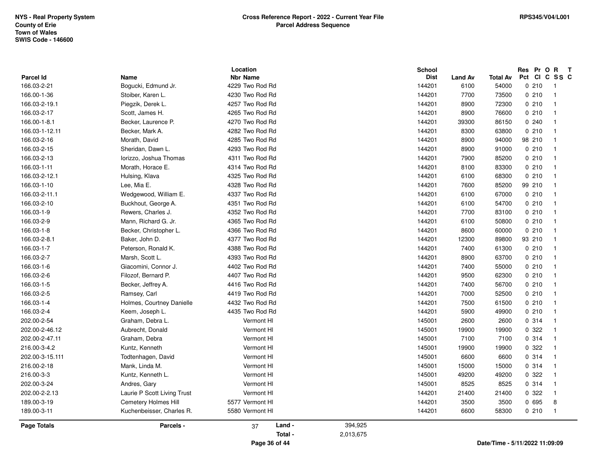|                                 |                             | Location                           |         |           | School                |                        |                          | Res Pr O |                     | $R$ T |
|---------------------------------|-----------------------------|------------------------------------|---------|-----------|-----------------------|------------------------|--------------------------|----------|---------------------|-------|
| <b>Parcel Id</b><br>166.03-2-21 | Name<br>Bogucki, Edmund Jr. | <b>Nbr Name</b><br>4229 Two Rod Rd |         |           | <b>Dist</b><br>144201 | <b>Land Av</b><br>6100 | <b>Total Av</b><br>54000 | 0210     | Pct CI C SS C<br>-1 |       |
|                                 |                             |                                    |         |           |                       |                        |                          |          |                     |       |
| 166.00-1-36                     | Stoiber, Karen L.           | 4230 Two Rod Rd                    |         |           | 144201                | 7700                   | 73500                    | 0210     | $\mathbf{1}$        |       |
| 166.03-2-19.1                   | Piegzik, Derek L.           | 4257 Two Rod Rd                    |         |           | 144201                | 8900                   | 72300                    | 0210     | $\mathbf{1}$        |       |
| 166.03-2-17                     | Scott, James H.             | 4265 Two Rod Rd                    |         |           | 144201                | 8900                   | 76600                    | 0210     | $\mathbf{1}$        |       |
| 166.00-1-8.1                    | Becker, Laurence P.         | 4270 Two Rod Rd                    |         |           | 144201                | 39300                  | 86150                    | 0.240    | $\mathbf{1}$        |       |
| 166.03-1-12.11                  | Becker, Mark A.             | 4282 Two Rod Rd                    |         |           | 144201                | 8300                   | 63800                    | 0210     | $\mathbf{1}$        |       |
| 166.03-2-16                     | Morath, David               | 4285 Two Rod Rd                    |         |           | 144201                | 8900                   | 94000                    | 98 210   | $\mathbf{1}$        |       |
| 166.03-2-15                     | Sheridan, Dawn L.           | 4293 Two Rod Rd                    |         |           | 144201                | 8900                   | 91000                    | 0210     | $\mathbf{1}$        |       |
| 166.03-2-13                     | lorizzo, Joshua Thomas      | 4311 Two Rod Rd                    |         |           | 144201                | 7900                   | 85200                    | 0210     | $\mathbf{1}$        |       |
| 166.03-1-11                     | Morath, Horace E.           | 4314 Two Rod Rd                    |         |           | 144201                | 8100                   | 83300                    | 0210     | $\mathbf{1}$        |       |
| 166.03-2-12.1                   | Hulsing, Klava              | 4325 Two Rod Rd                    |         |           | 144201                | 6100                   | 68300                    | 0210     | $\mathbf{1}$        |       |
| 166.03-1-10                     | Lee, Mia E.                 | 4328 Two Rod Rd                    |         |           | 144201                | 7600                   | 85200                    | 99 210   | $\mathbf{1}$        |       |
| 166.03-2-11.1                   | Wedgewood, William E.       | 4337 Two Rod Rd                    |         |           | 144201                | 6100                   | 67000                    | 0210     | $\mathbf{1}$        |       |
| 166.03-2-10                     | Buckhout, George A.         | 4351 Two Rod Rd                    |         |           | 144201                | 6100                   | 54700                    | 0210     | $\mathbf{1}$        |       |
| 166.03-1-9                      | Rewers, Charles J.          | 4352 Two Rod Rd                    |         |           | 144201                | 7700                   | 83100                    | 0210     | $\mathbf{1}$        |       |
| 166.03-2-9                      | Mann, Richard G. Jr.        | 4365 Two Rod Rd                    |         |           | 144201                | 6100                   | 50800                    | 0210     | $\mathbf{1}$        |       |
| 166.03-1-8                      | Becker, Christopher L.      | 4366 Two Rod Rd                    |         |           | 144201                | 8600                   | 60000                    | 0210     | $\mathbf{1}$        |       |
| 166.03-2-8.1                    | Baker, John D.              | 4377 Two Rod Rd                    |         |           | 144201                | 12300                  | 89800                    | 93 210   | $\mathbf{1}$        |       |
| 166.03-1-7                      | Peterson, Ronald K.         | 4388 Two Rod Rd                    |         |           | 144201                | 7400                   | 61300                    | 0210     | $\mathbf{1}$        |       |
| 166.03-2-7                      | Marsh, Scott L.             | 4393 Two Rod Rd                    |         |           | 144201                | 8900                   | 63700                    | 0210     | $\mathbf{1}$        |       |
| 166.03-1-6                      | Giacomini, Connor J.        | 4402 Two Rod Rd                    |         |           | 144201                | 7400                   | 55000                    | 0210     | $\mathbf{1}$        |       |
| 166.03-2-6                      | Filozof, Bernard P.         | 4407 Two Rod Rd                    |         |           | 144201                | 9500                   | 62300                    | 0210     | $\mathbf{1}$        |       |
| 166.03-1-5                      | Becker, Jeffrey A.          | 4416 Two Rod Rd                    |         |           | 144201                | 7400                   | 56700                    | 0210     | $\mathbf{1}$        |       |
| 166.03-2-5                      | Ramsey, Carl                | 4419 Two Rod Rd                    |         |           | 144201                | 7000                   | 52500                    | 0210     | $\mathbf{1}$        |       |
| 166.03-1-4                      | Holmes, Courtney Danielle   | 4432 Two Rod Rd                    |         |           | 144201                | 7500                   | 61500                    | 0210     | $\mathbf{1}$        |       |
| 166.03-2-4                      | Keem, Joseph L.             | 4435 Two Rod Rd                    |         |           | 144201                | 5900                   | 49900                    | 0210     | $\mathbf{1}$        |       |
| 202.00-2-54                     | Graham, Debra L.            | Vermont HI                         |         |           | 145001                | 2600                   | 2600                     | 0.314    | $\mathbf{1}$        |       |
| 202.00-2-46.12                  | Aubrecht, Donald            | Vermont HI                         |         |           | 145001                | 19900                  | 19900                    | 0 322    | $\mathbf{1}$        |       |
| 202.00-2-47.11                  | Graham, Debra               | Vermont HI                         |         |           | 145001                | 7100                   | 7100                     | 0 314    | $\mathbf{1}$        |       |
| 216.00-3-4.2                    | Kuntz, Kenneth              | Vermont HI                         |         |           | 145001                | 19900                  | 19900                    | 0 322    | $\mathbf{1}$        |       |
| 202.00-3-15.111                 | Todtenhagen, David          | Vermont HI                         |         |           | 145001                | 6600                   | 6600                     | 0.314    | $\mathbf{1}$        |       |
| 216.00-2-18                     | Mank, Linda M.              | Vermont HI                         |         |           | 145001                | 15000                  | 15000                    | 0 314    | $\mathbf{1}$        |       |
| 216.00-3-3                      | Kuntz, Kenneth L.           | Vermont HI                         |         |           | 145001                | 49200                  | 49200                    | 0 322    | $\mathbf{1}$        |       |
| 202.00-3-24                     | Andres, Gary                | Vermont HI                         |         |           | 145001                | 8525                   | 8525                     | 0.314    | $\mathbf{1}$        |       |
| 202.00-2-2.13                   | Laurie P Scott Living Trust | Vermont HI                         |         |           | 144201                | 21400                  | 21400                    | 0 322    | $\mathbf{1}$        |       |
| 189.00-3-19                     | Cemetery Holmes Hill        | 5577 Vermont HI                    |         |           | 144201                | 3500                   | 3500                     | 0 695    | 8                   |       |
| 189.00-3-11                     | Kuchenbeisser, Charles R.   | 5580 Vermont HI                    |         |           | 144201                | 6600                   | 58300                    | 0210     | $\mathbf{1}$        |       |
| Page Totals                     | Parcels -                   | 37                                 | Land -  | 394,925   |                       |                        |                          |          |                     |       |
|                                 |                             |                                    | Total - | 2,013,675 |                       |                        |                          |          |                     |       |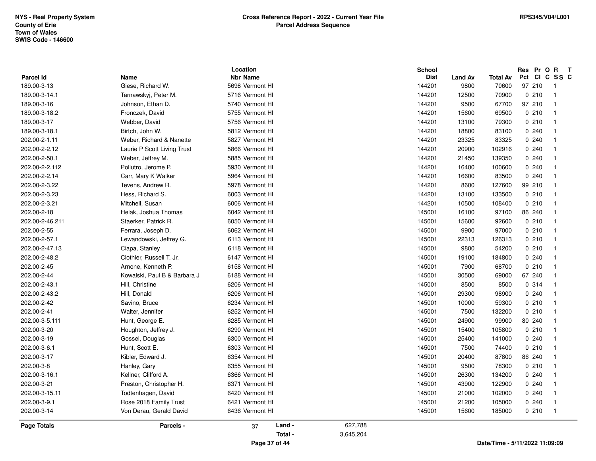| Parcel Id          | Name                         | Location<br><b>Nbr Name</b> | School<br><b>Dist</b> |                        | <b>Total Av</b> | Res Pr O R<br>Pct CI C SS C    | $\mathbf{T}$   |
|--------------------|------------------------------|-----------------------------|-----------------------|------------------------|-----------------|--------------------------------|----------------|
| 189.00-3-13        | Giese, Richard W.            | 5698 Vermont HI             | 144201                | <b>Land Av</b><br>9800 | 70600           | 97 210                         | $\overline{1}$ |
| 189.00-3-14.1      | Tarnawskyj, Peter M.         | 5716 Vermont HI             | 144201                | 12500                  | 70900           | 0210                           | $\overline{1}$ |
| 189.00-3-16        | Johnson, Ethan D.            | 5740 Vermont HI             | 144201                | 9500                   | 67700           | 97 210                         | $\overline{1}$ |
| 189.00-3-18.2      | Fronczek, David              | 5755 Vermont HI             | 144201                | 15600                  | 69500           | 0210                           | $\overline{1}$ |
| 189.00-3-17        | Webber, David                | 5756 Vermont HI             | 144201                | 13100                  | 79300           | 0210                           | $\overline{1}$ |
| 189.00-3-18.1      | Birtch, John W.              | 5812 Vermont HI             | 144201                | 18800                  | 83100           | 0.240                          | $\overline{1}$ |
| 202.00-2-1.11      | Weber, Richard & Nanette     | 5827 Vermont HI             | 144201                | 23325                  | 83325           | 0240                           | $\overline{1}$ |
| 202.00-2-2.12      | Laurie P Scott Living Trust  | 5866 Vermont HI             | 144201                | 20900                  | 102916          | 0240                           | $\overline{1}$ |
| 202.00-2-50.1      | Weber, Jeffrey M.            | 5885 Vermont HI             | 144201                | 21450                  | 139350          | 0.240                          | $\overline{1}$ |
| 202.00-2-2.112     | Pollutro, Jerome P.          | 5930 Vermont HI             | 144201                | 16400                  | 100600          | 0240                           | $\overline{1}$ |
| 202.00-2-2.14      | Carr, Mary K Walker          | 5964 Vermont HI             | 144201                | 16600                  | 83500           | 0.240                          | $\overline{1}$ |
| 202.00-2-3.22      | Tevens, Andrew R.            | 5978 Vermont HI             | 144201                | 8600                   | 127600          | 99 210                         | $\overline{1}$ |
| 202.00-2-3.23      | Hess, Richard S.             | 6003 Vermont HI             | 144201                | 13100                  | 133500          | 0210                           | $\overline{1}$ |
| 202.00-2-3.21      | Mitchell, Susan              | 6006 Vermont HI             | 144201                | 10500                  | 108400          | 0210                           | $\overline{1}$ |
| 202.00-2-18        | Helak, Joshua Thomas         | 6042 Vermont HI             | 145001                | 16100                  | 97100           | 86 240                         | $\overline{1}$ |
| 202.00-2-46.211    | Staerker, Patrick R.         | 6050 Vermont HI             | 145001                | 15600                  | 92600           | 0210                           | $\overline{1}$ |
| 202.00-2-55        | Ferrara, Joseph D.           | 6062 Vermont HI             | 145001                | 9900                   | 97000           | 0210                           | $\overline{1}$ |
| 202.00-2-57.1      | Lewandowski, Jeffrey G.      | 6113 Vermont HI             | 145001                | 22313                  | 126313          | 0210                           | $\overline{1}$ |
| 202.00-2-47.13     | Ciapa, Stanley               | 6118 Vermont HI             | 145001                | 9800                   | 54200           | 0210                           | $\overline{1}$ |
| 202.00-2-48.2      | Clothier, Russell T. Jr.     | 6147 Vermont HI             | 145001                | 19100                  | 184800          | 0.240                          | $\overline{1}$ |
| 202.00-2-45        | Arnone, Kenneth P.           | 6158 Vermont HI             | 145001                | 7900                   | 68700           | 0210                           | $\overline{1}$ |
| 202.00-2-44        | Kowalski, Paul B & Barbara J | 6188 Vermont HI             | 145001                | 30500                  | 69000           | 67 240                         | $\mathbf{1}$   |
| 202.00-2-43.1      | Hill, Christine              | 6206 Vermont HI             | 145001                | 8500                   | 8500            | 0.314                          | $\overline{1}$ |
| 202.00-2-43.2      | Hill, Donald                 | 6206 Vermont HI             | 145001                | 29300                  | 98900           | 0240                           | $\overline{1}$ |
| 202.00-2-42        | Savino, Bruce                | 6234 Vermont HI             | 145001                | 10000                  | 59300           | 0210                           | $\overline{1}$ |
| 202.00-2-41        | Walter, Jennifer             | 6252 Vermont HI             | 145001                | 7500                   | 132200          | 0210                           | $\overline{1}$ |
| 202.00-3-5.111     | Hunt, George E.              | 6285 Vermont HI             | 145001                | 24900                  | 99900           | 80 240                         | $\overline{1}$ |
| 202.00-3-20        | Houghton, Jeffrey J.         | 6290 Vermont HI             | 145001                | 15400                  | 105800          | 0210                           | $\overline{1}$ |
| 202.00-3-19        | Gossel, Douglas              | 6300 Vermont HI             | 145001                | 25400                  | 141000          | 0240                           | $\overline{1}$ |
| 202.00-3-6.1       | Hunt, Scott E.               | 6303 Vermont HI             | 145001                | 7500                   | 74400           | 0210                           | $\overline{1}$ |
| 202.00-3-17        | Kibler, Edward J.            | 6354 Vermont HI             | 145001                | 20400                  | 87800           | 86 240                         | $\overline{1}$ |
| 202.00-3-8         | Hanley, Gary                 | 6355 Vermont HI             | 145001                | 9500                   | 78300           | 0210                           | $\overline{1}$ |
| 202.00-3-16.1      | Kellner, Clifford A.         | 6366 Vermont HI             | 145001                | 26300                  | 134200          | 0240                           | $\overline{1}$ |
| 202.00-3-21        | Preston, Christopher H.      | 6371 Vermont HI             | 145001                | 43900                  | 122900          | 0.240                          | $\overline{1}$ |
| 202.00-3-15.11     | Todtenhagen, David           | 6420 Vermont HI             | 145001                | 21000                  | 102000          | 0240                           | $\overline{1}$ |
| 202.00-3-9.1       | Rose 2018 Family Trust       | 6421 Vermont HI             | 145001                | 21200                  | 105000          | 0.240                          | $\overline{1}$ |
| 202.00-3-14        | Von Derau, Gerald David      | 6436 Vermont HI             | 145001                | 15600                  | 185000          | 0210                           | $\overline{1}$ |
| <b>Page Totals</b> | Parcels -                    | Land -<br>37                | 627,788               |                        |                 |                                |                |
|                    |                              | Total -                     | 3,645,204             |                        |                 |                                |                |
|                    |                              | Page 37 of 44               |                       |                        |                 | Date/Time - 5/11/2022 11:09:09 |                |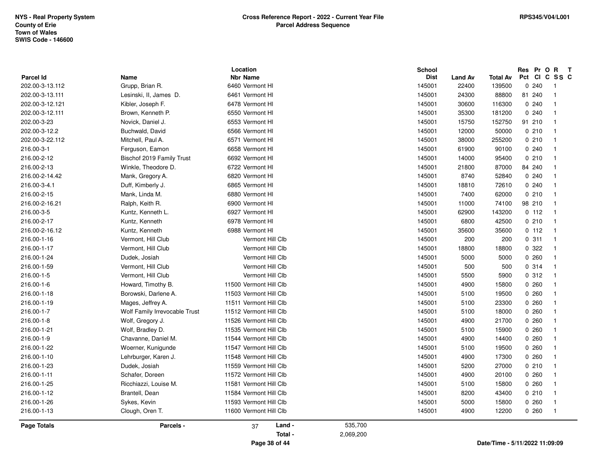|                 |                               | Location               |           | School      |                |          | Res Pr O                       | $\mathbf{R}$<br>$\mathbf{T}$ |
|-----------------|-------------------------------|------------------------|-----------|-------------|----------------|----------|--------------------------------|------------------------------|
| Parcel Id       | Name                          | <b>Nbr Name</b>        |           | <b>Dist</b> | <b>Land Av</b> | Total Av | Pct CI C SS C                  |                              |
| 202.00-3-13.112 | Grupp, Brian R.               | 6460 Vermont HI        |           | 145001      | 22400          | 139500   | 0.240                          | -1<br>$\overline{1}$         |
| 202.00-3-13.111 | Lesinski, II, James D.        | 6461 Vermont HI        |           | 145001      | 24300          | 88800    | 81 240                         |                              |
| 202.00-3-12.121 | Kibler, Joseph F.             | 6478 Vermont HI        |           | 145001      | 30600          | 116300   | 0.240                          | $\overline{1}$               |
| 202.00-3-12.111 | Brown, Kenneth P.             | 6550 Vermont HI        |           | 145001      | 35300          | 181200   | 0.240                          | $\overline{1}$               |
| 202.00-3-23     | Novick, Daniel J.             | 6553 Vermont HI        |           | 145001      | 15750          | 152750   | 91 210                         | $\overline{1}$               |
| 202.00-3-12.2   | Buchwald, David               | 6566 Vermont HI        |           | 145001      | 12000          | 50000    | 0210                           | $\overline{1}$               |
| 202.00-3-22.112 | Mitchell, Paul A.             | 6571 Vermont HI        |           | 145001      | 38000          | 255200   | 0210                           | $\overline{1}$               |
| 216.00-3-1      | Ferguson, Eamon               | 6658 Vermont HI        |           | 145001      | 61900          | 90100    | 0.240                          | $\overline{1}$               |
| 216.00-2-12     | Bischof 2019 Family Trust     | 6692 Vermont HI        |           | 145001      | 14000          | 95400    | 0210                           | $\overline{1}$               |
| 216.00-2-13     | Winkle, Theodore D.           | 6722 Vermont HI        |           | 145001      | 21800          | 87000    | 84 240                         | $\overline{1}$               |
| 216.00-2-14.42  | Mank, Gregory A.              | 6820 Vermont HI        |           | 145001      | 8740           | 52840    | 0.240                          | $\overline{1}$               |
| 216.00-3-4.1    | Duff, Kimberly J.             | 6865 Vermont HI        |           | 145001      | 18810          | 72610    | 0.240                          | $\overline{1}$               |
| 216.00-2-15     | Mank, Linda M.                | 6880 Vermont HI        |           | 145001      | 7400           | 62000    | 0210                           | $\overline{1}$               |
| 216.00-2-16.21  | Ralph, Keith R.               | 6900 Vermont HI        |           | 145001      | 11000          | 74100    | 98 210                         | $\overline{1}$               |
| 216.00-3-5      | Kuntz, Kenneth L.             | 6927 Vermont HI        |           | 145001      | 62900          | 143200   | 0 112                          | $\overline{1}$               |
| 216.00-2-17     | Kuntz, Kenneth                | 6978 Vermont HI        |           | 145001      | 6800           | 42500    | 0210                           | $\overline{1}$               |
| 216.00-2-16.12  | Kuntz, Kenneth                | 6988 Vermont HI        |           | 145001      | 35600          | 35600    | 0 112                          | $\overline{1}$               |
| 216.00-1-16     | Vermont, Hill Club            | Vermont Hill Clb       |           | 145001      | 200            | 200      | 0.311                          | $\overline{1}$               |
| 216.00-1-17     | Vermont, Hill Club            | Vermont Hill Clb       |           | 145001      | 18800          | 18800    | 0.322                          | $\overline{1}$               |
| 216.00-1-24     | Dudek, Josiah                 | Vermont Hill Clb       |           | 145001      | 5000           | 5000     | 0260                           | $\overline{1}$               |
| 216.00-1-59     | Vermont, Hill Club            | Vermont Hill Clb       |           | 145001      | 500            | 500      | 0.314                          | $\mathbf{1}$                 |
| 216.00-1-5      | Vermont, Hill Club            | Vermont Hill Clb       |           | 145001      | 5500           | 5900     | 0.312                          | $\overline{1}$               |
| 216.00-1-6      | Howard, Timothy B.            | 11500 Vermont Hill Clb |           | 145001      | 4900           | 15800    | 0.260                          | $\overline{1}$               |
| 216.00-1-18     | Borowski, Darlene A.          | 11503 Vermont Hill Clb |           | 145001      | 5100           | 19500    | 0260                           | $\overline{1}$               |
| 216.00-1-19     | Mages, Jeffrey A.             | 11511 Vermont Hill Clb |           | 145001      | 5100           | 23300    | 0.260                          | $\mathbf{1}$                 |
| 216.00-1-7      | Wolf Family Irrevocable Trust | 11512 Vermont Hill Clb |           | 145001      | 5100           | 18000    | 0.260                          | $\overline{1}$               |
| 216.00-1-8      | Wolf, Gregory J.              | 11526 Vermont Hill Clb |           | 145001      | 4900           | 21700    | 0.260                          | $\overline{1}$               |
| 216.00-1-21     | Wolf, Bradley D.              | 11535 Vermont Hill Clb |           | 145001      | 5100           | 15900    | 0260                           | $\overline{1}$               |
| 216.00-1-9      | Chavanne, Daniel M.           | 11544 Vermont Hill Clb |           | 145001      | 4900           | 14400    | 0260                           | $\overline{1}$               |
| 216.00-1-22     | Woerner, Kunigunde            | 11547 Vermont Hill Clb |           | 145001      | 5100           | 19500    | 0260                           | $\mathbf{1}$                 |
| 216.00-1-10     | Lehrburger, Karen J.          | 11548 Vermont Hill Clb |           | 145001      | 4900           | 17300    | 0260                           | $\overline{1}$               |
| 216.00-1-23     | Dudek, Josiah                 | 11559 Vermont Hill Clb |           | 145001      | 5200           | 27000    | 0210                           | $\overline{1}$               |
| 216.00-1-11     | Schafer, Doreen               | 11572 Vermont Hill Clb |           | 145001      | 4900           | 20100    | 0260                           | $\overline{1}$               |
| 216.00-1-25     | Ricchiazzi, Louise M.         | 11581 Vermont Hill Clb |           | 145001      | 5100           | 15800    | 0260                           | $\overline{1}$               |
| 216.00-1-12     | Brantell, Dean                | 11584 Vermont Hill Clb |           | 145001      | 8200           | 43400    | 0210                           | $\overline{1}$               |
| 216.00-1-26     | Sykes, Kevin                  | 11593 Vermont Hill Clb |           | 145001      | 5000           | 15800    | 0.260                          | $\overline{1}$               |
| 216.00-1-13     | Clough, Oren T.               | 11600 Vermont Hill Clb |           | 145001      | 4900           | 12200    | 0260                           | $\overline{1}$               |
| Page Totals     | Parcels -                     | Land -<br>37           | 535,700   |             |                |          |                                |                              |
|                 |                               | Total -                | 2,069,200 |             |                |          |                                |                              |
|                 |                               | Page 38 of 44          |           |             |                |          | Date/Time - 5/11/2022 11:09:09 |                              |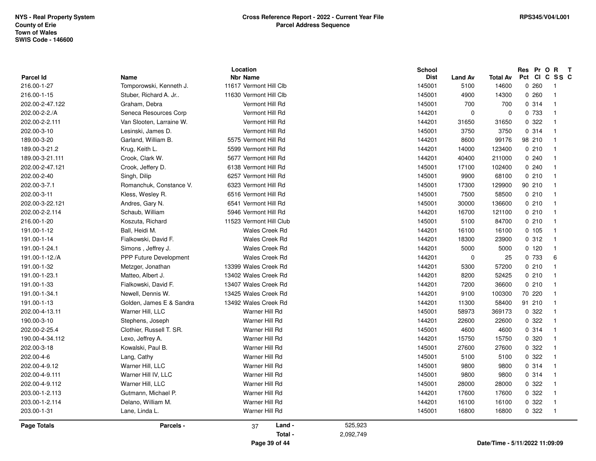| Parcel Id       | Name                          | Location<br><b>Nbr Name</b> | <b>School</b> | <b>Dist</b><br><b>Land Av</b> | Total Av                       | Res Pr O R<br>Pct CI C SS C | $\mathbf{T}$            |
|-----------------|-------------------------------|-----------------------------|---------------|-------------------------------|--------------------------------|-----------------------------|-------------------------|
| 216.00-1-27     | Tomporowski, Kenneth J.       | 11617 Vermont Hill Clb      | 145001        | 5100                          | 14600                          | 0260                        | - 1                     |
| 216.00-1-15     | Stuber, Richard A. Jr         | 11630 Vermont Hill Clb      | 145001        | 4900                          | 14300                          | 0260                        | -1                      |
| 202.00-2-47.122 | Graham, Debra                 | Vermont Hill Rd             | 145001        | 700                           | 700                            | 0.314                       | $\overline{\mathbf{1}}$ |
| 202.00-2-2./A   | Seneca Resources Corp         | Vermont Hill Rd             | 144201        | $\mathbf 0$                   | $\mathbf 0$                    | 0 733                       | $\overline{1}$          |
| 202.00-2-2.111  | Van Slooten, Larraine W.      | Vermont Hill Rd             | 144201        | 31650                         | 31650                          | 0.322                       | -1                      |
| 202.00-3-10     | Lesinski, James D.            | Vermont Hill Rd             | 145001        | 3750                          | 3750                           | 0.314                       | $\overline{1}$          |
| 189.00-3-20     | Garland, William B.           | 5575 Vermont Hill Rd        | 144201        | 8600                          | 99176                          | 98 210                      | -1                      |
| 189.00-3-21.2   | Krug, Keith L.                | 5599 Vermont Hill Rd        | 144201        | 14000                         | 123400                         | 0210                        | -1                      |
| 189.00-3-21.111 | Crook, Clark W.               | 5677 Vermont Hill Rd        | 144201        | 40400                         | 211000                         | 0240                        | $\overline{\mathbf{1}}$ |
| 202.00-2-47.121 | Crook, Jeffery D.             | 6138 Vermont Hill Rd        | 145001        | 17100                         | 102400                         | 0240                        | $\overline{\mathbf{1}}$ |
| 202.00-2-40     | Singh, Dilip                  | 6257 Vermont Hill Rd        | 145001        | 9900                          | 68100                          | 0210                        | $\overline{1}$          |
| 202.00-3-7.1    | Romanchuk, Constance V.       | 6323 Vermont Hill Rd        | 145001        | 17300                         | 129900                         | 90 210                      | $\overline{1}$          |
| 202.00-3-11     | Kless, Wesley R.              | 6516 Vermont Hill Rd        | 145001        | 7500                          | 58500                          | 0210                        | $\overline{\mathbf{1}}$ |
| 202.00-3-22.121 | Andres, Gary N.               | 6541 Vermont Hill Rd        | 145001        | 30000                         | 136600                         | 0210                        | $\overline{\mathbf{1}}$ |
| 202.00-2-2.114  | Schaub, William               | 5946 Vermont Hill Rd        | 144201        | 16700                         | 121100                         | 0210                        | $\overline{1}$          |
| 216.00-1-20     | Koszuta, Richard              | 11523 Vermont Hill Club     | 145001        | 5100                          | 84700                          | 0210                        | $\overline{1}$          |
| 191.00-1-12     | Ball, Heidi M.                | <b>Wales Creek Rd</b>       | 144201        | 16100                         | 16100                          | 0, 105                      | $\overline{1}$          |
| 191.00-1-14     | Fialkowski, David F.          | <b>Wales Creek Rd</b>       | 144201        | 18300                         | 23900                          | 0.312                       | $\overline{\mathbf{1}}$ |
| 191.00-1-24.1   | Simons, Jeffrey J.            | <b>Wales Creek Rd</b>       | 144201        | 5000                          | 5000                           | 0120                        | $\overline{\mathbf{1}}$ |
| 191.00-1-12./A  | <b>PPP Future Development</b> | <b>Wales Creek Rd</b>       | 144201        | $\mathbf 0$                   | 25                             | 0 733                       | 6                       |
| 191.00-1-32     | Metzger, Jonathan             | 13399 Wales Creek Rd        | 144201        | 5300                          | 57200                          | 0210                        | $\overline{1}$          |
| 191.00-1-23.1   | Matteo, Albert J.             | 13402 Wales Creek Rd        | 144201        | 8200                          | 52425                          | 0210                        | $\overline{\mathbf{1}}$ |
| 191.00-1-33     | Fialkowski, David F.          | 13407 Wales Creek Rd        | 144201        | 7200                          | 36600                          | 0210                        | -1                      |
| 191.00-1-34.1   | Newell, Dennis W.             | 13425 Wales Creek Rd        | 144201        | 9100                          | 100300                         | 70 220                      | $\overline{1}$          |
| 191.00-1-13     | Golden, James E & Sandra      | 13492 Wales Creek Rd        | 144201        | 11300                         | 58400                          | 91 210                      | $\overline{\mathbf{1}}$ |
| 202.00-4-13.11  | Warner Hill, LLC              | Warner Hill Rd              | 145001        | 58973                         | 369173                         | 0 322                       | $\overline{\mathbf{1}}$ |
| 190.00-3-10     | Stephens, Joseph              | Warner Hill Rd              | 144201        | 22600                         | 22600                          | 0.322                       | $\overline{\mathbf{1}}$ |
| 202.00-2-25.4   | Clothier, Russell T. SR.      | Warner Hill Rd              | 145001        | 4600                          | 4600                           | 0.314                       | $\overline{\mathbf{1}}$ |
| 190.00-4-34.112 | Lexo, Jeffrey A.              | Warner Hill Rd              | 144201        | 15750                         | 15750                          | 0 320                       | $\overline{1}$          |
| 202.00-3-18     | Kowalski, Paul B.             | Warner Hill Rd              | 145001        | 27600                         | 27600                          | 0.322                       | $\overline{1}$          |
| 202.00-4-6      | Lang, Cathy                   | Warner Hill Rd              | 145001        | 5100                          | 5100                           | 0.322                       | -1                      |
| 202.00-4-9.12   | Warner Hill, LLC              | Warner Hill Rd              | 145001        | 9800                          | 9800                           | 0.314                       | $\overline{1}$          |
| 202.00-4-9.111  | Warner Hill IV, LLC           | Warner Hill Rd              | 145001        | 9800                          | 9800                           | 0.314                       | $\overline{1}$          |
| 202.00-4-9.112  | Warner Hill, LLC              | Warner Hill Rd              | 145001        | 28000                         | 28000                          | 0.322                       | $\overline{\mathbf{1}}$ |
| 203.00-1-2.113  | Gutmann, Michael P.           | Warner Hill Rd              | 144201        | 17600                         | 17600                          | 0.322                       | $\overline{1}$          |
| 203.00-1-2.114  | Delano, William M.            | Warner Hill Rd              | 144201        | 16100                         | 16100                          | 0.322                       | $\overline{\mathbf{1}}$ |
| 203.00-1-31     | Lane, Linda L.                | Warner Hill Rd              | 145001        | 16800                         | 16800                          | 0 322                       | $\overline{1}$          |
| Page Totals     | Parcels -                     | Land -<br>37                | 525,923       |                               |                                |                             |                         |
|                 |                               | Total -                     | 2,092,749     |                               |                                |                             |                         |
|                 |                               | Page 39 of 44               |               |                               | Date/Time - 5/11/2022 11:09:09 |                             |                         |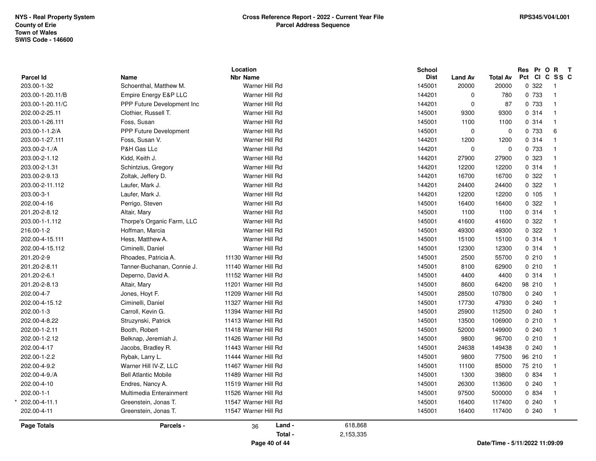| Parcel Id<br>203.00-1-32 | Name<br>Schoenthal, Matthew M. | <b>Nbr Name</b><br>Warner Hill Rd |           | <b>Dist</b><br>145001 | <b>Land Av</b><br>20000 | <b>Total Av</b><br>20000       | Pct CI C SS C<br>0.322 | $\overline{1}$ |
|--------------------------|--------------------------------|-----------------------------------|-----------|-----------------------|-------------------------|--------------------------------|------------------------|----------------|
| 203.00-1-20.11/B         | Empire Energy E&P LLC          | Warner Hill Rd                    |           | 144201                | $\mathbf 0$             | 780                            | 0 733                  | $\overline{1}$ |
| 203.00-1-20.11/C         | PPP Future Development Inc.    | Warner Hill Rd                    |           | 144201                | 0                       | 87                             | 0 733                  | $\overline{1}$ |
| 202.00-2-25.11           | Clothier, Russell T.           | Warner Hill Rd                    |           | 145001                | 9300                    | 9300                           | 0.314                  | $\overline{1}$ |
| 203.00-1-26.111          | Foss, Susan                    | Warner Hill Rd                    |           | 145001                | 1100                    | 1100                           | 0.314                  | $\overline{1}$ |
| 203.00-1-1.2/A           | <b>PPP Future Development</b>  | Warner Hill Rd                    |           | 145001                | $\mathbf 0$             | 0                              | 0 733                  | $\,6\,$        |
| 203.00-1-27.111          | Foss, Susan V.                 | Warner Hill Rd                    |           | 144201                | 1200                    | 1200                           | 0.314                  | $\overline{1}$ |
| 203.00-2-1./A            | P&H Gas LLc                    | Warner Hill Rd                    |           | 144201                | $\mathbf 0$             | $\mathbf 0$                    | 0 733                  | $\overline{1}$ |
| 203.00-2-1.12            | Kidd, Keith J.                 | Warner Hill Rd                    |           | 144201                | 27900                   | 27900                          | 0 323                  | $\overline{1}$ |
| 203.00-2-1.31            | Schintzius, Gregory            | Warner Hill Rd                    |           | 144201                | 12200                   | 12200                          | 0 314                  | $\overline{1}$ |
| 203.00-2-9.13            | Zoltak, Jeffery D.             | Warner Hill Rd                    |           | 144201                | 16700                   | 16700                          | 0.322                  | $\overline{1}$ |
| 203.00-2-11.112          | Laufer, Mark J.                | Warner Hill Rd                    |           | 144201                | 24400                   | 24400                          | 0.322                  | $\overline{1}$ |
| 203.00-3-1               | Laufer, Mark J.                | Warner Hill Rd                    |           | 144201                | 12200                   | 12200                          | 0 105                  | $\overline{1}$ |
| 202.00-4-16              | Perrigo, Steven                | Warner Hill Rd                    |           | 145001                | 16400                   | 16400                          | 0.322                  | $\overline{1}$ |
| 201.20-2-8.12            | Altair, Mary                   | Warner Hill Rd                    |           | 145001                | 1100                    | 1100                           | 0.314                  | $\overline{1}$ |
| 203.00-1-1.112           | Thorpe's Organic Farm, LLC     | Warner Hill Rd                    |           | 145001                | 41600                   | 41600                          | 0 322                  | $\overline{1}$ |
| 216.00-1-2               | Hoffman, Marcia                | Warner Hill Rd                    |           | 145001                | 49300                   | 49300                          | 0.322                  | $\overline{1}$ |
| 202.00-4-15.111          | Hess, Matthew A.               | Warner Hill Rd                    |           | 145001                | 15100                   | 15100                          | 0.314                  | $\overline{1}$ |
| 202.00-4-15.112          | Ciminelli, Daniel              | Warner Hill Rd                    |           | 145001                | 12300                   | 12300                          | 0 314                  | $\overline{1}$ |
| 201.20-2-9               | Rhoades, Patricia A.           | 11130 Warner Hill Rd              |           | 145001                | 2500                    | 55700                          | 0210                   | $\overline{1}$ |
| 201.20-2-8.11            | Tanner-Buchanan, Connie J.     | 11140 Warner Hill Rd              |           | 145001                | 8100                    | 62900                          | 0210                   | $\overline{1}$ |
| 201.20-2-6.1             | Deperno, David A.              | 11152 Warner Hill Rd              |           | 145001                | 4400                    | 4400                           | 0.314                  | $\overline{1}$ |
| 201.20-2-8.13            | Altair, Mary                   | 11201 Warner Hill Rd              |           | 145001                | 8600                    | 64200                          | 98 210                 | $\overline{1}$ |
| 202.00-4-7               | Jones, Hoyt F.                 | 11209 Warner Hill Rd              |           | 145001                | 28500                   | 107800                         | 0.240                  | $\overline{1}$ |
| 202.00-4-15.12           | Ciminelli, Daniel              | 11327 Warner Hill Rd              |           | 145001                | 17730                   | 47930                          | 0.240                  | $\overline{1}$ |
| 202.00-1-3               | Carroll, Kevin G.              | 11394 Warner Hill Rd              |           | 145001                | 25900                   | 112500                         | 0.240                  | $\overline{1}$ |
| 202.00-4-8.22            | Struzynski, Patrick            | 11413 Warner Hill Rd              |           | 145001                | 13500                   | 106900                         | 0210                   | $\overline{1}$ |
| 202.00-1-2.11            | Booth, Robert                  | 11418 Warner Hill Rd              |           | 145001                | 52000                   | 149900                         | 0.240                  | $\overline{1}$ |
| 202.00-1-2.12            | Belknap, Jeremiah J.           | 11426 Warner Hill Rd              |           | 145001                | 9800                    | 96700                          | 0210                   | $\overline{1}$ |
| 202.00-4-17              | Jacobs, Bradley R.             | 11443 Warner Hill Rd              |           | 145001                | 24638                   | 149438                         | 0.240                  | $\overline{1}$ |
| 202.00-1-2.2             | Rybak, Larry L.                | 11444 Warner Hill Rd              |           | 145001                | 9800                    | 77500                          | 96 210                 | $\overline{1}$ |
| 202.00-4-9.2             | Warner Hill IV-Z. LLC          | 11467 Warner Hill Rd              |           | 145001                | 11100                   | 85000                          | 75 210                 | $\overline{1}$ |
| 202.00-4-9./A            | <b>Bell Atlantic Mobile</b>    | 11489 Warner Hill Rd              |           | 145001                | 1300                    | 39800                          | 0 834                  | $\overline{1}$ |
| 202.00-4-10              | Endres, Nancy A.               | 11519 Warner Hill Rd              |           | 145001                | 26300                   | 113600                         | 0.240                  | $\overline{1}$ |
| 202.00-1-1               | Multimedia Enterainment        | 11526 Warner Hill Rd              |           | 145001                | 97500                   | 500000                         | 0 834                  | $\overline{1}$ |
| 202.00-4-11.1            | Greenstein, Jonas T.           | 11547 Warner Hill Rd              |           | 145001                | 16400                   | 117400                         | 0.240                  | $\overline{1}$ |
| 202.00-4-11              | Greenstein, Jonas T.           | 11547 Warner Hill Rd              |           | 145001                | 16400                   | 117400                         | 0.240                  | $\overline{1}$ |
| <b>Page Totals</b>       | Parcels -                      | Land -<br>36                      | 618,868   |                       |                         |                                |                        |                |
|                          |                                | Total -                           | 2,153,335 |                       |                         |                                |                        |                |
|                          |                                | Page 40 of 44                     |           |                       |                         | Date/Time - 5/11/2022 11:09:09 |                        |                |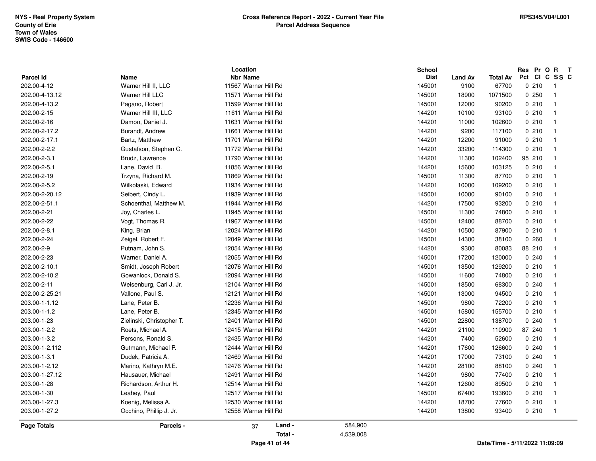|                          |                             | Location                                |           | <b>School</b>         |                        |                          | Pr O R<br>Res<br>Pct<br><b>CI</b>        | $\mathbf{T}$<br>C SS C |
|--------------------------|-----------------------------|-----------------------------------------|-----------|-----------------------|------------------------|--------------------------|------------------------------------------|------------------------|
| Parcel Id<br>202.00-4-12 | Name<br>Warner Hill II, LLC | <b>Nbr Name</b><br>11567 Warner Hill Rd |           | <b>Dist</b><br>145001 | <b>Land Av</b><br>9100 | <b>Total Av</b><br>67700 | 0210<br>$\overline{1}$                   |                        |
|                          |                             |                                         |           |                       |                        |                          |                                          |                        |
| 202.00-4-13.12           | <b>Warner Hill LLC</b>      | 11571 Warner Hill Rd                    |           | 145001                | 18900                  | 1071500                  | 0250<br>$\overline{1}$<br>$\overline{1}$ |                        |
| 202.00-4-13.2            | Pagano, Robert              | 11599 Warner Hill Rd                    |           | 145001                | 12000                  | 90200                    | 0210                                     |                        |
| 202.00-2-15              | Warner Hill III, LLC        | 11611 Warner Hill Rd                    |           | 144201                | 10100                  | 93100                    | 0210<br>$\overline{1}$                   |                        |
| 202.00-2-16              | Damon, Daniel J.            | 11631 Warner Hill Rd                    |           | 144201                | 11000                  | 102600                   | 0210<br>$\overline{1}$                   |                        |
| 202.00-2-17.2            | Burandt, Andrew             | 11661 Warner Hill Rd                    |           | 144201                | 9200                   | 117100                   | 0210<br>$\overline{1}$                   |                        |
| 202.00-2-17.1            | Bartz, Matthew              | 11701 Warner Hill Rd                    |           | 144201                | 12200                  | 91000                    | 0210<br>$\overline{1}$                   |                        |
| 202.00-2-2.2             | Gustafson, Stephen C.       | 11772 Warner Hill Rd                    |           | 144201                | 33200                  | 114300                   | 0210<br>$\overline{1}$                   |                        |
| 202.00-2-3.1             | Brudz, Lawrence             | 11790 Warner Hill Rd                    |           | 144201                | 11300                  | 102400                   | 95 210<br>$\overline{1}$                 |                        |
| 202.00-2-5.1             | Lane, David B.              | 11856 Warner Hill Rd                    |           | 144201                | 15600                  | 103125                   | 0210<br>$\overline{1}$                   |                        |
| 202.00-2-19              | Trzyna, Richard M.          | 11869 Warner Hill Rd                    |           | 145001                | 11300                  | 87700                    | 0210<br>$\overline{1}$                   |                        |
| 202.00-2-5.2             | Wilkolaski, Edward          | 11934 Warner Hill Rd                    |           | 144201                | 10000                  | 109200                   | 0210<br>$\overline{1}$                   |                        |
| 202.00-2-20.12           | Seibert, Cindy L.           | 11939 Warner Hill Rd                    |           | 145001                | 10000                  | 90100                    | 0210<br>$\overline{1}$                   |                        |
| 202.00-2-51.1            | Schoenthal, Matthew M.      | 11944 Warner Hill Rd                    |           | 144201                | 17500                  | 93200                    | 0210<br>$\overline{1}$                   |                        |
| 202.00-2-21              | Joy, Charles L.             | 11945 Warner Hill Rd                    |           | 145001                | 11300                  | 74800                    | 0210<br>$\overline{1}$                   |                        |
| 202.00-2-22              | Vogt, Thomas R.             | 11967 Warner Hill Rd                    |           | 145001                | 12400                  | 88700                    | 0210<br>$\overline{1}$                   |                        |
| 202.00-2-8.1             | King, Brian                 | 12024 Warner Hill Rd                    |           | 144201                | 10500                  | 87900                    | 0210<br>$\overline{1}$                   |                        |
| 202.00-2-24              | Zeigel, Robert F.           | 12049 Warner Hill Rd                    |           | 145001                | 14300                  | 38100                    | 0.260<br>$\overline{1}$                  |                        |
| 202.00-2-9               | Putnam, John S.             | 12054 Warner Hill Rd                    |           | 144201                | 9300                   | 80083                    | 88 210<br>$\overline{1}$                 |                        |
| 202.00-2-23              | Warner, Daniel A.           | 12055 Warner Hill Rd                    |           | 145001                | 17200                  | 120000                   | 0.240<br>$\overline{1}$                  |                        |
| 202.00-2-10.1            | Smidt, Joseph Robert        | 12076 Warner Hill Rd                    |           | 145001                | 13500                  | 129200                   | 0210<br>$\overline{1}$                   |                        |
| 202.00-2-10.2            | Gowanlock, Donald S.        | 12094 Warner Hill Rd                    |           | 145001                | 11600                  | 74800                    | 0210<br>$\overline{1}$                   |                        |
| 202.00-2-11              | Weisenburg, Carl J. Jr.     | 12104 Warner Hill Rd                    |           | 145001                | 18500                  | 68300                    | 0.240<br>$\overline{1}$                  |                        |
| 202.00-2-25.21           | Vallone, Paul S.            | 12121 Warner Hill Rd                    |           | 145001                | 13000                  | 94500                    | 0210<br>$\overline{1}$                   |                        |
| 203.00-1-1.12            | Lane, Peter B.              | 12236 Warner Hill Rd                    |           | 145001                | 9800                   | 72200                    | 0210<br>$\overline{1}$                   |                        |
| 203.00-1-1.2             | Lane, Peter B.              | 12345 Warner Hill Rd                    |           | 145001                | 15800                  | 155700                   | 0210<br>$\overline{1}$                   |                        |
| 203.00-1-23              | Zielinski, Christopher T.   | 12401 Warner Hill Rd                    |           | 145001                | 22800                  | 138700                   | 0.240<br>$\overline{1}$                  |                        |
| 203.00-1-2.2             | Roets, Michael A.           | 12415 Warner Hill Rd                    |           | 144201                | 21100                  | 110900                   | 87 240<br>$\overline{1}$                 |                        |
| 203.00-1-3.2             | Persons, Ronald S.          | 12435 Warner Hill Rd                    |           | 144201                | 7400                   | 52600                    | 0210<br>$\overline{1}$                   |                        |
| 203.00-1-2.112           | Gutmann, Michael P.         | 12444 Warner Hill Rd                    |           | 144201                | 17600                  | 126600                   | 0240<br>$\overline{1}$                   |                        |
| 203.00-1-3.1             | Dudek, Patricia A.          | 12469 Warner Hill Rd                    |           | 144201                | 17000                  | 73100                    | 0.240<br>$\overline{1}$                  |                        |
| 203.00-1-2.12            | Marino, Kathryn M.E.        | 12476 Warner Hill Rd                    |           | 144201                | 28100                  | 88100                    | 0.240<br>$\overline{1}$                  |                        |
| 203.00-1-27.12           | Hausauer, Michael           | 12491 Warner Hill Rd                    |           | 144201                | 9800                   | 77400                    | 0210<br>$\overline{1}$                   |                        |
| 203.00-1-28              | Richardson, Arthur H.       | 12514 Warner Hill Rd                    |           | 144201                | 12600                  | 89500                    | 0210<br>$\overline{1}$                   |                        |
| 203.00-1-30              | Leahey, Paul                | 12517 Warner Hill Rd                    |           | 145001                | 67400                  | 193600                   | 0210<br>$\overline{1}$                   |                        |
| 203.00-1-27.3            | Koenig, Melissa A.          | 12530 Warner Hill Rd                    |           | 144201                | 18700                  | 77600                    | 0210<br>$\overline{1}$                   |                        |
| 203.00-1-27.2            | Occhino, Phillip J. Jr.     | 12558 Warner Hill Rd                    |           | 144201                | 13800                  | 93400                    | 0210<br>$\overline{1}$                   |                        |
| <b>Page Totals</b>       | Parcels -                   | Land -<br>37                            | 584,900   |                       |                        |                          |                                          |                        |
|                          |                             | Total -                                 | 4,539,008 |                       |                        |                          |                                          |                        |
|                          |                             | Page 41 of 44                           |           |                       |                        |                          | Date/Time - 5/11/2022 11:09:09           |                        |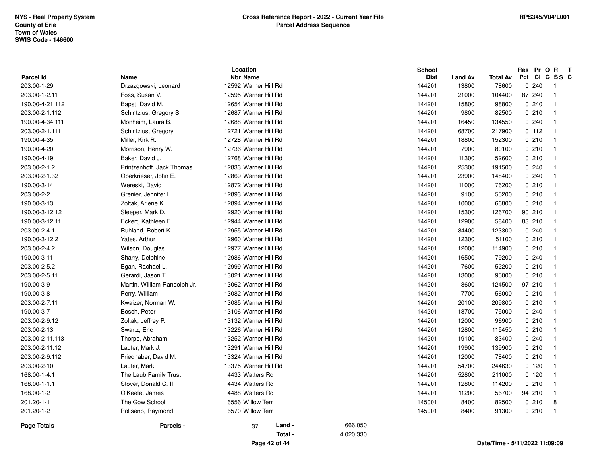|                                 |                                     | Location                                |           | <b>School</b>         |                         |                          | Res Pr O R<br>Pct<br><b>CI</b> | $\mathbf{T}$<br>C SS C |
|---------------------------------|-------------------------------------|-----------------------------------------|-----------|-----------------------|-------------------------|--------------------------|--------------------------------|------------------------|
| <b>Parcel Id</b><br>203.00-1-29 | <b>Name</b><br>Drzazgowski, Leonard | <b>Nbr Name</b><br>12592 Warner Hill Rd |           | <b>Dist</b><br>144201 | <b>Land Av</b><br>13800 | <b>Total Av</b><br>78600 | 0.240                          | $\overline{1}$         |
|                                 | Foss, Susan V.                      | 12595 Warner Hill Rd                    |           |                       | 21000                   |                          | 87 240                         | $\overline{1}$         |
| 203.00-1-2.11                   |                                     |                                         |           | 144201                |                         | 104400                   |                                |                        |
| 190.00-4-21.112                 | Bapst, David M.                     | 12654 Warner Hill Rd                    |           | 144201                | 15800                   | 98800                    | 0.240                          | $\overline{1}$         |
| 203.00-2-1.112                  | Schintzius, Gregory S.              | 12687 Warner Hill Rd                    |           | 144201                | 9800                    | 82500                    | 0210                           | $\overline{1}$         |
| 190.00-4-34.111                 | Monheim, Laura B.                   | 12688 Warner Hill Rd                    |           | 144201                | 16450                   | 134550                   | 0.240                          | $\overline{1}$         |
| 203.00-2-1.111                  | Schintzius, Gregory                 | 12721 Warner Hill Rd                    |           | 144201                | 68700                   | 217900                   | 0.112                          | $\overline{1}$         |
| 190.00-4-35                     | Miller, Kirk R.                     | 12728 Warner Hill Rd                    |           | 144201                | 18800                   | 152300                   | 0210                           | $\overline{1}$         |
| 190.00-4-20                     | Morrison, Henry W.                  | 12736 Warner Hill Rd                    |           | 144201                | 7900                    | 80100                    | 0210                           | $\overline{1}$         |
| 190.00-4-19                     | Baker, David J.                     | 12768 Warner Hill Rd                    |           | 144201                | 11300                   | 52600                    | 0210                           | $\overline{1}$         |
| 203.00-2-1.2                    | Printzenhoff, Jack Thomas           | 12833 Warner Hill Rd                    |           | 144201                | 25300                   | 191500                   | 0.240                          | $\overline{1}$         |
| 203.00-2-1.32                   | Oberkrieser, John E.                | 12869 Warner Hill Rd                    |           | 144201                | 23900                   | 148400                   | 0.240                          | $\mathbf{1}$           |
| 190.00-3-14                     | Wereski, David                      | 12872 Warner Hill Rd                    |           | 144201                | 11000                   | 76200                    | 0210                           | $\overline{1}$         |
| 203.00-2-2                      | Grenier, Jennifer L.                | 12893 Warner Hill Rd                    |           | 144201                | 9100                    | 55200                    | 0210                           | $\overline{1}$         |
| 190.00-3-13                     | Zoltak, Arlene K.                   | 12894 Warner Hill Rd                    |           | 144201                | 10000                   | 66800                    | 0210                           | $\overline{1}$         |
| 190.00-3-12.12                  | Sleeper, Mark D.                    | 12920 Warner Hill Rd                    |           | 144201                | 15300                   | 126700                   | 90 210                         | $\overline{1}$         |
| 190.00-3-12.11                  | Eckert, Kathleen F.                 | 12944 Warner Hill Rd                    |           | 144201                | 12900                   | 58400                    | 83 210                         | $\overline{1}$         |
| 203.00-2-4.1                    | Ruhland, Robert K.                  | 12955 Warner Hill Rd                    |           | 144201                | 34400                   | 123300                   | 0.240                          | $\overline{1}$         |
| 190.00-3-12.2                   | Yates, Arthur                       | 12960 Warner Hill Rd                    |           | 144201                | 12300                   | 51100                    | 0210                           | $\overline{1}$         |
| 203.00-2-4.2                    | Wilson, Douglas                     | 12977 Warner Hill Rd                    |           | 144201                | 12000                   | 114900                   | 0210                           | $\overline{1}$         |
| 190.00-3-11                     | Sharry, Delphine                    | 12986 Warner Hill Rd                    |           | 144201                | 16500                   | 79200                    | 0.240                          | $\overline{1}$         |
| 203.00-2-5.2                    | Egan, Rachael L.                    | 12999 Warner Hill Rd                    |           | 144201                | 7600                    | 52200                    | 0210                           | $\overline{1}$         |
| 203.00-2-5.11                   | Gerardi, Jason T.                   | 13021 Warner Hill Rd                    |           | 144201                | 13000                   | 95000                    | 0210                           | $\overline{1}$         |
| 190.00-3-9                      | Martin, William Randolph Jr.        | 13062 Warner Hill Rd                    |           | 144201                | 8600                    | 124500                   | 97 210                         | $\overline{1}$         |
| 190.00-3-8                      | Perry, William                      | 13082 Warner Hill Rd                    |           | 144201                | 7700                    | 56000                    | 0210                           | $\overline{1}$         |
| 203.00-2-7.11                   | Kwaizer, Norman W.                  | 13085 Warner Hill Rd                    |           | 144201                | 20100                   | 209800                   | 0210                           | $\overline{1}$         |
| 190.00-3-7                      | Bosch, Peter                        | 13106 Warner Hill Rd                    |           | 144201                | 18700                   | 75000                    | 0240                           | $\overline{1}$         |
| 203.00-2-9.12                   | Zoltak, Jeffrey P.                  | 13132 Warner Hill Rd                    |           | 144201                | 12000                   | 96900                    | 0210                           | $\overline{1}$         |
| 203.00-2-13                     | Swartz, Eric                        | 13226 Warner Hill Rd                    |           | 144201                | 12800                   | 115450                   | 0210                           | $\overline{1}$         |
| 203.00-2-11.113                 | Thorpe, Abraham                     | 13252 Warner Hill Rd                    |           | 144201                | 19100                   | 83400                    | 0.240                          | $\overline{1}$         |
| 203.00-2-11.12                  | Laufer, Mark J.                     | 13291 Warner Hill Rd                    |           | 144201                | 19900                   | 139900                   | 0210                           | $\overline{1}$         |
| 203.00-2-9.112                  | Friedhaber, David M.                | 13324 Warner Hill Rd                    |           | 144201                | 12000                   | 78400                    | 0210                           | $\overline{1}$         |
| 203.00-2-10                     | Laufer, Mark                        | 13375 Warner Hill Rd                    |           | 144201                | 54700                   | 244630                   | 0120                           | $\overline{1}$         |
| 168.00-1-4.1                    | The Laub Family Trust               | 4433 Watters Rd                         |           | 144201                | 52800                   | 211000                   | 0, 120                         | $\overline{1}$         |
| 168.00-1-1.1                    | Stover, Donald C. II.               | 4434 Watters Rd                         |           | 144201                | 12800                   | 114200                   | 0210                           | $\overline{1}$         |
| 168.00-1-2                      | O'Keefe, James                      | 4488 Watters Rd                         |           | 144201                | 11200                   | 56700                    | 94 210                         | $\overline{1}$         |
| 201.20-1-1                      | The Gow School                      | 6556 Willow Terr                        |           | 145001                | 8400                    | 82500                    | 0210                           | 8                      |
| 201.20-1-2                      | Poliseno, Raymond                   | 6570 Willow Terr                        |           | 145001                | 8400                    | 91300                    | 0210                           | $\overline{1}$         |
|                                 |                                     |                                         |           |                       |                         |                          |                                |                        |
| Page Totals                     | Parcels -                           | Land -<br>37                            | 666,050   |                       |                         |                          |                                |                        |
|                                 |                                     | Total -                                 | 4,020,330 |                       |                         |                          |                                |                        |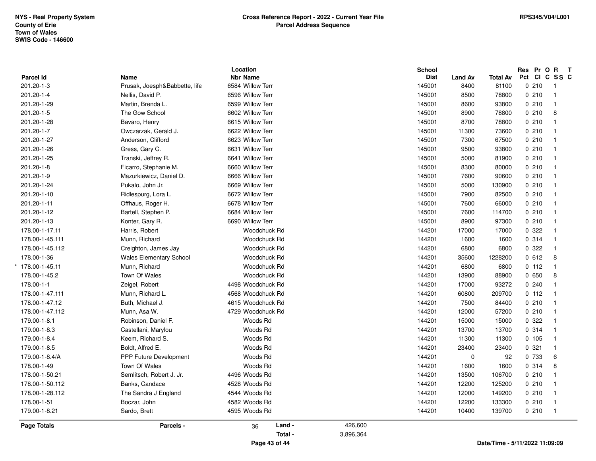| <b>Parcel Id</b><br>201.20-1-3 | Name                           | <b>Nbr Name</b>         |                      | <b>Dist</b> | <b>Land Av</b> | <b>Total Av</b> |        | Pct CI C SS C  |
|--------------------------------|--------------------------------|-------------------------|----------------------|-------------|----------------|-----------------|--------|----------------|
|                                | Prusak, Joesph&Babbette, life  | 6584 Willow Terr        |                      | 145001      | 8400           | 81100           | 0210   | $\overline{1}$ |
| 201.20-1-4                     | Nellis, David P.               | 6596 Willow Terr        |                      | 145001      | 8500           | 78800           | 0210   | $\overline{1}$ |
| 201.20-1-29                    | Martin, Brenda L.              | 6599 Willow Terr        |                      | 145001      | 8600           | 93800           | 0210   | $\overline{1}$ |
| 201.20-1-5                     | The Gow School                 | 6602 Willow Terr        |                      | 145001      | 8900           | 78800           | 0210   | 8              |
| 201.20-1-28                    | Bavaro, Henry                  | 6615 Willow Terr        |                      | 145001      | 8700           | 78800           | 0210   | $\overline{1}$ |
| 201.20-1-7                     | Owczarzak, Gerald J.           | 6622 Willow Terr        |                      | 145001      | 11300          | 73600           | 0210   | $\overline{1}$ |
| 201.20-1-27                    | Anderson, Clifford             | 6623 Willow Terr        |                      | 145001      | 7300           | 67500           | 0210   | $\overline{1}$ |
| 201.20-1-26                    | Gress, Gary C.                 | 6631 Willow Terr        |                      | 145001      | 9500           | 93800           | 0210   | $\overline{1}$ |
| 201.20-1-25                    | Transki, Jeffrey R.            | 6641 Willow Terr        |                      | 145001      | 5000           | 81900           | 0210   | $\overline{1}$ |
| 201.20-1-8                     | Ficarro, Stephanie M.          | 6660 Willow Terr        |                      | 145001      | 8300           | 80000           | 0210   | $\overline{1}$ |
| 201.20-1-9                     | Mazurkiewicz, Daniel D.        | 6666 Willow Terr        |                      | 145001      | 7600           | 90600           | 0210   | - 1            |
| 201.20-1-24                    | Pukalo, John Jr.               | 6669 Willow Terr        |                      | 145001      | 5000           | 130900          | 0210   | $\overline{1}$ |
| 201.20-1-10                    | Ridlespurg, Lora L.            | 6672 Willow Terr        |                      | 145001      | 7900           | 82500           | 0210   | $\overline{1}$ |
| 201.20-1-11                    | Offhaus, Roger H.              | 6678 Willow Terr        |                      | 145001      | 7600           | 66000           | 0210   | $\overline{1}$ |
| 201.20-1-12                    | Bartell, Stephen P.            | 6684 Willow Terr        |                      | 145001      | 7600           | 114700          | 0210   | $\overline{1}$ |
| 201.20-1-13                    | Konter, Gary R.                | 6690 Willow Terr        |                      | 145001      | 8900           | 97300           | 0210   | $\overline{1}$ |
| 178.00-1-17.11                 | Harris, Robert                 | Woodchuck Rd            |                      | 144201      | 17000          | 17000           | 0 322  | $\overline{1}$ |
| 178.00-1-45.111                | Munn, Richard                  | Woodchuck Rd            |                      | 144201      | 1600           | 1600            | 0.314  | $\overline{1}$ |
| 178.00-1-45.112                | Creighton, James Jay           | <b>Woodchuck Rd</b>     |                      | 144201      | 6800           | 6800            | 0.322  | $\overline{1}$ |
| 178.00-1-36                    | <b>Wales Elementary School</b> | Woodchuck Rd            |                      | 144201      | 35600          | 1228200         | 0612   | 8              |
| 178.00-1-45.11                 | Munn, Richard                  | Woodchuck Rd            |                      | 144201      | 6800           | 6800            | 0 112  | $\overline{1}$ |
| 178.00-1-45.2                  | Town Of Wales                  | Woodchuck Rd            |                      | 144201      | 13900          | 88900           | 0650   | 8              |
| 178.00-1-1                     | Zeigel, Robert                 | 4498 Woodchuck Rd       |                      | 144201      | 17000          | 93272           | 0.240  | $\overline{1}$ |
| 178.00-1-47.111                | Munn, Richard L.               | 4568 Woodchuck Rd       |                      | 144201      | 60800          | 209700          | 0 112  | $\overline{1}$ |
| 178.00-1-47.12                 | Buth, Michael J.               | 4615 Woodchuck Rd       |                      | 144201      | 7500           | 84400           | 0210   | $\overline{1}$ |
| 178.00-1-47.112                | Munn, Asa W.                   | 4729 Woodchuck Rd       |                      | 144201      | 12000          | 57200           | 0210   | $\overline{1}$ |
| 179.00-1-8.1                   | Robinson, Daniel F.            | Woods Rd                |                      | 144201      | 15000          | 15000           | 0 322  | $\overline{1}$ |
| 179.00-1-8.3                   | Castellani, Marylou            | Woods Rd                |                      | 144201      | 13700          | 13700           | 0.314  | $\overline{1}$ |
| 179.00-1-8.4                   | Keem, Richard S.               | Woods Rd                |                      | 144201      | 11300          | 11300           | 0, 105 | $\overline{1}$ |
| 179.00-1-8.5                   | Boldt, Alfred E.               | Woods Rd                |                      | 144201      | 23400          | 23400           | 0.321  | $\overline{1}$ |
| 179.00-1-8.4/A                 | <b>PPP Future Development</b>  | Woods Rd                |                      | 144201      | $\mathbf 0$    | 92              | 0 733  | 6              |
| 178.00-1-49                    | Town Of Wales                  | Woods Rd                |                      | 144201      | 1600           | 1600            | 0.314  | 8              |
| 178.00-1-50.21                 | Semlitsch, Robert J. Jr.       | 4496 Woods Rd           |                      | 144201      | 13500          | 106700          | 0210   | $\overline{1}$ |
| 178.00-1-50.112                | Banks, Candace                 | 4528 Woods Rd           |                      | 144201      | 12200          | 125200          | 0210   | $\overline{1}$ |
| 178.00-1-28.112                | The Sandra J England           | 4544 Woods Rd           |                      | 144201      | 12000          | 149200          | 0210   | $\overline{1}$ |
| 178.00-1-51                    | Boczar, John                   | 4582 Woods Rd           |                      | 144201      | 12200          | 133300          | 0210   | $\overline{1}$ |
| 179.00-1-8.21                  | Sardo, Brett                   | 4595 Woods Rd           |                      | 144201      | 10400          | 139700          | 0210   | $\overline{1}$ |
| <b>Page Totals</b>             | Parcels -                      | Land -<br>36<br>Total - | 426,600<br>3,896,364 |             |                |                 |        |                |

**Page 43 of 44**